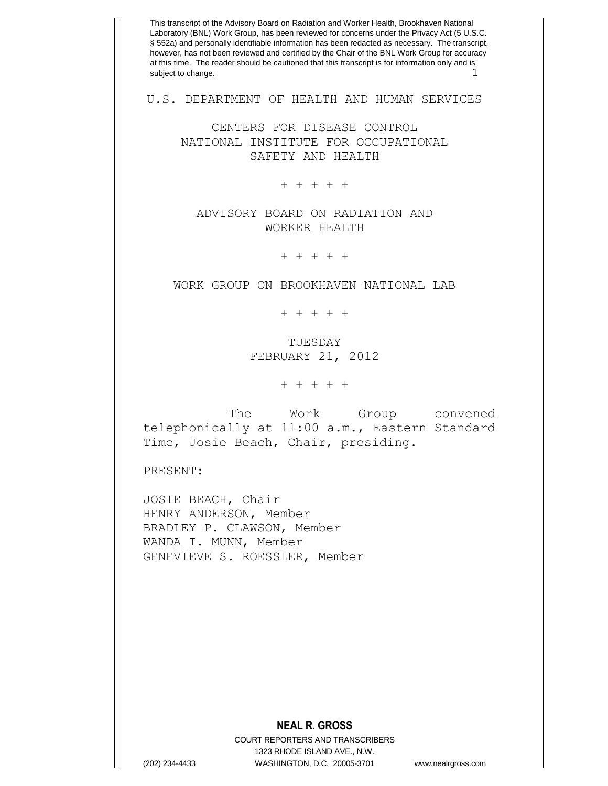**NEAL R. GROSS** COURT REPORTERS AND TRANSCRIBERS 1323 RHODE ISLAND AVE., N.W. This transcript of the Advisory Board on Radiation and Worker Health, Brookhaven National Laboratory (BNL) Work Group, has been reviewed for concerns under the Privacy Act (5 U.S.C. § 552a) and personally identifiable information has been redacted as necessary. The transcript, however, has not been reviewed and certified by the Chair of the BNL Work Group for accuracy at this time. The reader should be cautioned that this transcript is for information only and is subject to change. U.S. DEPARTMENT OF HEALTH AND HUMAN SERVICES CENTERS FOR DISEASE CONTROL NATIONAL INSTITUTE FOR OCCUPATIONAL SAFETY AND HEALTH + + + + + ADVISORY BOARD ON RADIATION AND WORKER HEALTH + + + + + WORK GROUP ON BROOKHAVEN NATIONAL LAB + + + + + TUESDAY FEBRUARY 21, 2012 + + + + + The Work Group convened telephonically at 11:00 a.m., Eastern Standard Time, Josie Beach, Chair, presiding. PRESENT: JOSIE BEACH, Chair HENRY ANDERSON, Member BRADLEY P. CLAWSON, Member WANDA I. MUNN, Member GENEVIEVE S. ROESSLER, Member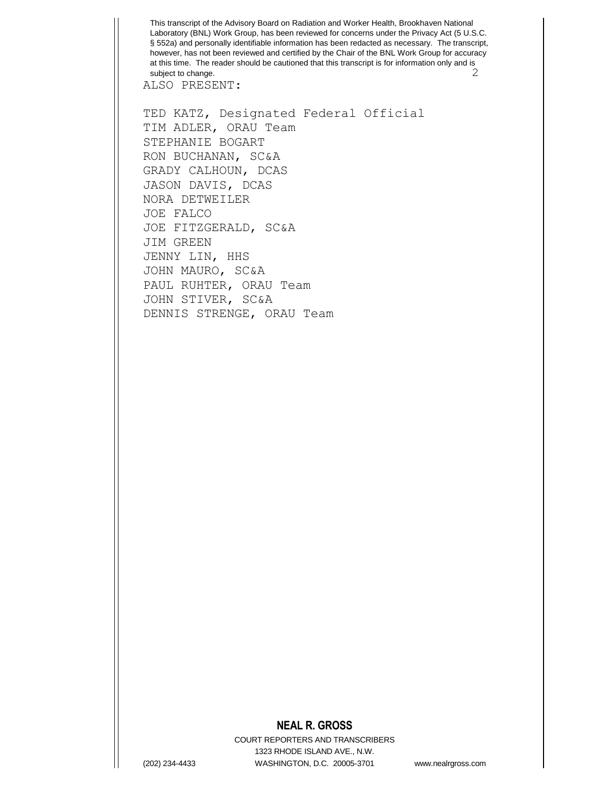This transcript of the Advisory Board on Radiation and Worker Health, Brookhaven National Laboratory (BNL) Work Group, has been reviewed for concerns under the Privacy Act (5 U.S.C. § 552a) and personally identifiable information has been redacted as necessary. The transcript, however, has not been reviewed and certified by the Chair of the BNL Work Group for accuracy at this time. The reader should be cautioned that this transcript is for information only and is subject to change. 2

ALSO PRESENT:

TED KATZ, Designated Federal Official TIM ADLER, ORAU Team STEPHANIE BOGART RON BUCHANAN, SC&A GRADY CALHOUN, DCAS JASON DAVIS, DCAS NORA DETWEILER JOE FALCO JOE FITZGERALD, SC&A JIM GREEN JENNY LIN, HHS JOHN MAURO, SC&A PAUL RUHTER, ORAU Team JOHN STIVER, SC&A DENNIS STRENGE, ORAU Team

## **NEAL R. GROSS**

COURT REPORTERS AND TRANSCRIBERS 1323 RHODE ISLAND AVE., N.W. (202) 234-4433 WASHINGTON, D.C. 20005-3701 www.nealrgross.com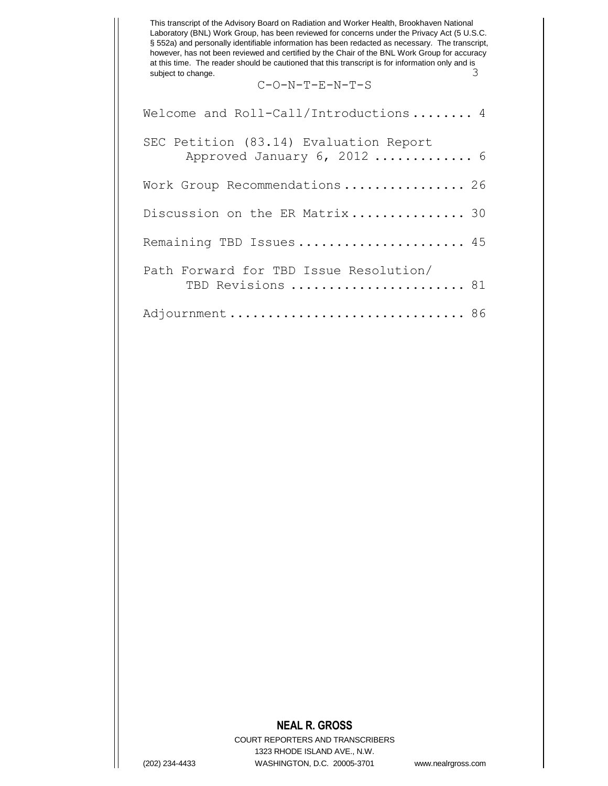This transcript of the Advisory Board on Radiation and Worker Health, Brookhaven National Laboratory (BNL) Work Group, has been reviewed for concerns under the Privacy Act (5 U.S.C. § 552a) and personally identifiable information has been redacted as necessary. The transcript, however, has not been reviewed and certified by the Chair of the BNL Work Group for accuracy at this time. The reader should be cautioned that this transcript is for information only and is subject to change. subject to change.

C-O-N-T-E-N-T-S

| Welcome and Roll-Call/Introductions 4                                 |
|-----------------------------------------------------------------------|
| SEC Petition (83.14) Evaluation Report<br>Approved January 6, 2012  6 |
| Work Group Recommendations 26                                         |
| Discussion on the ER Matrix 30                                        |
| Remaining TBD Issues 45                                               |
| Path Forward for TBD Issue Resolution/<br>TBD Revisions  81           |
|                                                                       |

## **NEAL R. GROSS**

COURT REPORTERS AND TRANSCRIBERS 1323 RHODE ISLAND AVE., N.W. (202) 234-4433 WASHINGTON, D.C. 20005-3701 www.nealrgross.com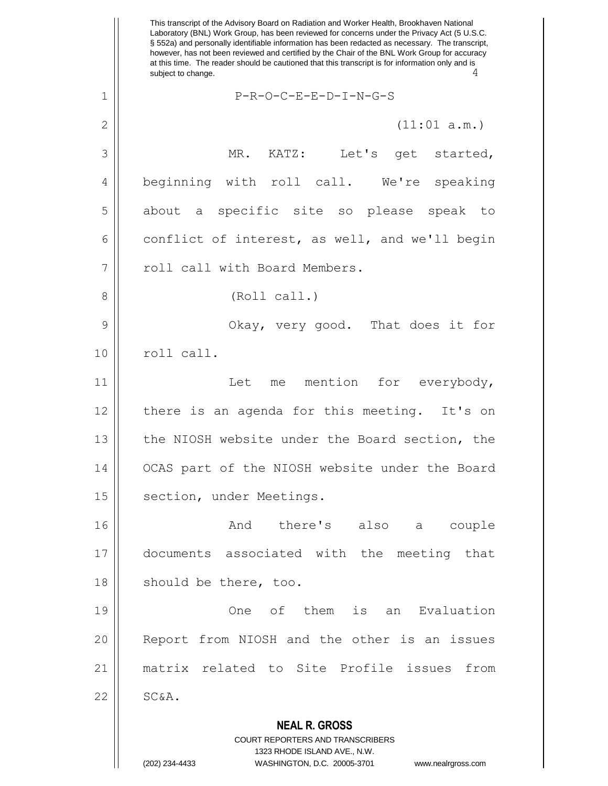**NEAL R. GROSS** COURT REPORTERS AND TRANSCRIBERS 1323 RHODE ISLAND AVE., N.W. This transcript of the Advisory Board on Radiation and Worker Health, Brookhaven National Laboratory (BNL) Work Group, has been reviewed for concerns under the Privacy Act (5 U.S.C. § 552a) and personally identifiable information has been redacted as necessary. The transcript, however, has not been reviewed and certified by the Chair of the BNL Work Group for accuracy at this time. The reader should be cautioned that this transcript is for information only and is subject to change. 1 P-R-O-C-E-E-D-I-N-G-S  $2 \parallel$  (11:01 a.m.) 3 || MR. KATZ: Let's get started, 4 || beginning with roll call. We're speaking 5 about a specific site so please speak to 6 conflict of interest, as well, and we'll begin 7 || call with Board Members. 8 || (Roll call.) 9 Okay, very good. That does it for 10 | roll call. 11 || Let me mention for everybody,  $12$  | there is an agenda for this meeting. It's on 13 || the NIOSH website under the Board section, the 14 OCAS part of the NIOSH website under the Board 15 | section, under Meetings. 16 and there's also a couple 17 documents associated with the meeting that 18 || should be there, too. 19 One of them is an Evaluation 20 || Report from NIOSH and the other is an issues 21 matrix related to Site Profile issues from  $22$   $\parallel$   $SC&A$ .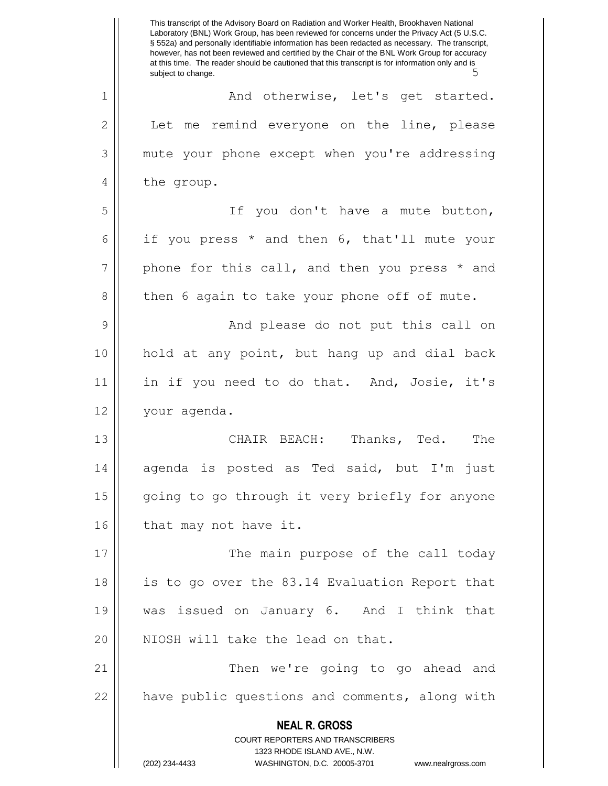**NEAL R. GROSS** COURT REPORTERS AND TRANSCRIBERS 1323 RHODE ISLAND AVE., N.W. (202) 234-4433 WASHINGTON, D.C. 20005-3701 www.nealrgross.com This transcript of the Advisory Board on Radiation and Worker Health, Brookhaven National Laboratory (BNL) Work Group, has been reviewed for concerns under the Privacy Act (5 U.S.C. § 552a) and personally identifiable information has been redacted as necessary. The transcript, however, has not been reviewed and certified by the Chair of the BNL Work Group for accuracy at this time. The reader should be cautioned that this transcript is for information only and is subject to change. 1 || And otherwise, let's get started.  $2 \parallel$  Let me remind everyone on the line, please 3 mute your phone except when you're addressing 4 || the group. 5 || If you don't have a mute button, 6 if you press  $*$  and then 6, that'll mute your  $7 \parallel$  phone for this call, and then you press  $*$  and  $8 \parallel$  then 6 again to take your phone off of mute. 9 And please do not put this call on 10 hold at any point, but hang up and dial back 11 || in if you need to do that. And, Josie, it's 12 your agenda. 13 CHAIR BEACH: Thanks, Ted. The 14 agenda is posted as Ted said, but I'm just 15 || going to go through it very briefly for anyone 16 | that may not have it. 17 || The main purpose of the call today 18 is to go over the 83.14 Evaluation Report that 19 was issued on January 6. And I think that 20 || NIOSH will take the lead on that. 21 Then we're going to go ahead and 22 || have public questions and comments, along with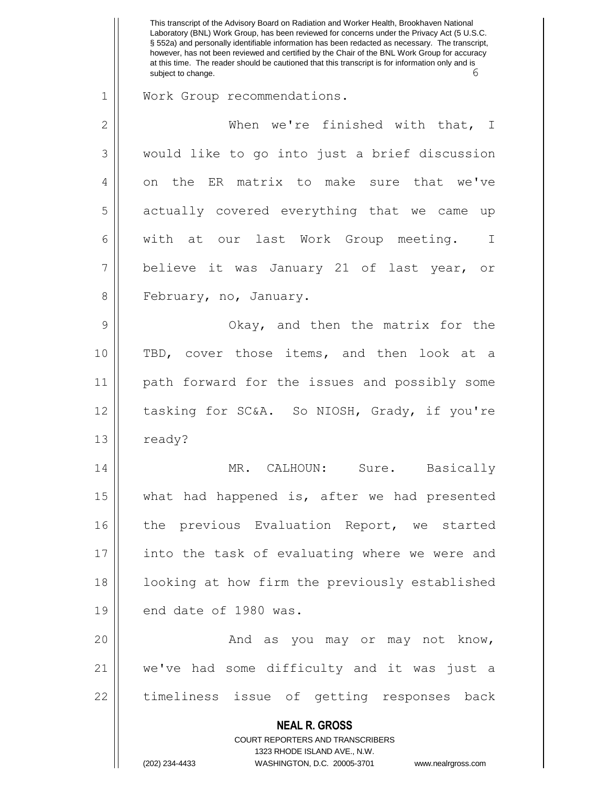**NEAL R. GROSS** COURT REPORTERS AND TRANSCRIBERS 1323 RHODE ISLAND AVE., N.W. (202) 234-4433 WASHINGTON, D.C. 20005-3701 www.nealrgross.com This transcript of the Advisory Board on Radiation and Worker Health, Brookhaven National Laboratory (BNL) Work Group, has been reviewed for concerns under the Privacy Act (5 U.S.C. § 552a) and personally identifiable information has been redacted as necessary. The transcript, however, has not been reviewed and certified by the Chair of the BNL Work Group for accuracy at this time. The reader should be cautioned that this transcript is for information only and is subject to change. 1 Work Group recommendations. 2 When we're finished with that, I 3 | would like to go into just a brief discussion 4 || on the ER matrix to make sure that we've 5 || actually covered everything that we came up 6 | with at our last Work Group meeting. I 7 believe it was January 21 of last year, or 8 | February, no, January. 9 Okay, and then the matrix for the 10 TBD, cover those items, and then look at a 11 path forward for the issues and possibly some 12 || tasking for SC&A. So NIOSH, Grady, if you're  $13 \parallel$  ready? 14 MR. CALHOUN: Sure. Basically 15 || what had happened is, after we had presented 16 || the previous Evaluation Report, we started 17 || into the task of evaluating where we were and 18 || looking at how firm the previously established  $19$  | end date of 1980 was. 20 And as you may or may not know, 21 we've had some difficulty and it was just a 22 || timeliness issue of getting responses back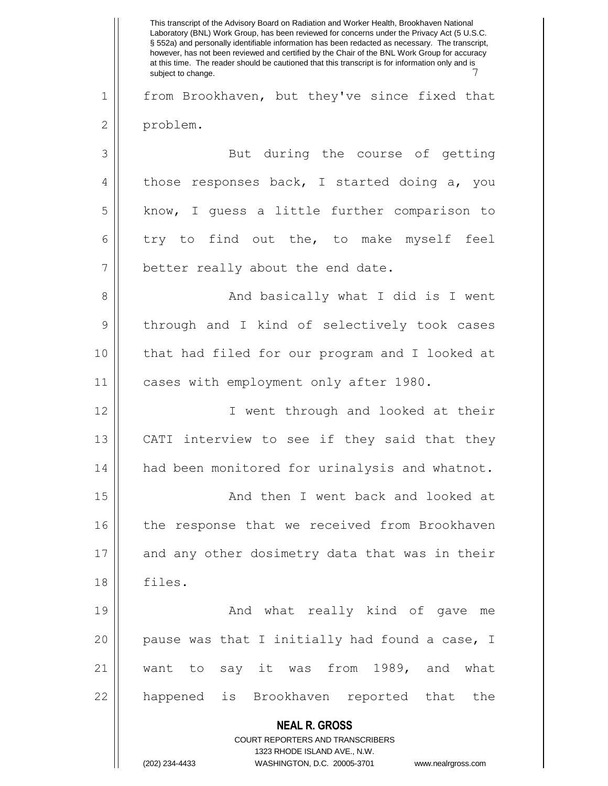**NEAL R. GROSS** COURT REPORTERS AND TRANSCRIBERS 1323 RHODE ISLAND AVE., N.W. (202) 234-4433 WASHINGTON, D.C. 20005-3701 www.nealrgross.com This transcript of the Advisory Board on Radiation and Worker Health, Brookhaven National Laboratory (BNL) Work Group, has been reviewed for concerns under the Privacy Act (5 U.S.C. § 552a) and personally identifiable information has been redacted as necessary. The transcript, however, has not been reviewed and certified by the Chair of the BNL Work Group for accuracy at this time. The reader should be cautioned that this transcript is for information only and is subject to change. 1 | from Brookhaven, but they've since fixed that 2 | problem. 3 || But during the course of getting  $4 \parallel$  those responses back, I started doing a, you 5 | know, I guess a little further comparison to  $6 \parallel$  try to find out the, to make myself feel 7 | better really about the end date. 8 || And basically what I did is I went 9 || through and I kind of selectively took cases 10 that had filed for our program and I looked at 11 | cases with employment only after 1980. 12 || T went through and looked at their 13  $\parallel$  CATI interview to see if they said that they 14 | had been monitored for urinalysis and whatnot. 15 || And then I went back and looked at 16 || the response that we received from Brookhaven 17 and any other dosimetry data that was in their 18 files. 19 And what really kind of gave me 20  $\parallel$  pause was that I initially had found a case, I 21 || want to say it was from 1989, and what 22 || happened is Brookhaven reported that the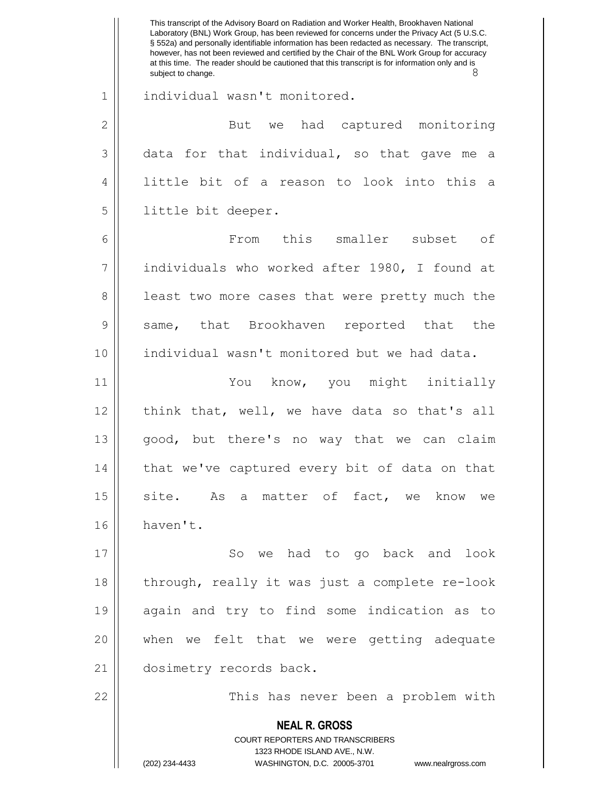|               | This transcript of the Advisory Board on Radiation and Worker Health, Brookhaven National<br>Laboratory (BNL) Work Group, has been reviewed for concerns under the Privacy Act (5 U.S.C.<br>§ 552a) and personally identifiable information has been redacted as necessary. The transcript,<br>however, has not been reviewed and certified by the Chair of the BNL Work Group for accuracy<br>at this time. The reader should be cautioned that this transcript is for information only and is<br>8<br>subject to change. |
|---------------|----------------------------------------------------------------------------------------------------------------------------------------------------------------------------------------------------------------------------------------------------------------------------------------------------------------------------------------------------------------------------------------------------------------------------------------------------------------------------------------------------------------------------|
| $\mathbf 1$   | individual wasn't monitored.                                                                                                                                                                                                                                                                                                                                                                                                                                                                                               |
| $\mathbf{2}$  | had captured monitoring<br>But<br>we                                                                                                                                                                                                                                                                                                                                                                                                                                                                                       |
| 3             | data for that individual, so that gave me a                                                                                                                                                                                                                                                                                                                                                                                                                                                                                |
| 4             | little bit of a reason to look into this a                                                                                                                                                                                                                                                                                                                                                                                                                                                                                 |
| 5             | little bit deeper.                                                                                                                                                                                                                                                                                                                                                                                                                                                                                                         |
| 6             | this smaller subset of<br>From                                                                                                                                                                                                                                                                                                                                                                                                                                                                                             |
| 7             | individuals who worked after 1980, I found at                                                                                                                                                                                                                                                                                                                                                                                                                                                                              |
| 8             | least two more cases that were pretty much the                                                                                                                                                                                                                                                                                                                                                                                                                                                                             |
| $\mathcal{G}$ | same, that Brookhaven reported that<br>the                                                                                                                                                                                                                                                                                                                                                                                                                                                                                 |
| 10            | individual wasn't monitored but we had data.                                                                                                                                                                                                                                                                                                                                                                                                                                                                               |
| 11            | You know, you might initially                                                                                                                                                                                                                                                                                                                                                                                                                                                                                              |
| 12            | think that, well, we have data so that's all                                                                                                                                                                                                                                                                                                                                                                                                                                                                               |
| 13            | good, but there's no way that we can claim                                                                                                                                                                                                                                                                                                                                                                                                                                                                                 |
| 14            | that we've captured every bit of data on that                                                                                                                                                                                                                                                                                                                                                                                                                                                                              |
| 15            | site. As a matter of fact, we know<br>we                                                                                                                                                                                                                                                                                                                                                                                                                                                                                   |
| 16            | haven't.                                                                                                                                                                                                                                                                                                                                                                                                                                                                                                                   |
| 17            | So we had to go back and<br>look                                                                                                                                                                                                                                                                                                                                                                                                                                                                                           |
| 18            | through, really it was just a complete re-look                                                                                                                                                                                                                                                                                                                                                                                                                                                                             |
| 19            | again and try to find some indication as to                                                                                                                                                                                                                                                                                                                                                                                                                                                                                |
| 20            | when we felt that we were getting adequate                                                                                                                                                                                                                                                                                                                                                                                                                                                                                 |
| 21            | dosimetry records back.                                                                                                                                                                                                                                                                                                                                                                                                                                                                                                    |
| 22            | This has never been a problem with                                                                                                                                                                                                                                                                                                                                                                                                                                                                                         |
|               | <b>NEAL R. GROSS</b><br>COURT REPORTERS AND TRANSCRIBERS<br>1323 RHODE ISLAND AVE., N.W.<br>(202) 234-4433<br>WASHINGTON, D.C. 20005-3701<br>www.nealrgross.com                                                                                                                                                                                                                                                                                                                                                            |
|               |                                                                                                                                                                                                                                                                                                                                                                                                                                                                                                                            |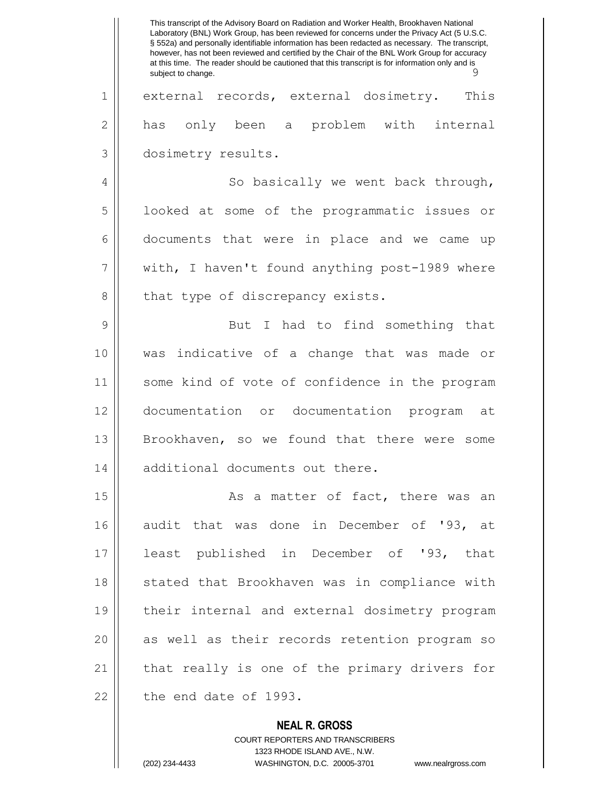**NEAL R. GROSS** This transcript of the Advisory Board on Radiation and Worker Health, Brookhaven National Laboratory (BNL) Work Group, has been reviewed for concerns under the Privacy Act (5 U.S.C. § 552a) and personally identifiable information has been redacted as necessary. The transcript, however, has not been reviewed and certified by the Chair of the BNL Work Group for accuracy at this time. The reader should be cautioned that this transcript is for information only and is subject to change. 1 external records, external dosimetry. This 2 || has only been a problem with internal 3 dosimetry results. 4 | So basically we went back through, 5 | looked at some of the programmatic issues or 6 documents that were in place and we came up  $7 ||$  with, I haven't found anything post-1989 where  $8$  | that type of discrepancy exists. 9 || But I had to find something that 10 was indicative of a change that was made or 11 some kind of vote of confidence in the program 12 documentation or documentation program at 13 Brookhaven, so we found that there were some 14 || additional documents out there. 15 || As a matter of fact, there was an 16 audit that was done in December of '93, at 17 least published in December of '93, that 18 || stated that Brookhaven was in compliance with 19 their internal and external dosimetry program 20 || as well as their records retention program so 21 || that really is one of the primary drivers for  $22$  | the end date of 1993.

> COURT REPORTERS AND TRANSCRIBERS 1323 RHODE ISLAND AVE., N.W. (202) 234-4433 WASHINGTON, D.C. 20005-3701 www.nealrgross.com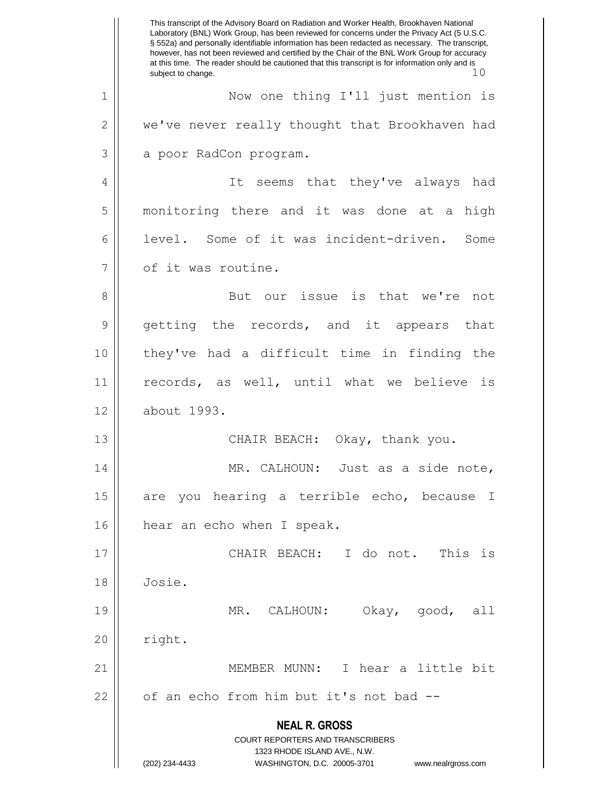**NEAL R. GROSS** COURT REPORTERS AND TRANSCRIBERS 1323 RHODE ISLAND AVE., N.W. (202) 234-4433 WASHINGTON, D.C. 20005-3701 www.nealrgross.com This transcript of the Advisory Board on Radiation and Worker Health, Brookhaven National Laboratory (BNL) Work Group, has been reviewed for concerns under the Privacy Act (5 U.S.C. § 552a) and personally identifiable information has been redacted as necessary. The transcript, however, has not been reviewed and certified by the Chair of the BNL Work Group for accuracy at this time. The reader should be cautioned that this transcript is for information only and is subject to change.  $10$ 1 Now one thing I'll just mention is 2 | we've never really thought that Brookhaven had 3 | a poor RadCon program. 4 || It seems that they've always had 5 monitoring there and it was done at a high 6 level. Some of it was incident-driven. Some 7 | of it was routine. 8 || But our issue is that we're not 9 getting the records, and it appears that 10 they've had a difficult time in finding the 11 || records, as well, until what we believe is 12 about 1993. 13 || CHAIR BEACH: Okay, thank you. 14 || MR. CALHOUN: Just as a side note, 15 || are you hearing a terrible echo, because I 16 | hear an echo when I speak. 17 CHAIR BEACH: I do not. This is 18 Josie. 19 MR. CALHOUN: Okay, good, all  $20$  | right. 21 MEMBER MUNN: I hear a little bit  $22$  |  $\sigma$  of an echo from him but it's not bad --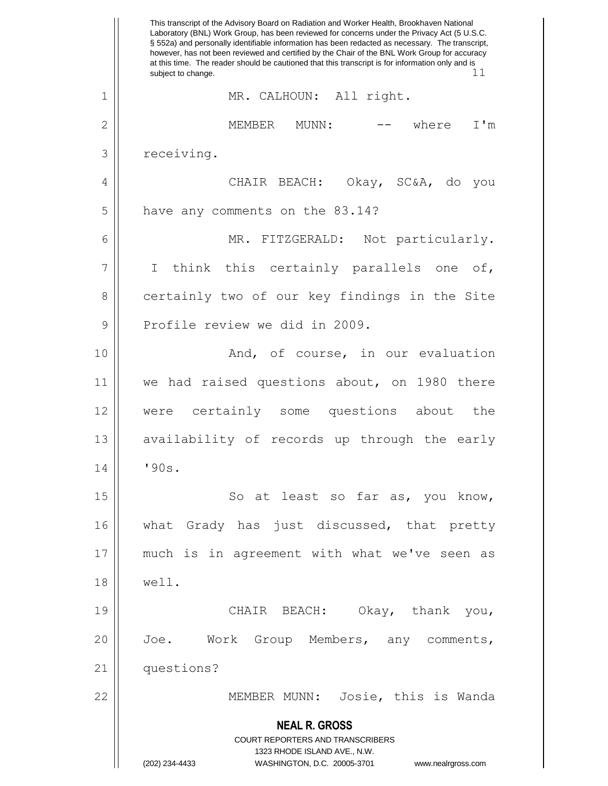**NEAL R. GROSS** COURT REPORTERS AND TRANSCRIBERS 1323 RHODE ISLAND AVE., N.W. (202) 234-4433 WASHINGTON, D.C. 20005-3701 www.nealrgross.com This transcript of the Advisory Board on Radiation and Worker Health, Brookhaven National Laboratory (BNL) Work Group, has been reviewed for concerns under the Privacy Act (5 U.S.C. § 552a) and personally identifiable information has been redacted as necessary. The transcript, however, has not been reviewed and certified by the Chair of the BNL Work Group for accuracy at this time. The reader should be cautioned that this transcript is for information only and is subject to change.  $11$ subject to change. 1 || MR. CALHOUN: All right. 2 MEMBER MUNN: -- where I'm  $3$   $\vert$  receiving. 4 CHAIR BEACH: Okay, SC&A, do you 5 | have any comments on the 83.14? 6 || MR. FITZGERALD: Not particularly.  $7 ||$  I think this certainly parallels one of, 8 certainly two of our key findings in the Site 9 || Profile review we did in 2009. 10 || The Rand, of course, in our evaluation 11 we had raised questions about, on 1980 there 12 were certainly some questions about the  $13$  availability of records up through the early 14 '90s. 15 || So at least so far as, you know, 16 || what Grady has just discussed, that pretty 17 || much is in agreement with what we've seen as 18 well. 19 || CHAIR BEACH: Okay, thank you, 20 Joe. Work Group Members, any comments, 21 questions? 22 MEMBER MUNN: Josie, this is Wanda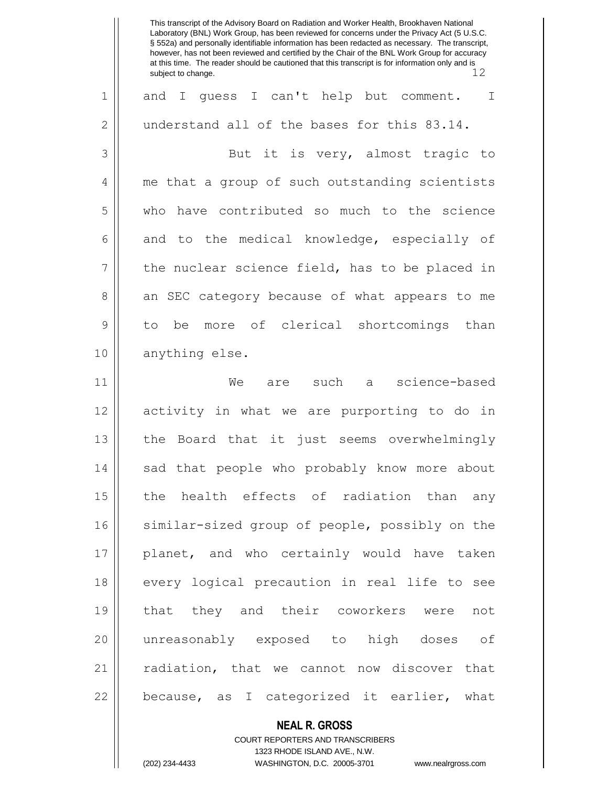|              | This transcript of the Advisory Board on Radiation and Worker Health, Brookhaven National<br>Laboratory (BNL) Work Group, has been reviewed for concerns under the Privacy Act (5 U.S.C.<br>§ 552a) and personally identifiable information has been redacted as necessary. The transcript,<br>however, has not been reviewed and certified by the Chair of the BNL Work Group for accuracy<br>at this time. The reader should be cautioned that this transcript is for information only and is<br>12<br>subject to change. |
|--------------|-----------------------------------------------------------------------------------------------------------------------------------------------------------------------------------------------------------------------------------------------------------------------------------------------------------------------------------------------------------------------------------------------------------------------------------------------------------------------------------------------------------------------------|
| 1            | quess I can't help but comment.<br>$\mathbf I$<br>and<br>$\mathbb{I}$                                                                                                                                                                                                                                                                                                                                                                                                                                                       |
| $\mathbf{2}$ | understand all of the bases for this 83.14.                                                                                                                                                                                                                                                                                                                                                                                                                                                                                 |
| 3            | But it is very, almost tragic to                                                                                                                                                                                                                                                                                                                                                                                                                                                                                            |
| 4            | me that a group of such outstanding scientists                                                                                                                                                                                                                                                                                                                                                                                                                                                                              |
| 5            | have contributed so much to the science<br>who                                                                                                                                                                                                                                                                                                                                                                                                                                                                              |
| 6            | and to the medical knowledge, especially of                                                                                                                                                                                                                                                                                                                                                                                                                                                                                 |
| 7            | the nuclear science field, has to be placed in                                                                                                                                                                                                                                                                                                                                                                                                                                                                              |
| 8            | an SEC category because of what appears to me                                                                                                                                                                                                                                                                                                                                                                                                                                                                               |
| 9            | more of clerical shortcomings<br>than<br>to<br>be                                                                                                                                                                                                                                                                                                                                                                                                                                                                           |
| 10           | anything else.                                                                                                                                                                                                                                                                                                                                                                                                                                                                                                              |
| 11           | science-based<br>We<br>such<br>are<br>a                                                                                                                                                                                                                                                                                                                                                                                                                                                                                     |
| 12           | activity in what we are purporting to do in                                                                                                                                                                                                                                                                                                                                                                                                                                                                                 |
| 13           | the Board that it just seems overwhelmingly                                                                                                                                                                                                                                                                                                                                                                                                                                                                                 |
| 14           | sad that people who probably know more about                                                                                                                                                                                                                                                                                                                                                                                                                                                                                |
| 15           | the health effects of radiation than any                                                                                                                                                                                                                                                                                                                                                                                                                                                                                    |
| 16           | similar-sized group of people, possibly on the                                                                                                                                                                                                                                                                                                                                                                                                                                                                              |
| 17           | planet, and who certainly would have taken                                                                                                                                                                                                                                                                                                                                                                                                                                                                                  |
| 18           | every logical precaution in real life to see                                                                                                                                                                                                                                                                                                                                                                                                                                                                                |
| 19           | that they and their coworkers were<br>not                                                                                                                                                                                                                                                                                                                                                                                                                                                                                   |
| 20           | unreasonably exposed to high doses of                                                                                                                                                                                                                                                                                                                                                                                                                                                                                       |
| 21           | radiation, that we cannot now discover that                                                                                                                                                                                                                                                                                                                                                                                                                                                                                 |
| 22           | because, as I categorized it earlier, what                                                                                                                                                                                                                                                                                                                                                                                                                                                                                  |

**NEAL R. GROSS**

COURT REPORTERS AND TRANSCRIBERS 1323 RHODE ISLAND AVE., N.W. (202) 234-4433 WASHINGTON, D.C. 20005-3701 www.nealrgross.com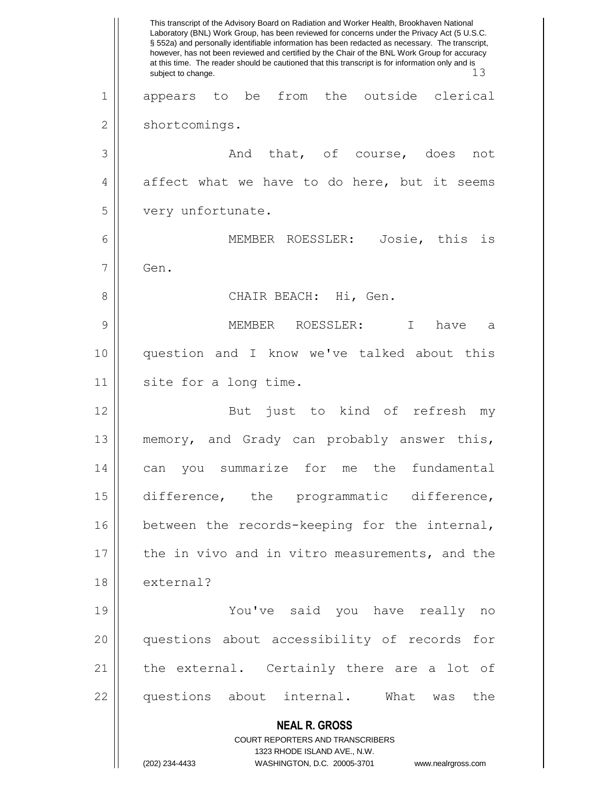**NEAL R. GROSS** COURT REPORTERS AND TRANSCRIBERS 1323 RHODE ISLAND AVE., N.W. (202) 234-4433 WASHINGTON, D.C. 20005-3701 www.nealrgross.com This transcript of the Advisory Board on Radiation and Worker Health, Brookhaven National Laboratory (BNL) Work Group, has been reviewed for concerns under the Privacy Act (5 U.S.C. § 552a) and personally identifiable information has been redacted as necessary. The transcript, however, has not been reviewed and certified by the Chair of the BNL Work Group for accuracy at this time. The reader should be cautioned that this transcript is for information only and is<br>3.13 subject to change. 1 appears to be from the outside clerical 2 | shortcomings. 3 And that, of course, does not  $4 \parallel$  affect what we have to do here, but it seems 5 | very unfortunate. 6 MEMBER ROESSLER: Josie, this is  $7 \parallel$  Gen. 8 CHAIR BEACH: Hi, Gen. 9 MEMBER ROESSLER: I have a 10 question and I know we've talked about this 11 || site for a long time. 12 || But just to kind of refresh my 13 memory, and Grady can probably answer this, 14 can you summarize for me the fundamental 15 difference, the programmatic difference, 16 || between the records-keeping for the internal, 17 || the in vivo and in vitro measurements, and the 18 external? 19 You've said you have really no 20 questions about accessibility of records for 21 || the external. Certainly there are a lot of 22 || questions about internal. What was the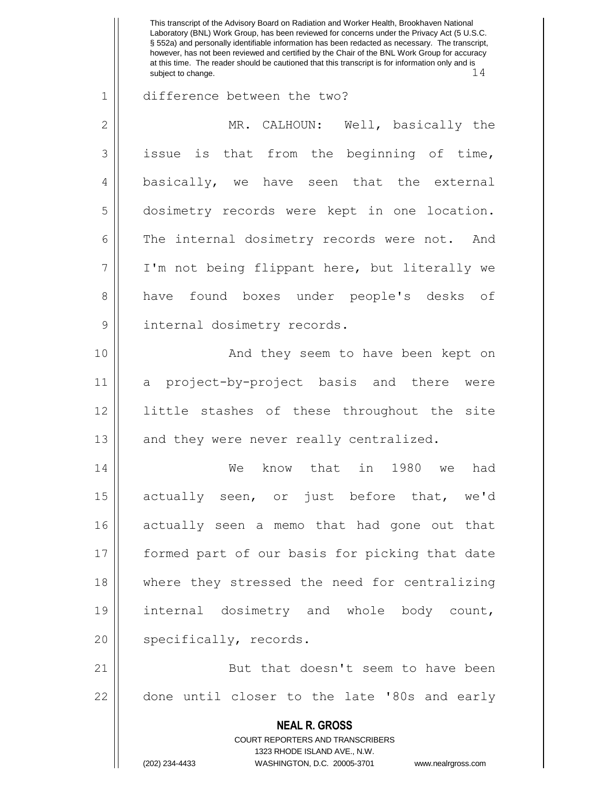This transcript of the Advisory Board on Radiation and Worker Health, Brookhaven National Laboratory (BNL) Work Group, has been reviewed for concerns under the Privacy Act (5 U.S.C. § 552a) and personally identifiable information has been redacted as necessary. The transcript, however, has not been reviewed and certified by the Chair of the BNL Work Group for accuracy at this time. The reader should be cautioned that this transcript is for information only and is subject to change.  $14$ 1 difference between the two? 2 || MR. CALHOUN: Well, basically the  $3 \parallel$  issue is that from the beginning of time, 4 basically, we have seen that the external 5 dosimetry records were kept in one location. 6 The internal dosimetry records were not. And 7 I'm not being flippant here, but literally we 8 have found boxes under people's desks of 9 || internal dosimetry records. 10 || And they seem to have been kept on 11 a project-by-project basis and there were 12 little stashes of these throughout the site  $13$  and they were never really centralized. 14 We know that in 1980 we had 15 || actually seen, or just before that, we'd 16 actually seen a memo that had gone out that 17 || formed part of our basis for picking that date 18 where they stressed the need for centralizing 19 || internal dosimetry and whole body count, 20 || specifically, records. 21 || But that doesn't seem to have been 22 || done until closer to the late '80s and early

> **NEAL R. GROSS** COURT REPORTERS AND TRANSCRIBERS

> > 1323 RHODE ISLAND AVE., N.W.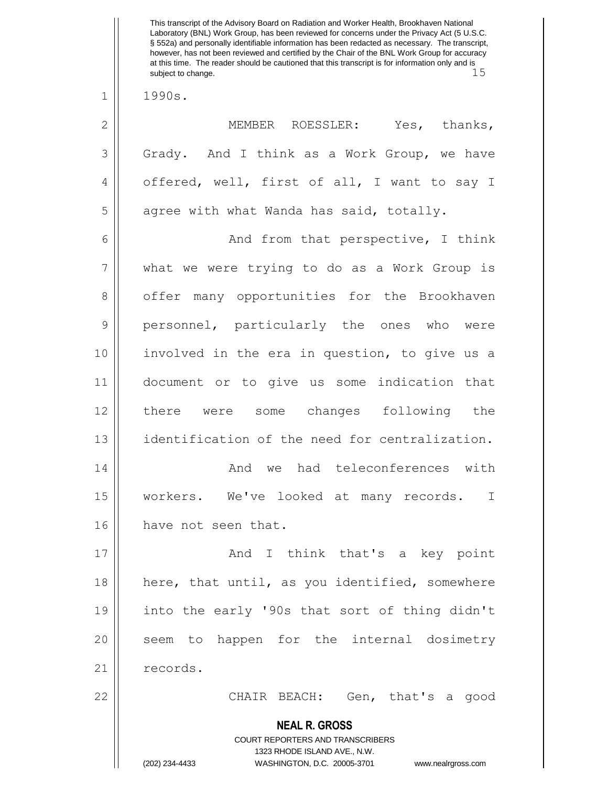**NEAL R. GROSS** COURT REPORTERS AND TRANSCRIBERS 1323 RHODE ISLAND AVE., N.W. (202) 234-4433 WASHINGTON, D.C. 20005-3701 www.nealrgross.com Laboratory (BNL) Work Group, has been reviewed for concerns under the Privacy Act (5 U.S.C. § 552a) and personally identifiable information has been redacted as necessary. The transcript, however, has not been reviewed and certified by the Chair of the BNL Work Group for accuracy at this time. The reader should be cautioned that this transcript is for information only and is<br>subject to change. 15 subject to change. 1 1990s. 2 MEMBER ROESSLER: Yes, thanks, 3 Grady. And I think as a Work Group, we have 4 || offered, well, first of all, I want to say I  $5 \parallel$  agree with what Wanda has said, totally. 6 || And from that perspective, I think 7 what we were trying to do as a Work Group is 8 | offer many opportunities for the Brookhaven 9 || personnel, particularly the ones who were 10 || involved in the era in question, to give us a 11 document or to give us some indication that 12 there were some changes following the 13 identification of the need for centralization. 14 And we had teleconferences with 15 || workers. We've looked at many records. I 16 | have not seen that. 17 And I think that's a key point 18 || here, that until, as you identified, somewhere 19 into the early '90s that sort of thing didn't 20 || seem to happen for the internal dosimetry 21 | records. 22 CHAIR BEACH: Gen, that's a good

This transcript of the Advisory Board on Radiation and Worker Health, Brookhaven National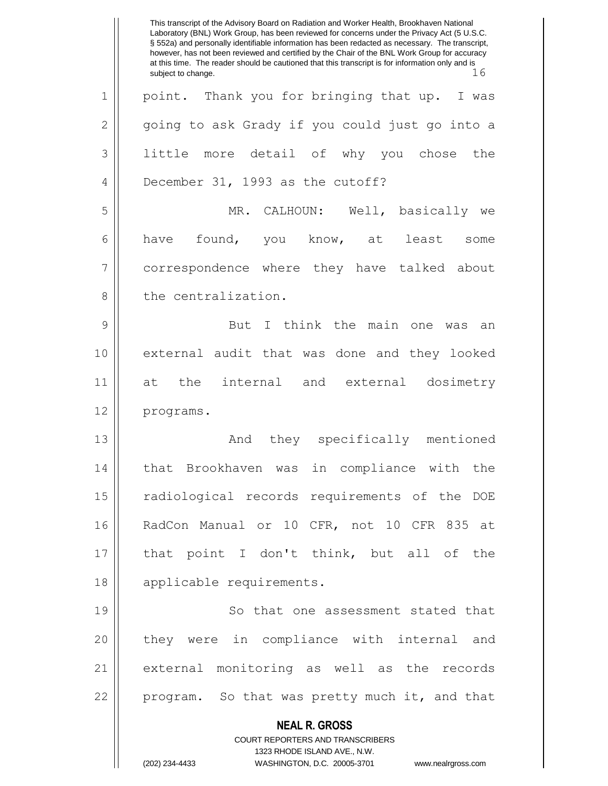**NEAL R. GROSS** COURT REPORTERS AND TRANSCRIBERS 1323 RHODE ISLAND AVE., N.W. This transcript of the Advisory Board on Radiation and Worker Health, Brookhaven National Laboratory (BNL) Work Group, has been reviewed for concerns under the Privacy Act (5 U.S.C. § 552a) and personally identifiable information has been redacted as necessary. The transcript, however, has not been reviewed and certified by the Chair of the BNL Work Group for accuracy at this time. The reader should be cautioned that this transcript is for information only and is subject to change.  $16$ 1 || point. Thank you for bringing that up. I was 2 | qoing to ask Grady if you could just go into a 3 little more detail of why you chose the 4 **December 31, 1993** as the cutoff? 5 MR. CALHOUN: Well, basically we  $6 \parallel$  have found, you know, at least some 7 correspondence where they have talked about 8 l the centralization. 9 || But I think the main one was an 10 external audit that was done and they looked 11 at the internal and external dosimetry 12 | programs. 13 || They specifically mentioned 14 || that Brookhaven was in compliance with the 15 || radiological records requirements of the DOE 16 RadCon Manual or 10 CFR, not 10 CFR 835 at 17 that point I don't think, but all of the 18 || applicable requirements. 19 || So that one assessment stated that 20 || they were in compliance with internal and 21 external monitoring as well as the records 22 || program. So that was pretty much it, and that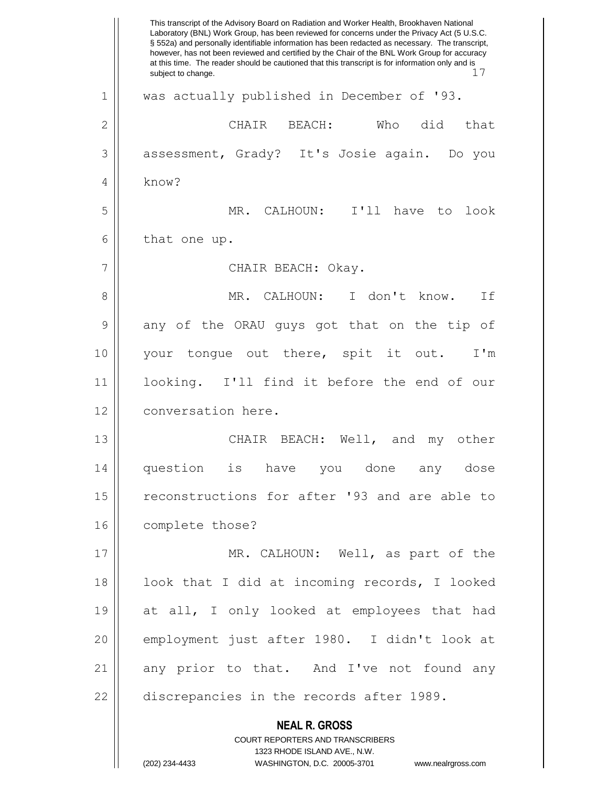**NEAL R. GROSS** COURT REPORTERS AND TRANSCRIBERS This transcript of the Advisory Board on Radiation and Worker Health, Brookhaven National Laboratory (BNL) Work Group, has been reviewed for concerns under the Privacy Act (5 U.S.C. § 552a) and personally identifiable information has been redacted as necessary. The transcript, however, has not been reviewed and certified by the Chair of the BNL Work Group for accuracy at this time. The reader should be cautioned that this transcript is for information only and is subject to change.  $17$ 1 || was actually published in December of '93.  $2 \parallel$  CHAIR BEACH: Who did that 3 | assessment, Grady? It's Josie again. Do you 4 know? 5 MR. CALHOUN: I'll have to look  $6 \parallel$  that one up. 7 CHAIR BEACH: Okay. 8 MR. CALHOUN: I don't know. If 9 any of the ORAU guys got that on the tip of 10 your tongue out there, spit it out. I'm 11 looking. I'll find it before the end of our 12 | conversation here. 13 CHAIR BEACH: Well, and my other 14 question is have you done any dose 15 || reconstructions for after '93 and are able to 16 | complete those? 17 || MR. CALHOUN: Well, as part of the 18 || look that I did at incoming records, I looked 19 at all, I only looked at employees that had 20 employment just after 1980. I didn't look at 21 || any prior to that. And I've not found any  $22$  || discrepancies in the records after 1989.

1323 RHODE ISLAND AVE., N.W.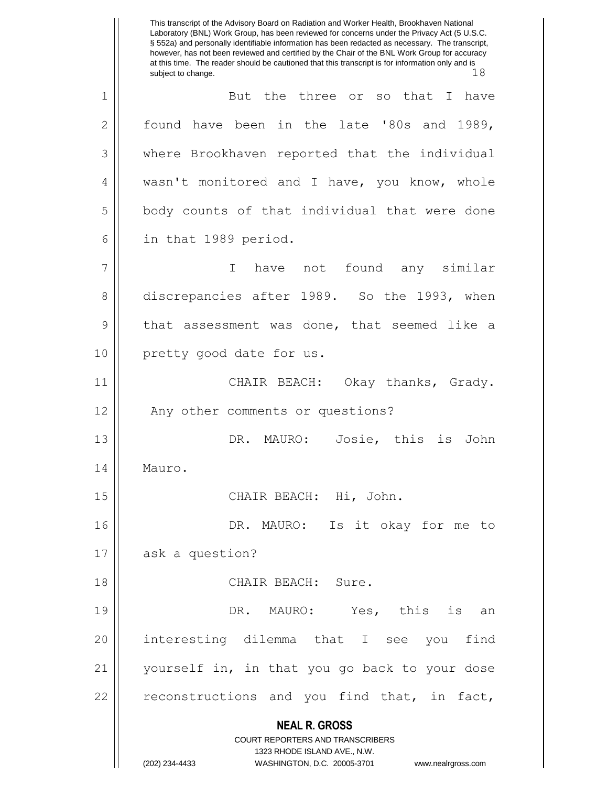**NEAL R. GROSS** COURT REPORTERS AND TRANSCRIBERS 1323 RHODE ISLAND AVE., N.W. (202) 234-4433 WASHINGTON, D.C. 20005-3701 www.nealrgross.com This transcript of the Advisory Board on Radiation and Worker Health, Brookhaven National Laboratory (BNL) Work Group, has been reviewed for concerns under the Privacy Act (5 U.S.C. § 552a) and personally identifiable information has been redacted as necessary. The transcript, however, has not been reviewed and certified by the Chair of the BNL Work Group for accuracy at this time. The reader should be cautioned that this transcript is for information only and is subject to change. 18 1 But the three or so that I have 2 found have been in the late '80s and 1989, 3 where Brookhaven reported that the individual 4 || wasn't monitored and I have, you know, whole 5 | body counts of that individual that were done 6 || in that 1989 period. 7 I have not found any similar 8 discrepancies after 1989. So the 1993, when 9 || that assessment was done, that seemed like a 10 || pretty good date for us. 11 || CHAIR BEACH: Okay thanks, Grady. 12 || Any other comments or questions? 13 || DR. MAURO: Josie, this is John 14 | Mauro. 15 || CHAIR BEACH: Hi, John. 16 || DR. MAURO: Is it okay for me to 17 || ask a question? 18 CHAIR BEACH: Sure. 19 || DR. MAURO: Yes, this is an 20 interesting dilemma that I see you find 21 yourself in, in that you go back to your dose  $22$  reconstructions and you find that, in fact,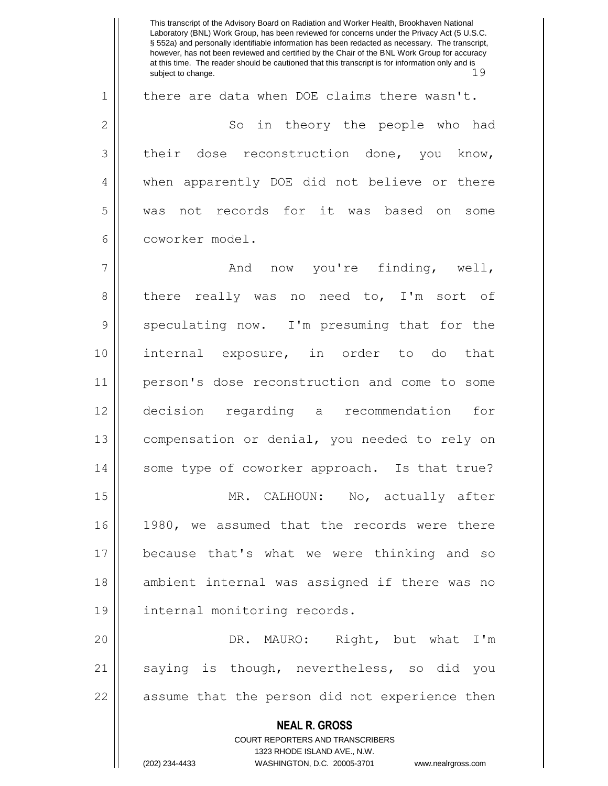**NEAL R. GROSS** COURT REPORTERS AND TRANSCRIBERS 1323 RHODE ISLAND AVE., N.W. This transcript of the Advisory Board on Radiation and Worker Health, Brookhaven National Laboratory (BNL) Work Group, has been reviewed for concerns under the Privacy Act (5 U.S.C. § 552a) and personally identifiable information has been redacted as necessary. The transcript, however, has not been reviewed and certified by the Chair of the BNL Work Group for accuracy at this time. The reader should be cautioned that this transcript is for information only and is subject to change. 19 1 | there are data when DOE claims there wasn't. 2 || So in theory the people who had 3 their dose reconstruction done, you know, 4 || when apparently DOE did not believe or there 5 was not records for it was based on some 6 coworker model. 7 And now you're finding, well, 8 there really was no need to, I'm sort of 9 Speculating now. I'm presuming that for the 10 internal exposure, in order to do that 11 person's dose reconstruction and come to some 12 decision regarding a recommendation for 13 compensation or denial, you needed to rely on 14 || some type of coworker approach. Is that true? 15 || MR. CALHOUN: No, actually after 16 1980, we assumed that the records were there 17 because that's what we were thinking and so 18 || ambient internal was assigned if there was no 19 | internal monitoring records. 20 DR. MAURO: Right, but what I'm 21 || saying is though, nevertheless, so did you 22 || assume that the person did not experience then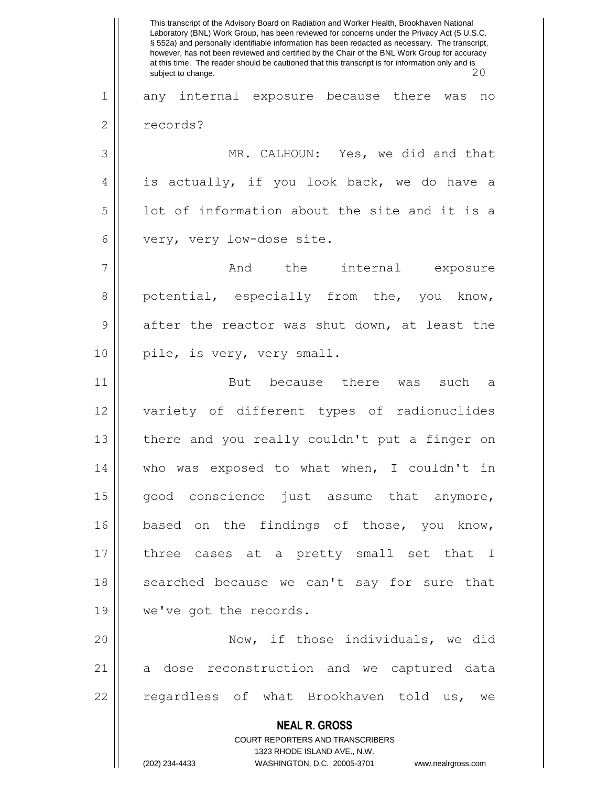**NEAL R. GROSS** COURT REPORTERS AND TRANSCRIBERS 1323 RHODE ISLAND AVE., N.W. This transcript of the Advisory Board on Radiation and Worker Health, Brookhaven National Laboratory (BNL) Work Group, has been reviewed for concerns under the Privacy Act (5 U.S.C. § 552a) and personally identifiable information has been redacted as necessary. The transcript, however, has not been reviewed and certified by the Chair of the BNL Work Group for accuracy at this time. The reader should be cautioned that this transcript is for information only and is subject to change. 20 1 any internal exposure because there was no 2 | records? 3 MR. CALHOUN: Yes, we did and that  $4 \parallel$  is actually, if you look back, we do have a  $5 \parallel$  lot of information about the site and it is a 6 | very, very low-dose site. 7 And the internal exposure 8 potential, especially from the, you know,  $9 \parallel$  after the reactor was shut down, at least the 10 || pile, is very, very small. 11 || But because there was such a 12 variety of different types of radionuclides 13  $\parallel$  there and you really couldn't put a finger on 14 || who was exposed to what when, I couldn't in 15 || good conscience just assume that anymore, 16 based on the findings of those, you know, 17 three cases at a pretty small set that I 18 || searched because we can't say for sure that 19 || we've got the records. 20 Now, if those individuals, we did 21 a dose reconstruction and we captured data 22 || regardless of what Brookhaven told us, we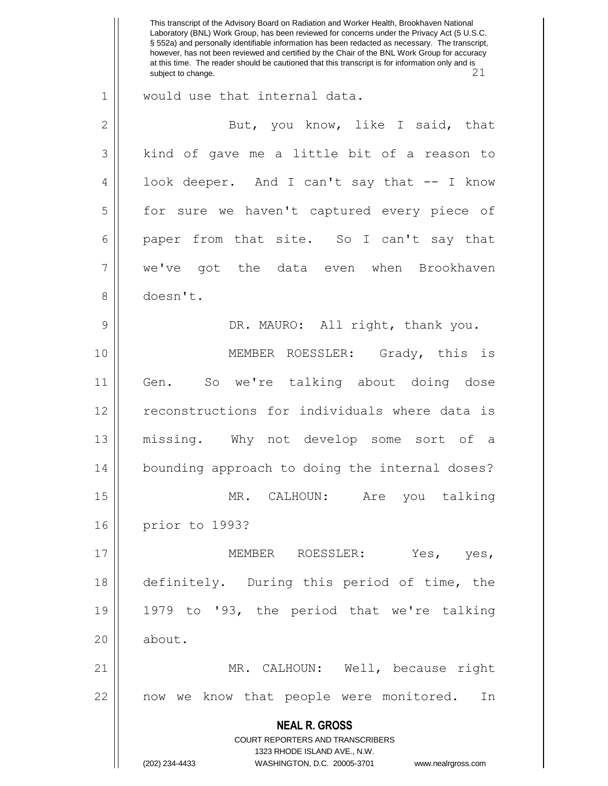**NEAL R. GROSS** COURT REPORTERS AND TRANSCRIBERS 1323 RHODE ISLAND AVE., N.W. (202) 234-4433 WASHINGTON, D.C. 20005-3701 www.nealrgross.com This transcript of the Advisory Board on Radiation and Worker Health, Brookhaven National Laboratory (BNL) Work Group, has been reviewed for concerns under the Privacy Act (5 U.S.C. § 552a) and personally identifiable information has been redacted as necessary. The transcript, however, has not been reviewed and certified by the Chair of the BNL Work Group for accuracy at this time. The reader should be cautioned that this transcript is for information only and is subject to change. 21 subject to change. 1 || would use that internal data. 2 || But, you know, like I said, that 3 | kind of gave me a little bit of a reason to 4 || look deeper. And I can't say that -- I know 5 | for sure we haven't captured every piece of 6 paper from that site. So I can't say that 7 we've got the data even when Brookhaven 8 doesn't. 9 DR. MAURO: All right, thank you. 10 MEMBER ROESSLER: Grady, this is 11 Gen. So we're talking about doing dose 12 || reconstructions for individuals where data is 13 missing. Why not develop some sort of a 14 bounding approach to doing the internal doses? 15 || MR. CALHOUN: Are you talking 16 prior to 1993? 17 MEMBER ROESSLER: Yes, yes, 18 definitely. During this period of time, the 19 1979 to '93, the period that we're talking 20 | about. 21 MR. CALHOUN: Well, because right 22 || now we know that people were monitored. In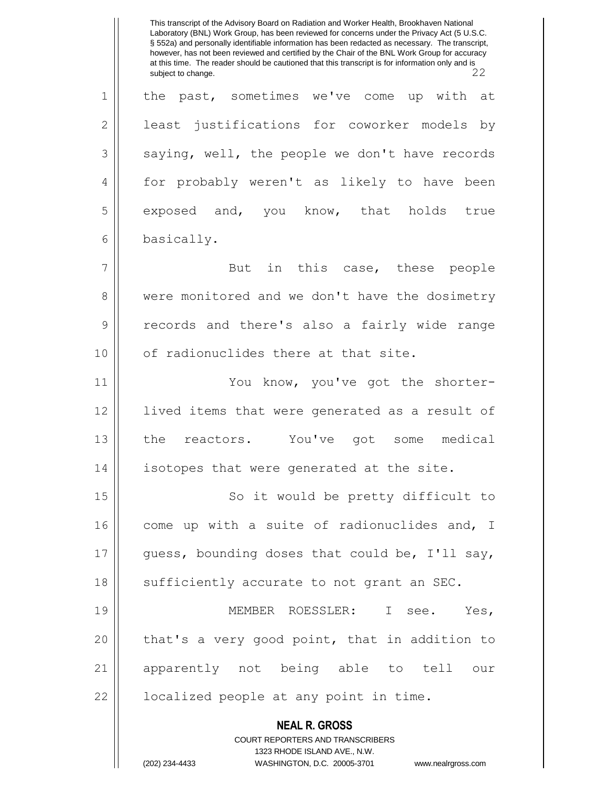**NEAL R. GROSS** COURT REPORTERS AND TRANSCRIBERS 1323 RHODE ISLAND AVE., N.W. (202) 234-4433 WASHINGTON, D.C. 20005-3701 www.nealrgross.com This transcript of the Advisory Board on Radiation and Worker Health, Brookhaven National Laboratory (BNL) Work Group, has been reviewed for concerns under the Privacy Act (5 U.S.C. § 552a) and personally identifiable information has been redacted as necessary. The transcript, however, has not been reviewed and certified by the Chair of the BNL Work Group for accuracy at this time. The reader should be cautioned that this transcript is for information only and is subject to change. 1 || the past, sometimes we've come up with at 2 || least justifications for coworker models by  $3$  | saying, well, the people we don't have records 4 | for probably weren't as likely to have been 5 exposed and, you know, that holds true 6 basically. 7 || But in this case, these people 8 were monitored and we don't have the dosimetry 9 || records and there's also a fairly wide range 10 | of radionuclides there at that site. 11 You know, you've got the shorter-12 lived items that were generated as a result of 13 || the reactors. You've got some medical 14 || isotopes that were generated at the site. 15 || So it would be pretty difficult to  $16$  come up with a suite of radionuclides and, I  $17$  || guess, bounding doses that could be, I'll say, 18 || sufficiently accurate to not grant an SEC. 19 MEMBER ROESSLER: I see. Yes, 20 || that's a very good point, that in addition to 21 apparently not being able to tell our  $22$  |  $\blacksquare$  localized people at any point in time.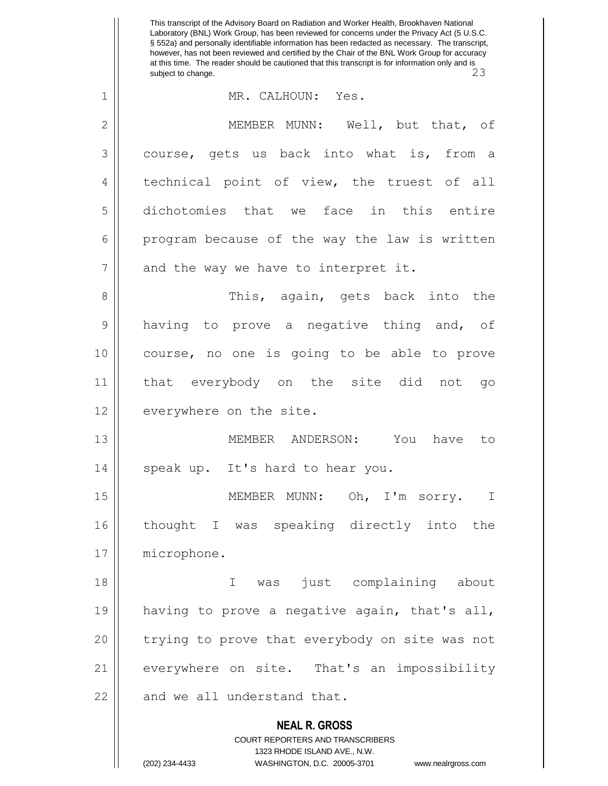**NEAL R. GROSS** COURT REPORTERS AND TRANSCRIBERS 1323 RHODE ISLAND AVE., N.W. This transcript of the Advisory Board on Radiation and Worker Health, Brookhaven National Laboratory (BNL) Work Group, has been reviewed for concerns under the Privacy Act (5 U.S.C. § 552a) and personally identifiable information has been redacted as necessary. The transcript, however, has not been reviewed and certified by the Chair of the BNL Work Group for accuracy at this time. The reader should be cautioned that this transcript is for information only and is subject to change. 23 1 MR. CALHOUN: Yes. 2 MEMBER MUNN: Well, but that, of 3 course, gets us back into what is, from a 4 || technical point of view, the truest of all 5 dichotomies that we face in this entire  $6$  || program because of the way the law is written  $7$  || and the way we have to interpret it. 8 This, again, gets back into the 9 || having to prove a negative thing and, of 10 course, no one is going to be able to prove 11 that everybody on the site did not go 12 | everywhere on the site. 13 MEMBER ANDERSON: You have to 14 || speak up. It's hard to hear you. 15 || MEMBER MUNN: Oh, I'm sorry. I 16 thought I was speaking directly into the 17 | microphone. 18 I was just complaining about 19 || having to prove a negative again, that's all, 20 || trying to prove that everybody on site was not 21 everywhere on site. That's an impossibility  $22$  || and we all understand that.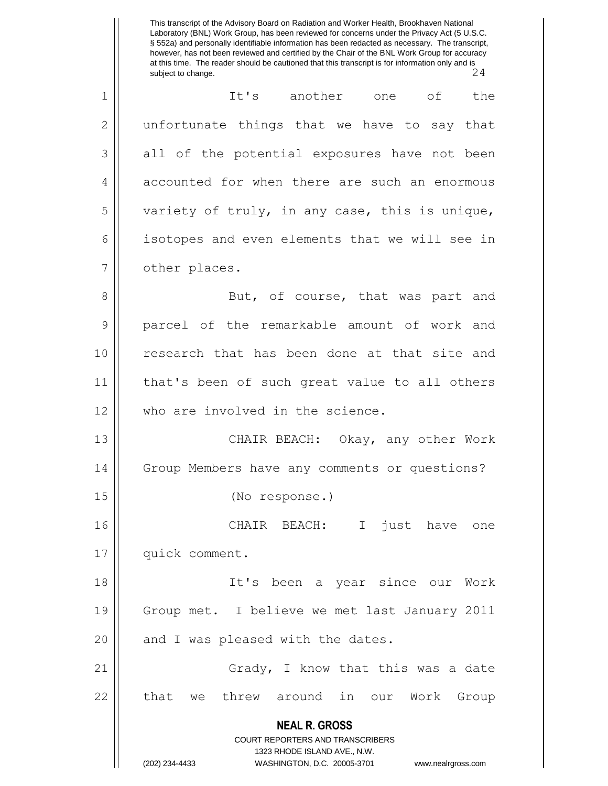**NEAL R. GROSS** COURT REPORTERS AND TRANSCRIBERS 1323 RHODE ISLAND AVE., N.W. This transcript of the Advisory Board on Radiation and Worker Health, Brookhaven National Laboratory (BNL) Work Group, has been reviewed for concerns under the Privacy Act (5 U.S.C. § 552a) and personally identifiable information has been redacted as necessary. The transcript, however, has not been reviewed and certified by the Chair of the BNL Work Group for accuracy at this time. The reader should be cautioned that this transcript is for information only and is<br>subject to change. subject to change. 1 || It's another one of the  $2 \parallel$  unfortunate things that we have to say that  $3 \parallel$  all of the potential exposures have not been 4 || accounted for when there are such an enormous  $5 \parallel$  variety of truly, in any case, this is unique, 6 | isotopes and even elements that we will see in 7 | other places. 8 || But, of course, that was part and 9 parcel of the remarkable amount of work and 10 || research that has been done at that site and 11 || that's been of such great value to all others 12 || who are involved in the science. 13 || CHAIR BEACH: Okay, any other Work 14 Group Members have any comments or questions? 15 (No response.) 16 CHAIR BEACH: I just have one 17 | quick comment. 18 It's been a year since our Work 19 Group met. I believe we met last January 2011  $20$  || and I was pleased with the dates. 21 || Grady, I know that this was a date  $22$  | that we threw around in our Work Group

<sup>(202) 234-4433</sup> WASHINGTON, D.C. 20005-3701 www.nealrgross.com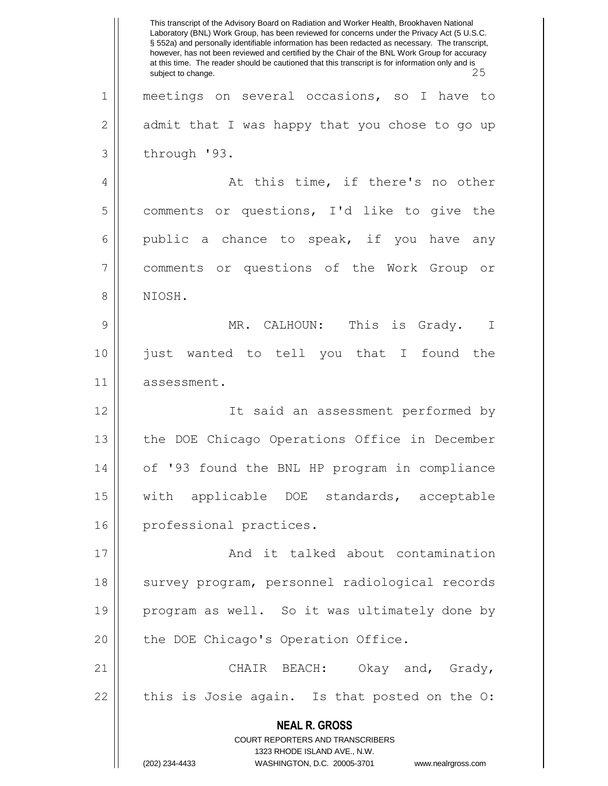**NEAL R. GROSS** COURT REPORTERS AND TRANSCRIBERS 1323 RHODE ISLAND AVE., N.W. (202) 234-4433 WASHINGTON, D.C. 20005-3701 www.nealrgross.com This transcript of the Advisory Board on Radiation and Worker Health, Brookhaven National Laboratory (BNL) Work Group, has been reviewed for concerns under the Privacy Act (5 U.S.C. § 552a) and personally identifiable information has been redacted as necessary. The transcript, however, has not been reviewed and certified by the Chair of the BNL Work Group for accuracy at this time. The reader should be cautioned that this transcript is for information only and is subject to change. 1 meetings on several occasions, so I have to  $2 \parallel$  admit that I was happy that you chose to go up  $3 \parallel$  through '93. 4 At this time, if there's no other 5 comments or questions, I'd like to give the 6 public a chance to speak, if you have any 7 comments or questions of the Work Group or 8 NIOSH. 9 MR. CALHOUN: This is Grady. I 10 just wanted to tell you that I found the 11 assessment. 12 It said an assessment performed by 13 the DOE Chicago Operations Office in December 14 of '93 found the BNL HP program in compliance 15 with applicable DOE standards, acceptable 16 || professional practices. 17 || **And it talked about contamination** 18 || survey program, personnel radiological records 19 || program as well. So it was ultimately done by 20 | the DOE Chicago's Operation Office. 21 CHAIR BEACH: Okay and, Grady,  $22$  | this is Josie again. Is that posted on the O: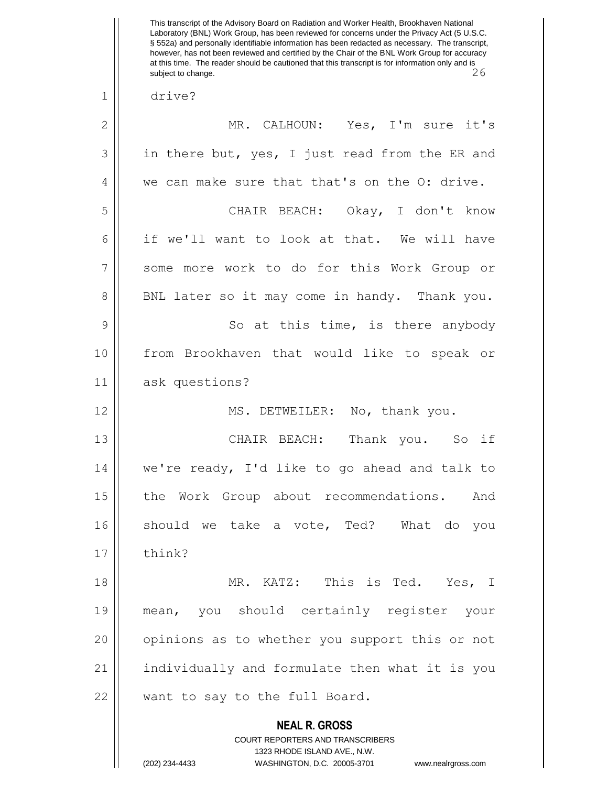**NEAL R. GROSS** COURT REPORTERS AND TRANSCRIBERS 1323 RHODE ISLAND AVE., N.W. (202) 234-4433 WASHINGTON, D.C. 20005-3701 www.nealrgross.com This transcript of the Advisory Board on Radiation and Worker Health, Brookhaven National Laboratory (BNL) Work Group, has been reviewed for concerns under the Privacy Act (5 U.S.C. § 552a) and personally identifiable information has been redacted as necessary. The transcript, however, has not been reviewed and certified by the Chair of the BNL Work Group for accuracy at this time. The reader should be cautioned that this transcript is for information only and is subject to change. 26 1 drive? 2 || MR. CALHOUN: Yes, I'm sure it's  $3 \parallel$  in there but, yes, I just read from the ER and 4 we can make sure that that's on the O: drive. 5 CHAIR BEACH: Okay, I don't know 6 || if we'll want to look at that. We will have 7 Some more work to do for this Work Group or 8 || BNL later so it may come in handy. Thank you. 9 || So at this time, is there anybody 10 from Brookhaven that would like to speak or 11 ask questions? 12 || MS. DETWEILER: No, thank you. 13 CHAIR BEACH: Thank you. So if 14 we're ready, I'd like to go ahead and talk to 15 || the Work Group about recommendations. And 16 should we take a vote, Ted? What do you  $17 \parallel$  think? 18 MR. KATZ: This is Ted. Yes, I 19 mean, you should certainly register your 20 || opinions as to whether you support this or not 21 individually and formulate then what it is you 22 || want to say to the full Board.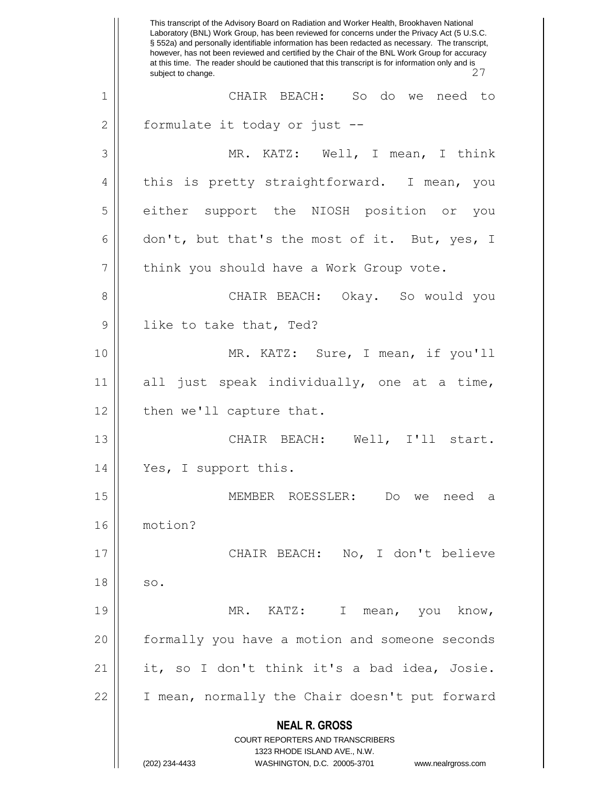**NEAL R. GROSS** COURT REPORTERS AND TRANSCRIBERS 1323 RHODE ISLAND AVE., N.W. (202) 234-4433 WASHINGTON, D.C. 20005-3701 www.nealrgross.com This transcript of the Advisory Board on Radiation and Worker Health, Brookhaven National Laboratory (BNL) Work Group, has been reviewed for concerns under the Privacy Act (5 U.S.C. § 552a) and personally identifiable information has been redacted as necessary. The transcript, however, has not been reviewed and certified by the Chair of the BNL Work Group for accuracy at this time. The reader should be cautioned that this transcript is for information only and is subject to change. 1 CHAIR BEACH: So do we need to 2 || formulate it today or just --3 MR. KATZ: Well, I mean, I think 4 || this is pretty straightforward. I mean, you 5 either support the NIOSH position or you 6 don't, but that's the most of it. But, yes, I 7 | think you should have a Work Group vote. 8 CHAIR BEACH: Okay. So would you 9 || like to take that, Ted? 10 MR. KATZ: Sure, I mean, if you'll 11 all just speak individually, one at a time, 12 | then we'll capture that. 13 CHAIR BEACH: Well, I'll start. 14 || Yes, I support this. 15 MEMBER ROESSLER: Do we need a 16 motion? 17 CHAIR BEACH: No, I don't believe  $18 \parallel$  so. 19 MR. KATZ: I mean, you know, 20 formally you have a motion and someone seconds 21 it, so I don't think it's a bad idea, Josie. 22 || I mean, normally the Chair doesn't put forward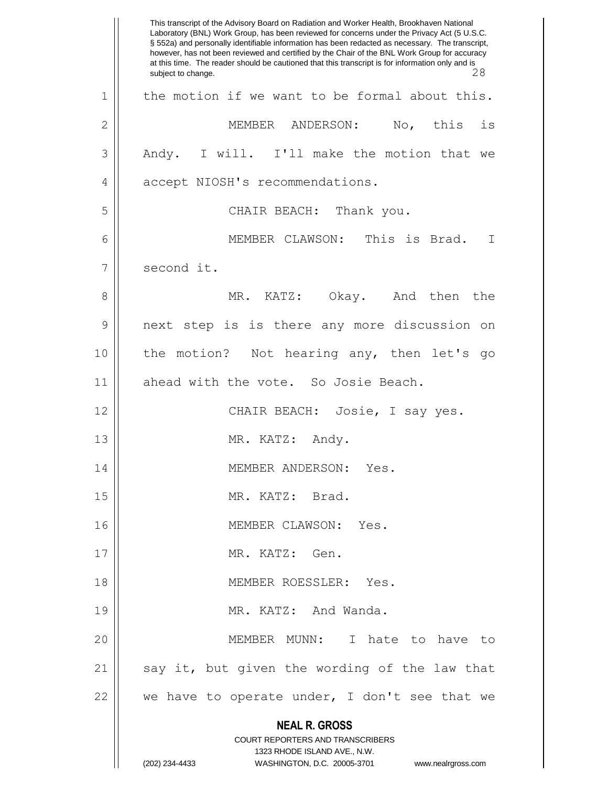**NEAL R. GROSS** COURT REPORTERS AND TRANSCRIBERS 1323 RHODE ISLAND AVE., N.W. (202) 234-4433 WASHINGTON, D.C. 20005-3701 www.nealrgross.com This transcript of the Advisory Board on Radiation and Worker Health, Brookhaven National Laboratory (BNL) Work Group, has been reviewed for concerns under the Privacy Act (5 U.S.C. § 552a) and personally identifiable information has been redacted as necessary. The transcript, however, has not been reviewed and certified by the Chair of the BNL Work Group for accuracy at this time. The reader should be cautioned that this transcript is for information only and is subject to change. 28  $1 \parallel$  the motion if we want to be formal about this. 2 MEMBER ANDERSON: No, this is 3 Andy. I will. I'll make the motion that we 4 | accept NIOSH's recommendations. 5 || CHAIR BEACH: Thank you. 6 MEMBER CLAWSON: This is Brad. I 7 | second it. 8 MR. KATZ: Okay. And then the 9 next step is is there any more discussion on 10 || the motion? Not hearing any, then let's go 11 || ahead with the vote. So Josie Beach. 12 || CHAIR BEACH: Josie, I say yes. 13 || MR. KATZ: Andy. 14 || MEMBER ANDERSON: Yes. 15 || MR. KATZ: Brad. 16 || MEMBER CLAWSON: Yes. 17 MR. KATZ: Gen. 18 MEMBER ROESSLER: Yes. 19 || MR. KATZ: And Wanda. 20 MEMBER MUNN: I hate to have to  $21$  say it, but given the wording of the law that 22 || we have to operate under, I don't see that we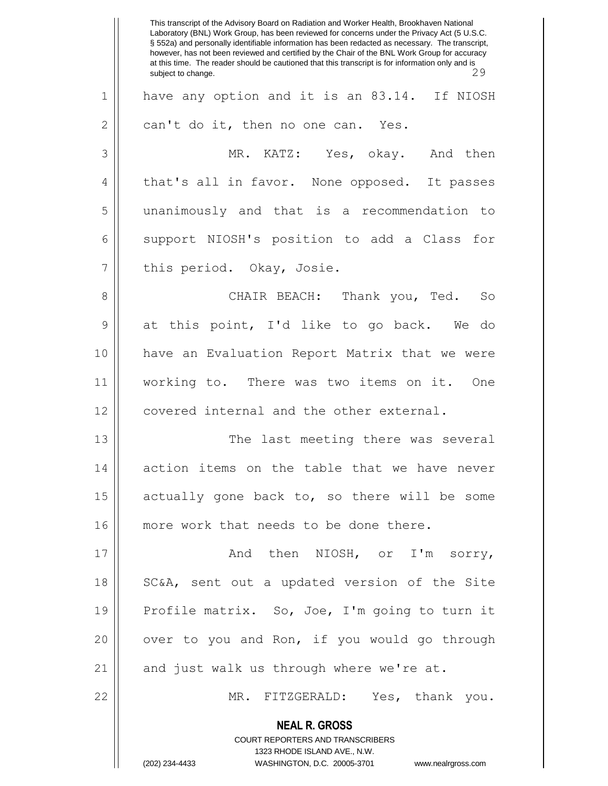**NEAL R. GROSS** COURT REPORTERS AND TRANSCRIBERS 1323 RHODE ISLAND AVE., N.W. (202) 234-4433 WASHINGTON, D.C. 20005-3701 www.nealrgross.com This transcript of the Advisory Board on Radiation and Worker Health, Brookhaven National Laboratory (BNL) Work Group, has been reviewed for concerns under the Privacy Act (5 U.S.C. § 552a) and personally identifiable information has been redacted as necessary. The transcript, however, has not been reviewed and certified by the Chair of the BNL Work Group for accuracy at this time. The reader should be cautioned that this transcript is for information only and is<br>29 subject to change. 1 have any option and it is an 83.14. If NIOSH  $2 \parallel$  can't do it, then no one can. Yes. 3 MR. KATZ: Yes, okay. And then 4 || that's all in favor. None opposed. It passes 5 unanimously and that is a recommendation to 6 || support NIOSH's position to add a Class for 7 || this period. Okay, Josie. 8 CHAIR BEACH: Thank you, Ted. So 9 at this point, I'd like to go back. We do 10 have an Evaluation Report Matrix that we were 11 working to. There was two items on it. One 12 | covered internal and the other external. 13 || The last meeting there was several 14 || action items on the table that we have never 15  $\parallel$  actually gone back to, so there will be some 16 || more work that needs to be done there. 17  $\parallel$  and then NIOSH, or I'm sorry, 18 || SC&A, sent out a updated version of the Site 19 || Profile matrix. So, Joe, I'm going to turn it 20  $\parallel$  over to you and Ron, if you would go through  $21$  || and just walk us through where we're at. 22 MR. FITZGERALD: Yes, thank you.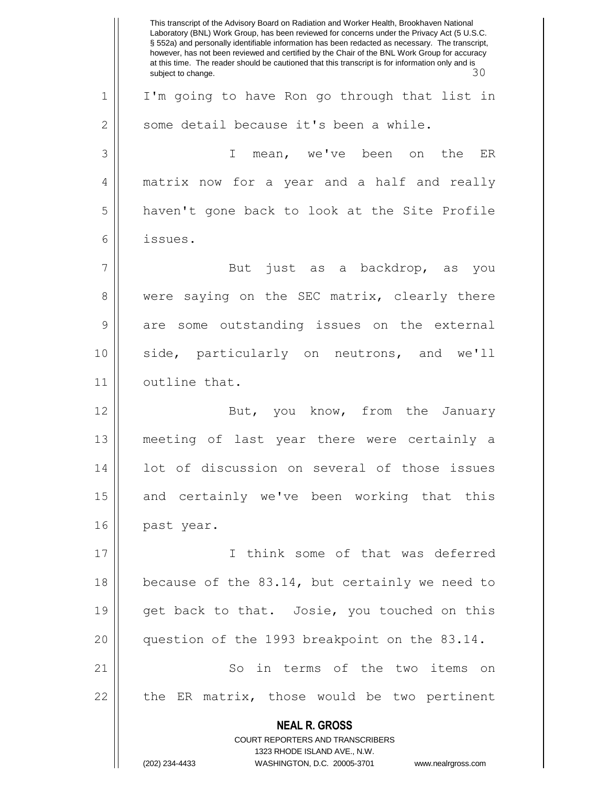**NEAL R. GROSS** COURT REPORTERS AND TRANSCRIBERS 1323 RHODE ISLAND AVE., N.W. (202) 234-4433 WASHINGTON, D.C. 20005-3701 www.nealrgross.com This transcript of the Advisory Board on Radiation and Worker Health, Brookhaven National Laboratory (BNL) Work Group, has been reviewed for concerns under the Privacy Act (5 U.S.C. § 552a) and personally identifiable information has been redacted as necessary. The transcript, however, has not been reviewed and certified by the Chair of the BNL Work Group for accuracy at this time. The reader should be cautioned that this transcript is for information only and is subject to change.  $30$ 1 || I'm going to have Ron go through that list in  $2 \parallel$  some detail because it's been a while. 3 I mean, we've been on the ER 4 matrix now for a year and a half and really 5 haven't gone back to look at the Site Profile 6 issues. 7 || But just as a backdrop, as you 8 were saying on the SEC matrix, clearly there 9 are some outstanding issues on the external 10 side, particularly on neutrons, and we'll 11 | outline that. 12 || But, you know, from the January 13 meeting of last year there were certainly a 14 || lot of discussion on several of those issues 15 || and certainly we've been working that this 16 | past year. 17 I think some of that was deferred 18 || because of the 83.14, but certainly we need to 19  $\parallel$  get back to that. Josie, you touched on this 20 question of the 1993 breakpoint on the 83.14. 21 || So in terms of the two items on  $22$  || the ER matrix, those would be two pertinent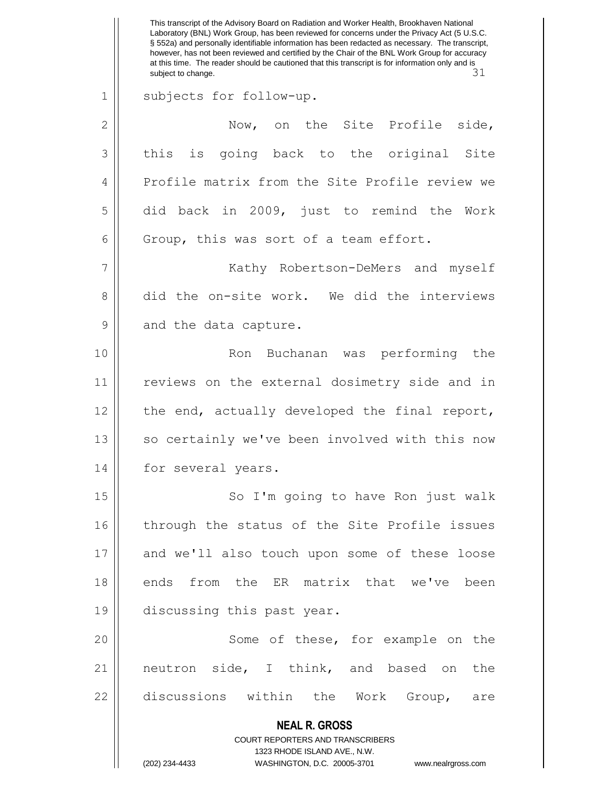**NEAL R. GROSS** COURT REPORTERS AND TRANSCRIBERS 1323 RHODE ISLAND AVE., N.W. (202) 234-4433 WASHINGTON, D.C. 20005-3701 www.nealrgross.com This transcript of the Advisory Board on Radiation and Worker Health, Brookhaven National Laboratory (BNL) Work Group, has been reviewed for concerns under the Privacy Act (5 U.S.C. § 552a) and personally identifiable information has been redacted as necessary. The transcript, however, has not been reviewed and certified by the Chair of the BNL Work Group for accuracy at this time. The reader should be cautioned that this transcript is for information only and is subject to change.  $31$ 1 || subjects for follow-up. 2 | Now, on the Site Profile side,  $3 \parallel$  this is going back to the original Site 4 | Profile matrix from the Site Profile review we  $5 \parallel$  did back in 2009, just to remind the Work  $6 \parallel$  Group, this was sort of a team effort. 7 Kathy Robertson-DeMers and myself 8 did the on-site work. We did the interviews 9 || and the data capture. 10 || Ron Buchanan was performing the 11 || reviews on the external dosimetry side and in 12 || the end, actually developed the final report,  $13$  so certainly we've been involved with this now 14 || for several years. 15 || So I'm going to have Ron just walk 16 || through the status of the Site Profile issues 17 and we'll also touch upon some of these loose 18 ends from the ER matrix that we've been 19 discussing this past year. 20 || Some of these, for example on the 21 || neutron side, I think, and based on the  $22$  discussions within the Work Group, are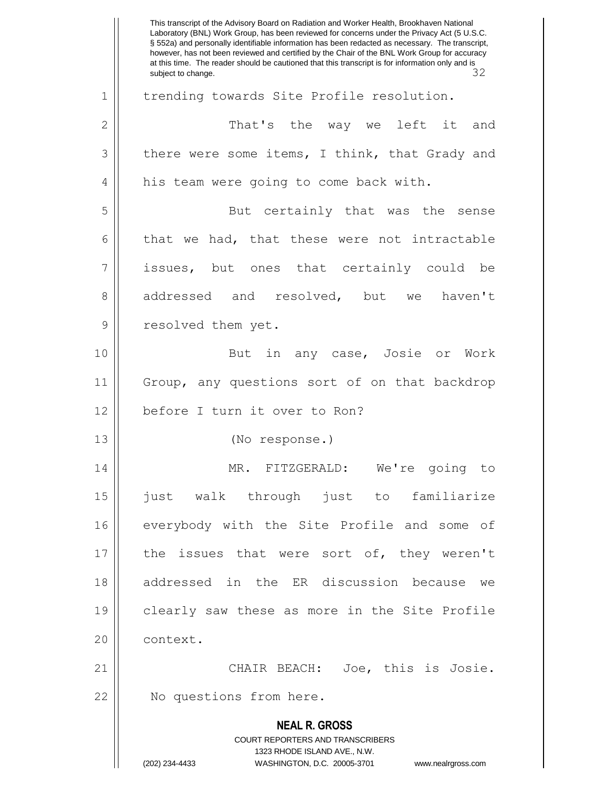**NEAL R. GROSS** COURT REPORTERS AND TRANSCRIBERS 1323 RHODE ISLAND AVE., N.W. (202) 234-4433 WASHINGTON, D.C. 20005-3701 www.nealrgross.com This transcript of the Advisory Board on Radiation and Worker Health, Brookhaven National Laboratory (BNL) Work Group, has been reviewed for concerns under the Privacy Act (5 U.S.C. § 552a) and personally identifiable information has been redacted as necessary. The transcript, however, has not been reviewed and certified by the Chair of the BNL Work Group for accuracy at this time. The reader should be cautioned that this transcript is for information only and is<br>subject to change. 32 subject to change. 1 | trending towards Site Profile resolution. 2 That's the way we left it and  $3 \parallel$  there were some items, I think, that Grady and 4 || his team were going to come back with. 5 || But certainly that was the sense  $6 \parallel$  that we had, that these were not intractable 7 || issues, but ones that certainly could be 8 addressed and resolved, but we haven't 9 || resolved them yet. 10 || But in any case, Josie or Work 11 Group, any questions sort of on that backdrop 12 || before I turn it over to Ron? 13 (No response.) 14 MR. FITZGERALD: We're going to 15 just walk through just to familiarize 16 everybody with the Site Profile and some of 17 || the issues that were sort of, they weren't 18 addressed in the ER discussion because we 19 clearly saw these as more in the Site Profile 20 | context. 21 CHAIR BEACH: Joe, this is Josie. 22 | No questions from here.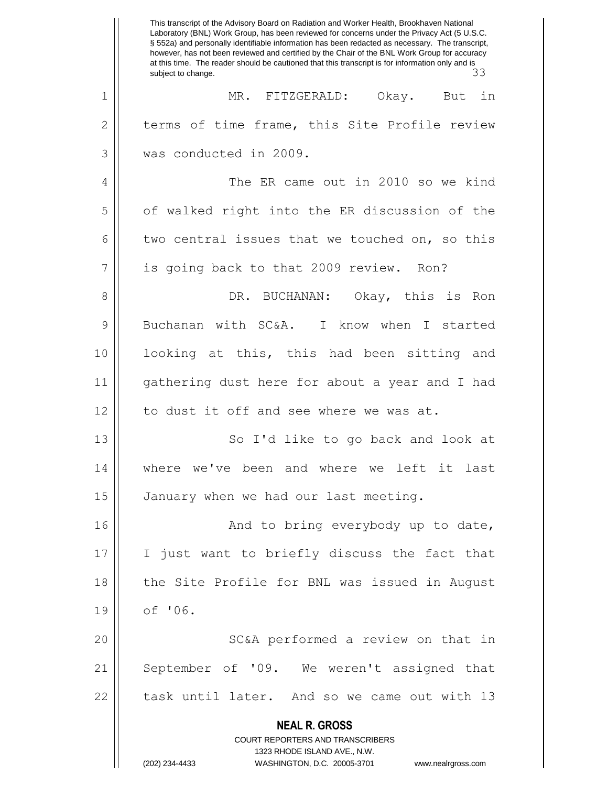**NEAL R. GROSS** COURT REPORTERS AND TRANSCRIBERS 1323 RHODE ISLAND AVE., N.W. (202) 234-4433 WASHINGTON, D.C. 20005-3701 www.nealrgross.com This transcript of the Advisory Board on Radiation and Worker Health, Brookhaven National Laboratory (BNL) Work Group, has been reviewed for concerns under the Privacy Act (5 U.S.C. § 552a) and personally identifiable information has been redacted as necessary. The transcript, however, has not been reviewed and certified by the Chair of the BNL Work Group for accuracy at this time. The reader should be cautioned that this transcript is for information only and is subject to change.  $33$ 1 MR. FITZGERALD: Okay. But in  $2 \parallel$  terms of time frame, this Site Profile review 3 was conducted in 2009. 4 || The ER came out in 2010 so we kind 5 | of walked right into the ER discussion of the 6 two central issues that we touched on, so this 7 || is going back to that 2009 review. Ron? 8 DR. BUCHANAN: Okay, this is Ron 9 Buchanan with SC&A. I know when I started 10 looking at this, this had been sitting and 11 gathering dust here for about a year and I had 12 || to dust it off and see where we was at. 13 || So I'd like to go back and look at 14 where we've been and where we left it last 15 | January when we had our last meeting. 16 And to bring everybody up to date, 17 I just want to briefly discuss the fact that 18 || the Site Profile for BNL was issued in August 19 of '06. 20 || SC&A performed a review on that in 21 || September of '09. We weren't assigned that 22 || task until later. And so we came out with 13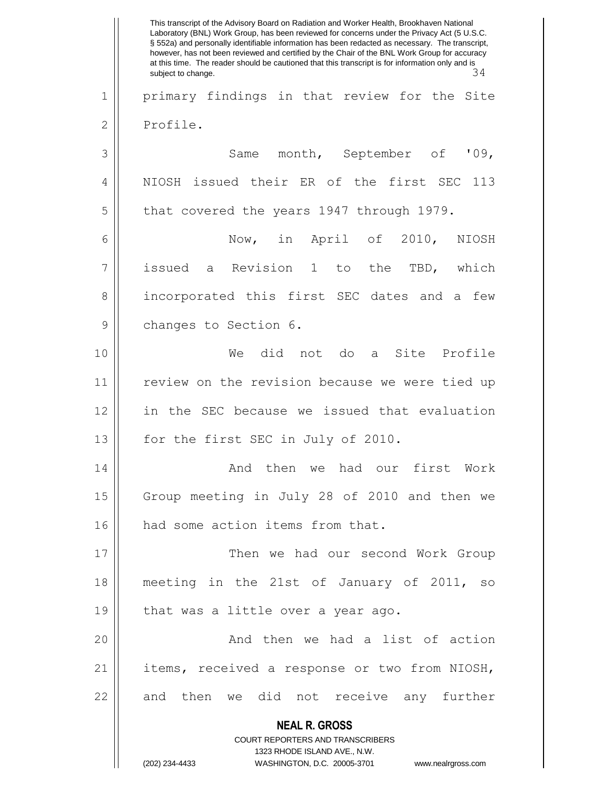**NEAL R. GROSS** COURT REPORTERS AND TRANSCRIBERS 1323 RHODE ISLAND AVE., N.W. (202) 234-4433 WASHINGTON, D.C. 20005-3701 www.nealrgross.com This transcript of the Advisory Board on Radiation and Worker Health, Brookhaven National Laboratory (BNL) Work Group, has been reviewed for concerns under the Privacy Act (5 U.S.C. § 552a) and personally identifiable information has been redacted as necessary. The transcript, however, has not been reviewed and certified by the Chair of the BNL Work Group for accuracy at this time. The reader should be cautioned that this transcript is for information only and is<br>subject to change. 34 subject to change. 1 || primary findings in that review for the Site 2 | Profile. 3 Same month, September of '09, 4 || NIOSH issued their ER of the first SEC 113  $5 \parallel$  that covered the years 1947 through 1979. 6 Now, in April of 2010, NIOSH 7 || issued a Revision 1 to the TBD, which 8 || incorporated this first SEC dates and a few 9 | changes to Section 6. 10 We did not do a Site Profile 11 || review on the revision because we were tied up 12 in the SEC because we issued that evaluation 13 || for the first SEC in July of 2010. 14 And then we had our first Work 15 | Group meeting in July 28 of 2010 and then we 16 || had some action items from that. 17 Then we had our second Work Group 18 meeting in the 21st of January of 2011, so 19  $\parallel$  that was a little over a year ago. 20 || The Richard Chen we had a list of action 21 || items, received a response or two from NIOSH, 22 || and then we did not receive any further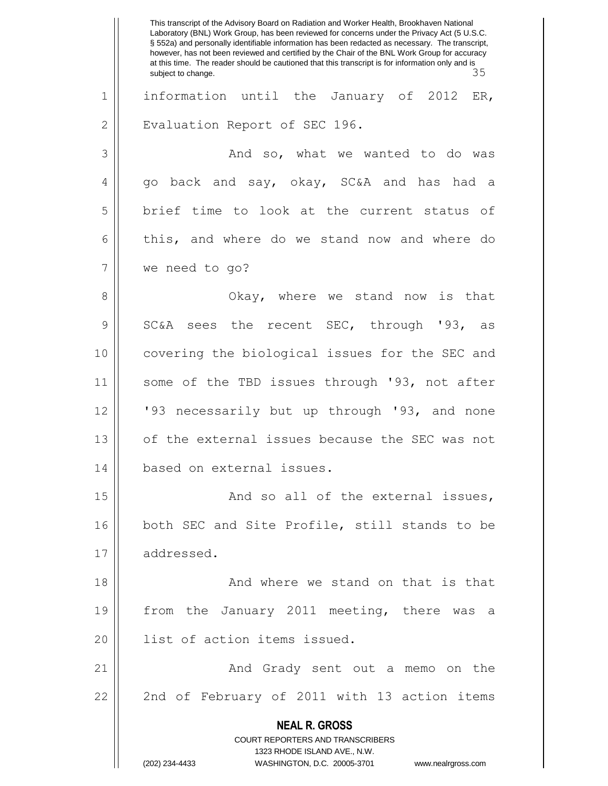**NEAL R. GROSS** COURT REPORTERS AND TRANSCRIBERS 1323 RHODE ISLAND AVE., N.W. (202) 234-4433 WASHINGTON, D.C. 20005-3701 www.nealrgross.com This transcript of the Advisory Board on Radiation and Worker Health, Brookhaven National Laboratory (BNL) Work Group, has been reviewed for concerns under the Privacy Act (5 U.S.C. § 552a) and personally identifiable information has been redacted as necessary. The transcript, however, has not been reviewed and certified by the Chair of the BNL Work Group for accuracy at this time. The reader should be cautioned that this transcript is for information only and is<br>subject to change. 35 subject to change. 1 || information until the January of 2012 ER, 2 | Evaluation Report of SEC 196. 3 And so, what we wanted to do was  $4 \parallel$  go back and say, okay, SC&A and has had a 5 brief time to look at the current status of  $6 \parallel$  this, and where do we stand now and where do 7 we need to go? 8 Okay, where we stand now is that 9 SC&A sees the recent SEC, through '93, as 10 covering the biological issues for the SEC and 11 || some of the TBD issues through '93, not after 12 || '93 necessarily but up through '93, and none 13 || of the external issues because the SEC was not 14 based on external issues. 15 And so all of the external issues, 16 both SEC and Site Profile, still stands to be 17 | addressed. 18 And where we stand on that is that 19 || from the January 2011 meeting, there was a 20 || list of action items issued. 21 And Grady sent out a memo on the 22 || 2nd of February of 2011 with 13 action items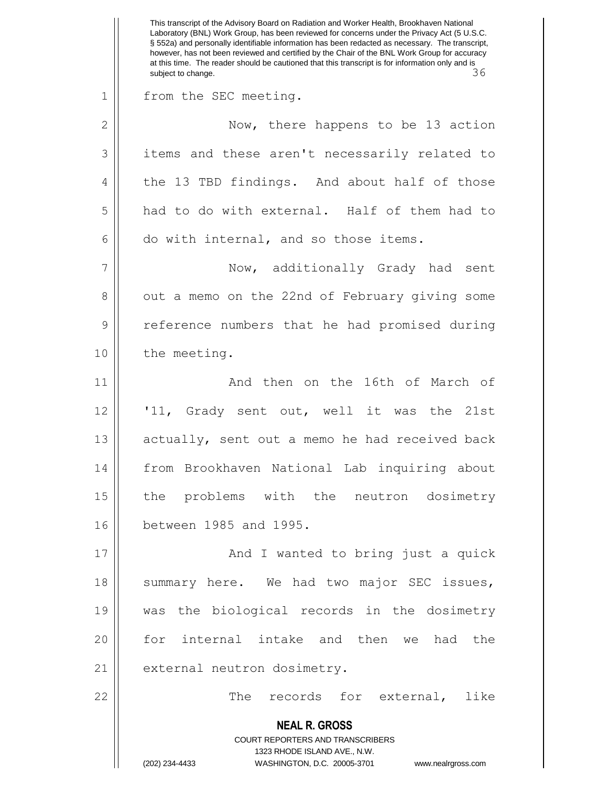**NEAL R. GROSS** COURT REPORTERS AND TRANSCRIBERS 1323 RHODE ISLAND AVE., N.W. (202) 234-4433 WASHINGTON, D.C. 20005-3701 www.nealrgross.com This transcript of the Advisory Board on Radiation and Worker Health, Brookhaven National Laboratory (BNL) Work Group, has been reviewed for concerns under the Privacy Act (5 U.S.C. § 552a) and personally identifiable information has been redacted as necessary. The transcript, however, has not been reviewed and certified by the Chair of the BNL Work Group for accuracy at this time. The reader should be cautioned that this transcript is for information only and is subject to change.  $\sim$  36 1 || from the SEC meeting. 2 || Now, there happens to be 13 action 3 || items and these aren't necessarily related to 4 || the 13 TBD findings. And about half of those 5 had to do with external. Half of them had to  $6 \parallel$  do with internal, and so those items. 7 || Now, additionally Grady had sent 8 | out a memo on the 22nd of February giving some 9 || reference numbers that he had promised during 10 | the meeting. 11 And then on the 16th of March of 12 '11, Grady sent out, well it was the 21st 13 || actually, sent out a memo he had received back 14 from Brookhaven National Lab inquiring about 15 || the problems with the neutron dosimetry 16 between 1985 and 1995. 17 || And I wanted to bring just a quick 18 || summary here. We had two major SEC issues, 19 was the biological records in the dosimetry 20 || for internal intake and then we had the 21 | external neutron dosimetry. 22 || The records for external, like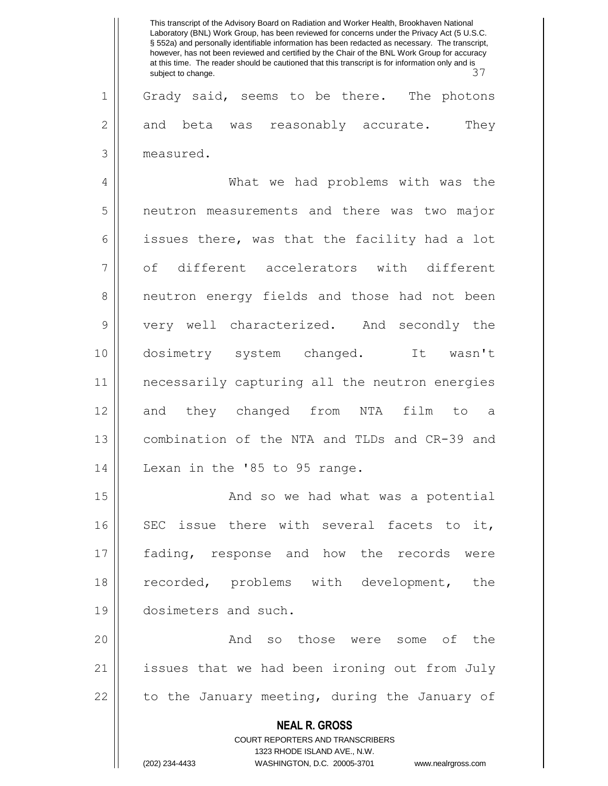|                | This transcript of the Advisory Board on Radiation and Worker Health, Brookhaven National<br>Laboratory (BNL) Work Group, has been reviewed for concerns under the Privacy Act (5 U.S.C.<br>§ 552a) and personally identifiable information has been redacted as necessary. The transcript,<br>however, has not been reviewed and certified by the Chair of the BNL Work Group for accuracy<br>at this time. The reader should be cautioned that this transcript is for information only and is<br>37<br>subject to change. |
|----------------|-----------------------------------------------------------------------------------------------------------------------------------------------------------------------------------------------------------------------------------------------------------------------------------------------------------------------------------------------------------------------------------------------------------------------------------------------------------------------------------------------------------------------------|
| $\mathbf 1$    | Grady said, seems to be there. The photons                                                                                                                                                                                                                                                                                                                                                                                                                                                                                  |
| $\overline{2}$ | They<br>and beta was reasonably accurate.                                                                                                                                                                                                                                                                                                                                                                                                                                                                                   |
| 3              | measured.                                                                                                                                                                                                                                                                                                                                                                                                                                                                                                                   |
| 4              | What we had problems with was the                                                                                                                                                                                                                                                                                                                                                                                                                                                                                           |
| 5              | neutron measurements and there was two major                                                                                                                                                                                                                                                                                                                                                                                                                                                                                |
| 6              | issues there, was that the facility had a lot                                                                                                                                                                                                                                                                                                                                                                                                                                                                               |
| 7              | of different accelerators with different                                                                                                                                                                                                                                                                                                                                                                                                                                                                                    |
| 8              | neutron energy fields and those had not been                                                                                                                                                                                                                                                                                                                                                                                                                                                                                |
| 9              | very well characterized. And secondly the                                                                                                                                                                                                                                                                                                                                                                                                                                                                                   |
| 10             | It wasn't<br>dosimetry system changed.                                                                                                                                                                                                                                                                                                                                                                                                                                                                                      |
| 11             | necessarily capturing all the neutron energies                                                                                                                                                                                                                                                                                                                                                                                                                                                                              |
| 12             | they changed from<br>NTA<br>film<br>and<br>to<br>- a                                                                                                                                                                                                                                                                                                                                                                                                                                                                        |
| 13             | combination of the NTA and TLDs and CR-39 and                                                                                                                                                                                                                                                                                                                                                                                                                                                                               |
| 14             | Lexan in the '85 to 95 range.                                                                                                                                                                                                                                                                                                                                                                                                                                                                                               |
| 15             | And so we had what was a potential                                                                                                                                                                                                                                                                                                                                                                                                                                                                                          |
| 16             | SEC issue there with several facets to it,                                                                                                                                                                                                                                                                                                                                                                                                                                                                                  |
| 17             | fading, response and how the records were                                                                                                                                                                                                                                                                                                                                                                                                                                                                                   |
| 18             | recorded, problems with development, the                                                                                                                                                                                                                                                                                                                                                                                                                                                                                    |
| 19             | dosimeters and such.                                                                                                                                                                                                                                                                                                                                                                                                                                                                                                        |
| 20             | And so those were some of the                                                                                                                                                                                                                                                                                                                                                                                                                                                                                               |
| 21             | issues that we had been ironing out from July                                                                                                                                                                                                                                                                                                                                                                                                                                                                               |
| 22             | to the January meeting, during the January of                                                                                                                                                                                                                                                                                                                                                                                                                                                                               |
|                | <b>NEAL R. GROSS</b>                                                                                                                                                                                                                                                                                                                                                                                                                                                                                                        |
|                | COURT REPORTERS AND TRANSCRIBERS<br>1323 RHODE ISLAND AVE., N.W.                                                                                                                                                                                                                                                                                                                                                                                                                                                            |
|                | (202) 234-4433<br>WASHINGTON, D.C. 20005-3701<br>www.nealrgross.com                                                                                                                                                                                                                                                                                                                                                                                                                                                         |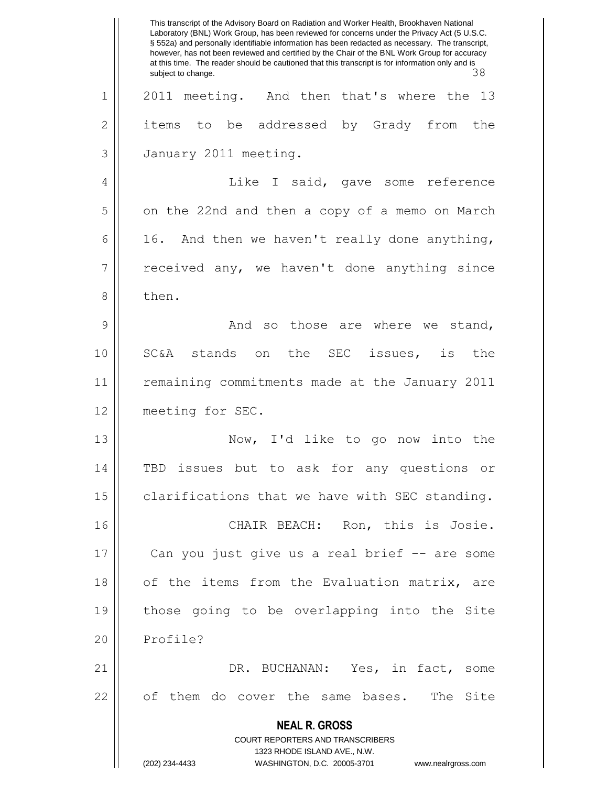|              | This transcript of the Advisory Board on Radiation and Worker Health, Brookhaven National<br>Laboratory (BNL) Work Group, has been reviewed for concerns under the Privacy Act (5 U.S.C.<br>§ 552a) and personally identifiable information has been redacted as necessary. The transcript,<br>however, has not been reviewed and certified by the Chair of the BNL Work Group for accuracy<br>at this time. The reader should be cautioned that this transcript is for information only and is<br>38<br>subject to change. |
|--------------|-----------------------------------------------------------------------------------------------------------------------------------------------------------------------------------------------------------------------------------------------------------------------------------------------------------------------------------------------------------------------------------------------------------------------------------------------------------------------------------------------------------------------------|
| 1            | 2011 meeting. And then that's where the<br>13                                                                                                                                                                                                                                                                                                                                                                                                                                                                               |
| $\mathbf{2}$ | to be addressed by Grady from<br>items<br>the                                                                                                                                                                                                                                                                                                                                                                                                                                                                               |
| 3            | January 2011 meeting.                                                                                                                                                                                                                                                                                                                                                                                                                                                                                                       |
| 4            | Like I said, gave some reference                                                                                                                                                                                                                                                                                                                                                                                                                                                                                            |
| 5            | on the 22nd and then a copy of a memo on March                                                                                                                                                                                                                                                                                                                                                                                                                                                                              |
| 6            | 16. And then we haven't really done anything,                                                                                                                                                                                                                                                                                                                                                                                                                                                                               |
| 7            | received any, we haven't done anything since                                                                                                                                                                                                                                                                                                                                                                                                                                                                                |
| 8            | then.                                                                                                                                                                                                                                                                                                                                                                                                                                                                                                                       |
| 9            | And so those are where we stand,                                                                                                                                                                                                                                                                                                                                                                                                                                                                                            |
| 10           | SC&A<br>stands on<br>the<br>SEC issues, is<br>the                                                                                                                                                                                                                                                                                                                                                                                                                                                                           |
| 11           | remaining commitments made at the January 2011                                                                                                                                                                                                                                                                                                                                                                                                                                                                              |
| 12           | meeting for SEC.                                                                                                                                                                                                                                                                                                                                                                                                                                                                                                            |
| 13           | Now, I'd like to go<br>now into the                                                                                                                                                                                                                                                                                                                                                                                                                                                                                         |
| 14           | TBD issues but to ask for any questions or                                                                                                                                                                                                                                                                                                                                                                                                                                                                                  |
| 15           | clarifications that we have with SEC standing.                                                                                                                                                                                                                                                                                                                                                                                                                                                                              |
| 16           | CHAIR BEACH: Ron, this is Josie.                                                                                                                                                                                                                                                                                                                                                                                                                                                                                            |
| 17           | Can you just give us a real brief -- are some                                                                                                                                                                                                                                                                                                                                                                                                                                                                               |
| 18           | of the items from the Evaluation matrix, are                                                                                                                                                                                                                                                                                                                                                                                                                                                                                |
| 19           | those going to be overlapping into the Site                                                                                                                                                                                                                                                                                                                                                                                                                                                                                 |
| 20           | Profile?                                                                                                                                                                                                                                                                                                                                                                                                                                                                                                                    |
| 21           | DR. BUCHANAN: Yes, in fact, some                                                                                                                                                                                                                                                                                                                                                                                                                                                                                            |
| 22           | of them do cover the same bases.<br>The Site                                                                                                                                                                                                                                                                                                                                                                                                                                                                                |
|              | <b>NEAL R. GROSS</b><br><b>COURT REPORTERS AND TRANSCRIBERS</b><br>1323 RHODE ISLAND AVE., N.W.                                                                                                                                                                                                                                                                                                                                                                                                                             |
|              | (202) 234-4433<br>WASHINGTON, D.C. 20005-3701<br>www.nealrgross.com                                                                                                                                                                                                                                                                                                                                                                                                                                                         |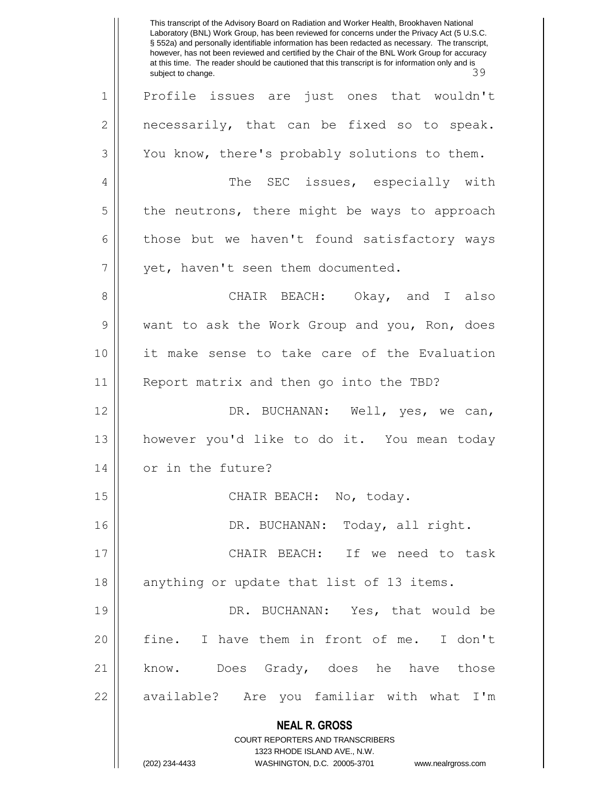**NEAL R. GROSS** COURT REPORTERS AND TRANSCRIBERS 1323 RHODE ISLAND AVE., N.W. (202) 234-4433 WASHINGTON, D.C. 20005-3701 www.nealrgross.com This transcript of the Advisory Board on Radiation and Worker Health, Brookhaven National Laboratory (BNL) Work Group, has been reviewed for concerns under the Privacy Act (5 U.S.C. § 552a) and personally identifiable information has been redacted as necessary. The transcript, however, has not been reviewed and certified by the Chair of the BNL Work Group for accuracy at this time. The reader should be cautioned that this transcript is for information only and is<br>subject to change. subject to change. 1 Profile issues are just ones that wouldn't  $2 \parallel$  necessarily, that can be fixed so to speak. 3 You know, there's probably solutions to them. 4 The SEC issues, especially with  $5 \parallel$  the neutrons, there might be ways to approach  $6 \parallel$  those but we haven't found satisfactory ways 7 | vet, haven't seen them documented. 8 CHAIR BEACH: Okay, and I also 9 want to ask the Work Group and you, Ron, does 10 it make sense to take care of the Evaluation 11 || Report matrix and then go into the TBD? 12 DR. BUCHANAN: Well, yes, we can, 13 however you'd like to do it. You mean today 14 | or in the future? 15 || CHAIR BEACH: No, today. 16 DR. BUCHANAN: Today, all right. 17 || CHAIR BEACH: If we need to task 18 || anything or update that list of 13 items. 19 DR. BUCHANAN: Yes, that would be 20 || fine. I have them in front of me. I don't 21 | know. Does Grady, does he have those 22 || available? Are you familiar with what I'm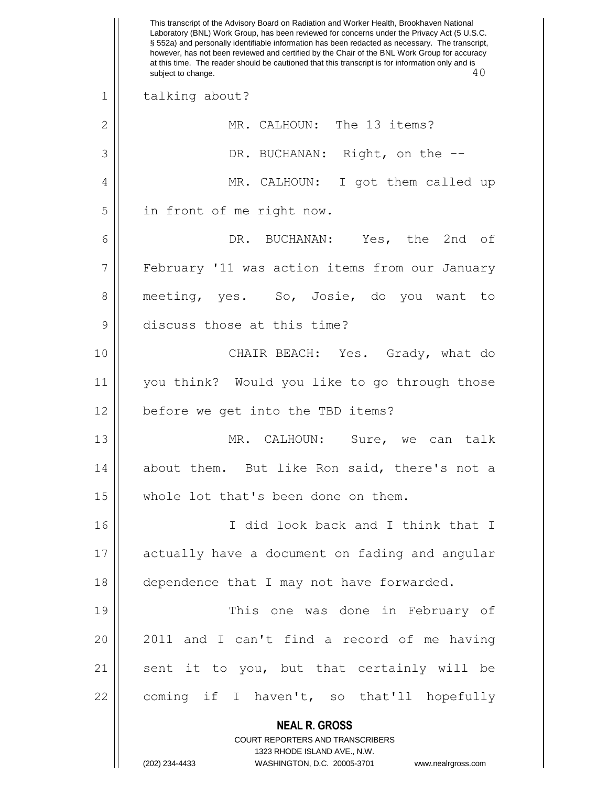|    | This transcript of the Advisory Board on Radiation and Worker Health, Brookhaven National<br>Laboratory (BNL) Work Group, has been reviewed for concerns under the Privacy Act (5 U.S.C.<br>§ 552a) and personally identifiable information has been redacted as necessary. The transcript,<br>however, has not been reviewed and certified by the Chair of the BNL Work Group for accuracy<br>at this time. The reader should be cautioned that this transcript is for information only and is<br>40<br>subject to change. |
|----|-----------------------------------------------------------------------------------------------------------------------------------------------------------------------------------------------------------------------------------------------------------------------------------------------------------------------------------------------------------------------------------------------------------------------------------------------------------------------------------------------------------------------------|
| 1  | talking about?                                                                                                                                                                                                                                                                                                                                                                                                                                                                                                              |
| 2  | MR. CALHOUN: The 13 items?                                                                                                                                                                                                                                                                                                                                                                                                                                                                                                  |
| 3  | DR. BUCHANAN: Right, on the --                                                                                                                                                                                                                                                                                                                                                                                                                                                                                              |
| 4  | MR. CALHOUN: I got them called up                                                                                                                                                                                                                                                                                                                                                                                                                                                                                           |
| 5  | in front of me right now.                                                                                                                                                                                                                                                                                                                                                                                                                                                                                                   |
| 6  | DR. BUCHANAN: Yes, the 2nd of                                                                                                                                                                                                                                                                                                                                                                                                                                                                                               |
| 7  | February '11 was action items from our January                                                                                                                                                                                                                                                                                                                                                                                                                                                                              |
| 8  | meeting, yes. So, Josie, do you want to                                                                                                                                                                                                                                                                                                                                                                                                                                                                                     |
| 9  | discuss those at this time?                                                                                                                                                                                                                                                                                                                                                                                                                                                                                                 |
| 10 | CHAIR BEACH: Yes. Grady, what do                                                                                                                                                                                                                                                                                                                                                                                                                                                                                            |
| 11 | you think? Would you like to go through those                                                                                                                                                                                                                                                                                                                                                                                                                                                                               |
| 12 | before we get into the TBD items?                                                                                                                                                                                                                                                                                                                                                                                                                                                                                           |
| 13 | MR. CALHOUN:<br>Sure, we can talk                                                                                                                                                                                                                                                                                                                                                                                                                                                                                           |
| 14 | about them. But like Ron said, there's not a                                                                                                                                                                                                                                                                                                                                                                                                                                                                                |
| 15 | whole lot that's been done on them.                                                                                                                                                                                                                                                                                                                                                                                                                                                                                         |
| 16 | I did look back and I think that I                                                                                                                                                                                                                                                                                                                                                                                                                                                                                          |
| 17 | actually have a document on fading and angular                                                                                                                                                                                                                                                                                                                                                                                                                                                                              |
| 18 | dependence that I may not have forwarded.                                                                                                                                                                                                                                                                                                                                                                                                                                                                                   |
| 19 | This one was done in February of                                                                                                                                                                                                                                                                                                                                                                                                                                                                                            |
| 20 | 2011 and I can't find a record of me having                                                                                                                                                                                                                                                                                                                                                                                                                                                                                 |
| 21 | sent it to you, but that certainly will be                                                                                                                                                                                                                                                                                                                                                                                                                                                                                  |
| 22 | coming if I haven't, so that'll hopefully                                                                                                                                                                                                                                                                                                                                                                                                                                                                                   |
|    | <b>NEAL R. GROSS</b><br>COURT REPORTERS AND TRANSCRIBERS<br>1323 RHODE ISLAND AVE., N.W.<br>(202) 234-4433<br>WASHINGTON, D.C. 20005-3701<br>www.nealrgross.com                                                                                                                                                                                                                                                                                                                                                             |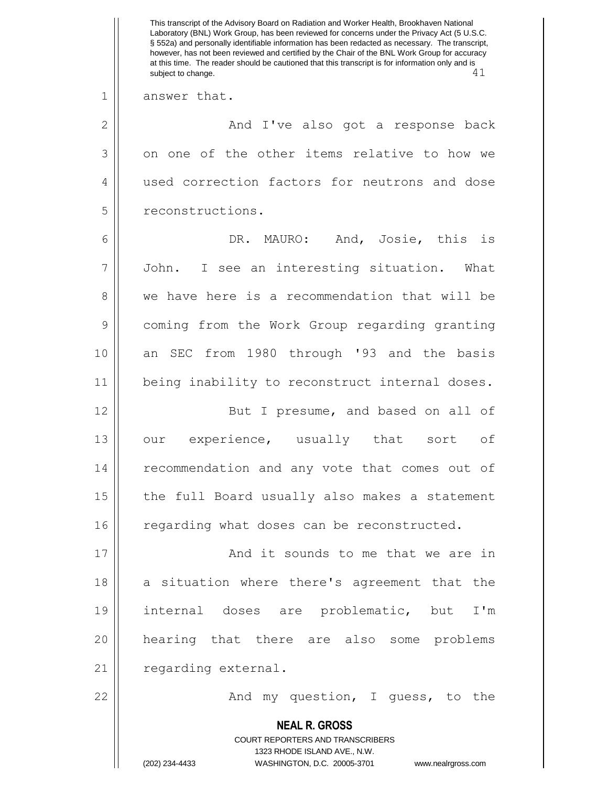**NEAL R. GROSS** COURT REPORTERS AND TRANSCRIBERS 1323 RHODE ISLAND AVE., N.W. (202) 234-4433 WASHINGTON, D.C. 20005-3701 www.nealrgross.com This transcript of the Advisory Board on Radiation and Worker Health, Brookhaven National Laboratory (BNL) Work Group, has been reviewed for concerns under the Privacy Act (5 U.S.C. § 552a) and personally identifiable information has been redacted as necessary. The transcript, however, has not been reviewed and certified by the Chair of the BNL Work Group for accuracy at this time. The reader should be cautioned that this transcript is for information only and is subject to change.  $41$ 1 answer that. 2 And I've also got a response back 3 on one of the other items relative to how we 4 || used correction factors for neutrons and dose 5 || reconstructions. 6 DR. MAURO: And, Josie, this is 7 John. I see an interesting situation. What 8 we have here is a recommendation that will be 9 coming from the Work Group regarding granting 10 an SEC from 1980 through '93 and the basis 11 || being inability to reconstruct internal doses. 12 || But I presume, and based on all of 13 || our experience, usually that sort of 14 || recommendation and any vote that comes out of  $15$  | the full Board usually also makes a statement  $16$  regarding what doses can be reconstructed. 17 || **And it sounds to me that we are in** 18 a situation where there's agreement that the 19 internal doses are problematic, but I'm 20 hearing that there are also some problems 21 | regarding external. 22 || The Mand my question, I guess, to the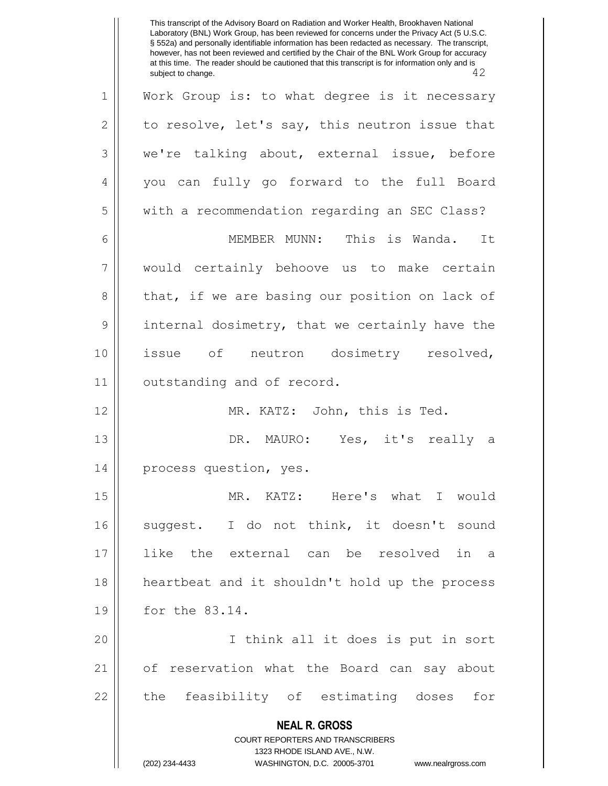**NEAL R. GROSS** COURT REPORTERS AND TRANSCRIBERS 1323 RHODE ISLAND AVE., N.W. (202) 234-4433 WASHINGTON, D.C. 20005-3701 www.nealrgross.com This transcript of the Advisory Board on Radiation and Worker Health, Brookhaven National Laboratory (BNL) Work Group, has been reviewed for concerns under the Privacy Act (5 U.S.C. § 552a) and personally identifiable information has been redacted as necessary. The transcript, however, has not been reviewed and certified by the Chair of the BNL Work Group for accuracy at this time. The reader should be cautioned that this transcript is for information only and is subject to change. 42 subject to change. 1 Work Group is: to what degree is it necessary 2 | to resolve, let's say, this neutron issue that 3 we're talking about, external issue, before 4 you can fully go forward to the full Board 5 | with a recommendation regarding an SEC Class? 6 MEMBER MUNN: This is Wanda. It 7 would certainly behoove us to make certain 8 that, if we are basing our position on lack of 9 | internal dosimetry, that we certainly have the 10 issue of neutron dosimetry resolved, 11 | outstanding and of record. 12 MR. KATZ: John, this is Ted. 13 DR. MAURO: Yes, it's really a 14 || process question, yes. 15 MR. KATZ: Here's what I would 16 suggest. I do not think, it doesn't sound 17 like the external can be resolved in a 18 heartbeat and it shouldn't hold up the process 19 for the 83.14. 20 I think all it does is put in sort 21 of reservation what the Board can say about 22 || the feasibility of estimating doses for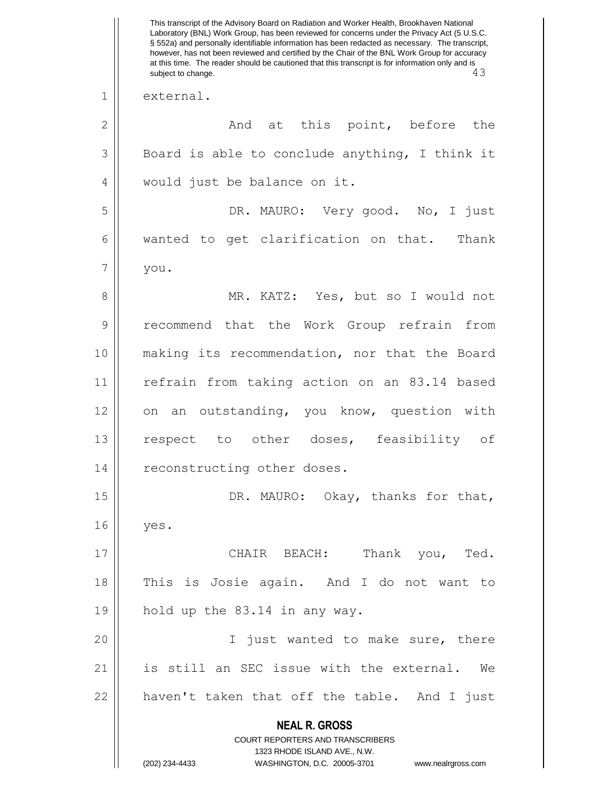**NEAL R. GROSS** COURT REPORTERS AND TRANSCRIBERS 1323 RHODE ISLAND AVE., N.W. (202) 234-4433 WASHINGTON, D.C. 20005-3701 www.nealrgross.com This transcript of the Advisory Board on Radiation and Worker Health, Brookhaven National Laboratory (BNL) Work Group, has been reviewed for concerns under the Privacy Act (5 U.S.C. § 552a) and personally identifiable information has been redacted as necessary. The transcript, however, has not been reviewed and certified by the Chair of the BNL Work Group for accuracy at this time. The reader should be cautioned that this transcript is for information only and is subject to change. 43 subject to change. 1 external. 2 And at this point, before the  $3 \parallel$  Board is able to conclude anything, I think it 4 || would just be balance on it. 5 DR. MAURO: Very good. No, I just 6 | wanted to get clarification on that. Thank  $7 \parallel$  you. 8 || MR. KATZ: Yes, but so I would not 9 || recommend that the Work Group refrain from 10 making its recommendation, nor that the Board 11 || refrain from taking action on an 83.14 based 12 on an outstanding, you know, question with 13 || respect to other doses, feasibility of 14 || reconstructing other doses. 15 || DR. MAURO: Okay, thanks for that, 16 yes. 17 CHAIR BEACH: Thank you, Ted. 18 This is Josie again. And I do not want to 19 || hold up the  $83.14$  in any way. 20 || I just wanted to make sure, there 21 || is still an SEC issue with the external. We  $22$  || haven't taken that off the table. And I just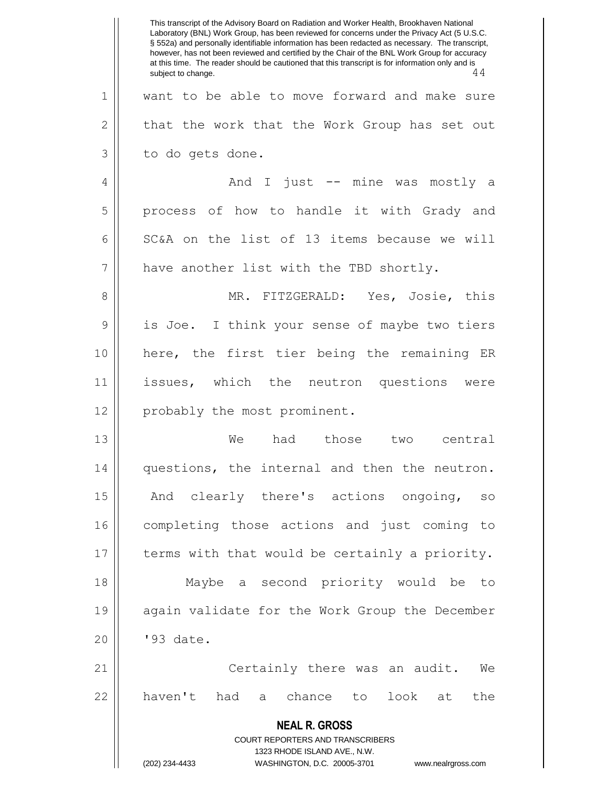**NEAL R. GROSS** COURT REPORTERS AND TRANSCRIBERS 1323 RHODE ISLAND AVE., N.W. (202) 234-4433 WASHINGTON, D.C. 20005-3701 www.nealrgross.com This transcript of the Advisory Board on Radiation and Worker Health, Brookhaven National Laboratory (BNL) Work Group, has been reviewed for concerns under the Privacy Act (5 U.S.C. § 552a) and personally identifiable information has been redacted as necessary. The transcript, however, has not been reviewed and certified by the Chair of the BNL Work Group for accuracy at this time. The reader should be cautioned that this transcript is for information only and is<br>subject to change. 44 subject to change. 1 || want to be able to move forward and make sure  $2 \parallel$  that the work that the Work Group has set out 3 | to do gets done. 4 And I just -- mine was mostly a 5 || process of how to handle it with Grady and 6  $\parallel$  SC&A on the list of 13 items because we will  $7$  | have another list with the TBD shortly. 8 MR. FITZGERALD: Yes, Josie, this 9 || is Joe. I think your sense of maybe two tiers 10 here, the first tier being the remaining ER 11 issues, which the neutron questions were 12 || probably the most prominent. 13 We had those two central 14 questions, the internal and then the neutron. 15 || And clearly there's actions ongoing, so 16 completing those actions and just coming to 17 | terms with that would be certainly a priority. 18 Maybe a second priority would be to 19 again validate for the Work Group the December 20 || '93 date. 21 Certainly there was an audit. We  $22$  haven't had a chance to look at the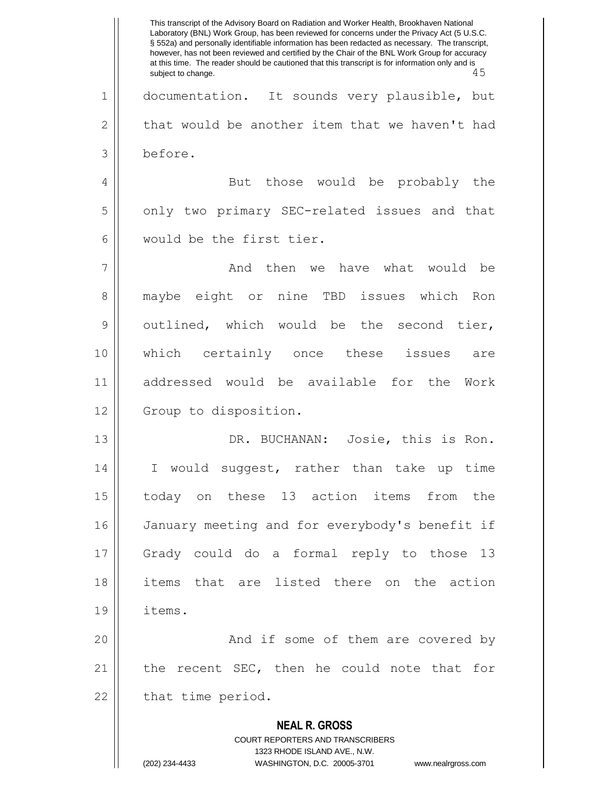**NEAL R. GROSS** COURT REPORTERS AND TRANSCRIBERS 1323 RHODE ISLAND AVE., N.W. (202) 234-4433 WASHINGTON, D.C. 20005-3701 www.nealrgross.com This transcript of the Advisory Board on Radiation and Worker Health, Brookhaven National Laboratory (BNL) Work Group, has been reviewed for concerns under the Privacy Act (5 U.S.C. § 552a) and personally identifiable information has been redacted as necessary. The transcript, however, has not been reviewed and certified by the Chair of the BNL Work Group for accuracy at this time. The reader should be cautioned that this transcript is for information only and is<br>subject to change. 45 subject to change. 1 documentation. It sounds very plausible, but  $2 \parallel$  that would be another item that we haven't had 3 before. 4 || But those would be probably the 5 | only two primary SEC-related issues and that 6 would be the first tier. 7 And then we have what would be 8 maybe eight or nine TBD issues which Ron 9 || outlined, which would be the second tier, 10 which certainly once these issues are 11 addressed would be available for the Work 12 | Group to disposition. 13 DR. BUCHANAN: Josie, this is Ron. 14 I would suggest, rather than take up time 15 today on these 13 action items from the 16 | January meeting and for everybody's benefit if 17 Grady could do a formal reply to those 13 18 items that are listed there on the action 19 items. 20 And if some of them are covered by 21 || the recent SEC, then he could note that for  $22$  || that time period.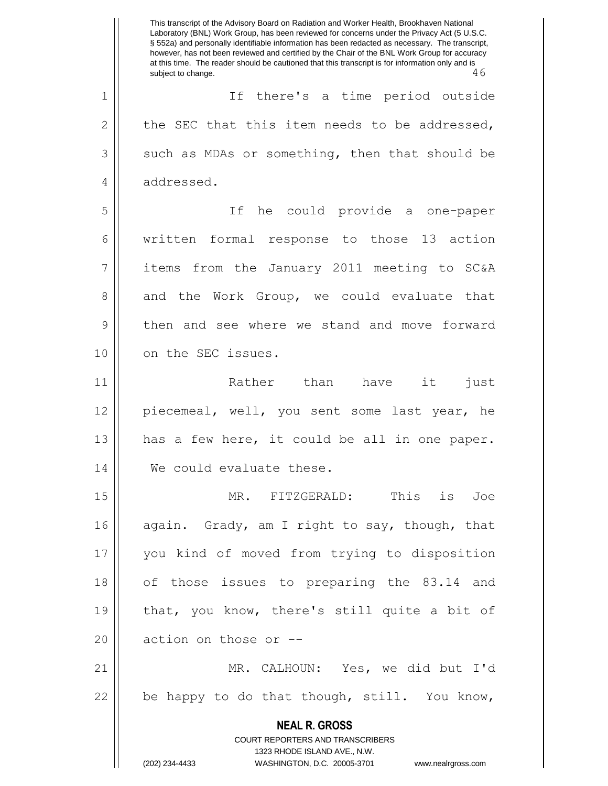**NEAL R. GROSS** COURT REPORTERS AND TRANSCRIBERS 1323 RHODE ISLAND AVE., N.W. (202) 234-4433 WASHINGTON, D.C. 20005-3701 www.nealrgross.com This transcript of the Advisory Board on Radiation and Worker Health, Brookhaven National Laboratory (BNL) Work Group, has been reviewed for concerns under the Privacy Act (5 U.S.C. § 552a) and personally identifiable information has been redacted as necessary. The transcript, however, has not been reviewed and certified by the Chair of the BNL Work Group for accuracy at this time. The reader should be cautioned that this transcript is for information only and is<br>subject to change.<br>46 subject to change. 1 || If there's a time period outside 2  $\parallel$  the SEC that this item needs to be addressed,  $3 \parallel$  such as MDAs or something, then that should be 4 addressed. 5 If he could provide a one-paper 6 | written formal response to those 13 action 7 || items from the January 2011 meeting to SC&A 8 and the Work Group, we could evaluate that 9 || then and see where we stand and move forward 10 || on the SEC issues. 11 || Rather than have it just 12 piecemeal, well, you sent some last year, he 13  $\parallel$  has a few here, it could be all in one paper. 14 We could evaluate these. 15 MR. FITZGERALD: This is Joe 16 again. Grady, am I right to say, though, that 17 you kind of moved from trying to disposition 18 || of those issues to preparing the 83.14 and 19  $\parallel$  that, you know, there's still quite a bit of 20  $\parallel$  action on those or  $-$ 21 MR. CALHOUN: Yes, we did but I'd  $22$  | be happy to do that though, still. You know,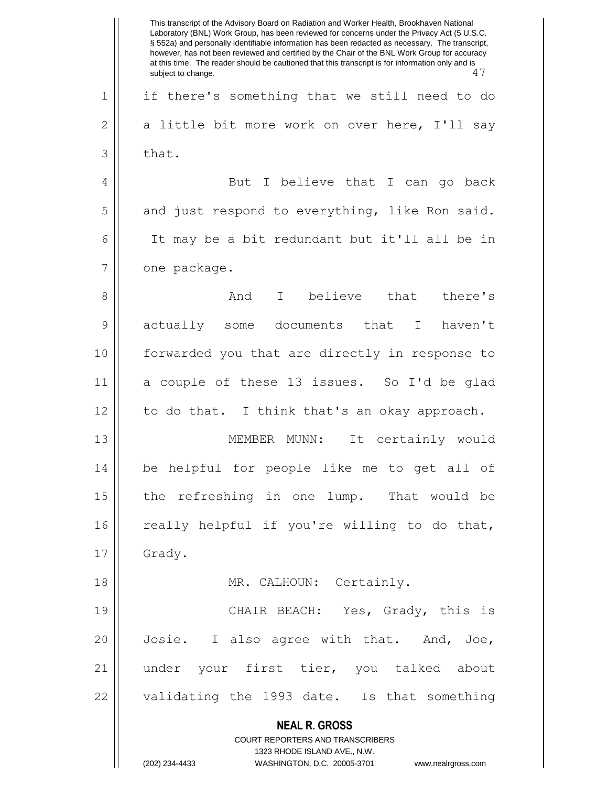**NEAL R. GROSS** COURT REPORTERS AND TRANSCRIBERS 1323 RHODE ISLAND AVE., N.W. (202) 234-4433 WASHINGTON, D.C. 20005-3701 www.nealrgross.com This transcript of the Advisory Board on Radiation and Worker Health, Brookhaven National Laboratory (BNL) Work Group, has been reviewed for concerns under the Privacy Act (5 U.S.C. § 552a) and personally identifiable information has been redacted as necessary. The transcript, however, has not been reviewed and certified by the Chair of the BNL Work Group for accuracy at this time. The reader should be cautioned that this transcript is for information only and is<br>  $\frac{17}{7}$ subject to change. 1 if there's something that we still need to do 2 | a little bit more work on over here, I'll say  $3 \parallel$  that. 4 But I believe that I can go back  $5 \parallel$  and just respond to everything, like Ron said. 6 It may be a bit redundant but it'll all be in  $7 \parallel$  one package. 8 And I believe that there's 9 actually some documents that I haven't 10 forwarded you that are directly in response to 11 a couple of these 13 issues. So I'd be glad 12 || to do that. I think that's an okay approach. 13 MEMBER MUNN: It certainly would 14 be helpful for people like me to get all of 15 || the refreshing in one lump. That would be  $16$  really helpful if you're willing to do that, 17 | Grady. 18 || MR. CALHOUN: Certainly. 19 CHAIR BEACH: Yes, Grady, this is 20 || Josie. I also agree with that. And, Joe, 21 under your first tier, you talked about 22 || validating the 1993 date. Is that something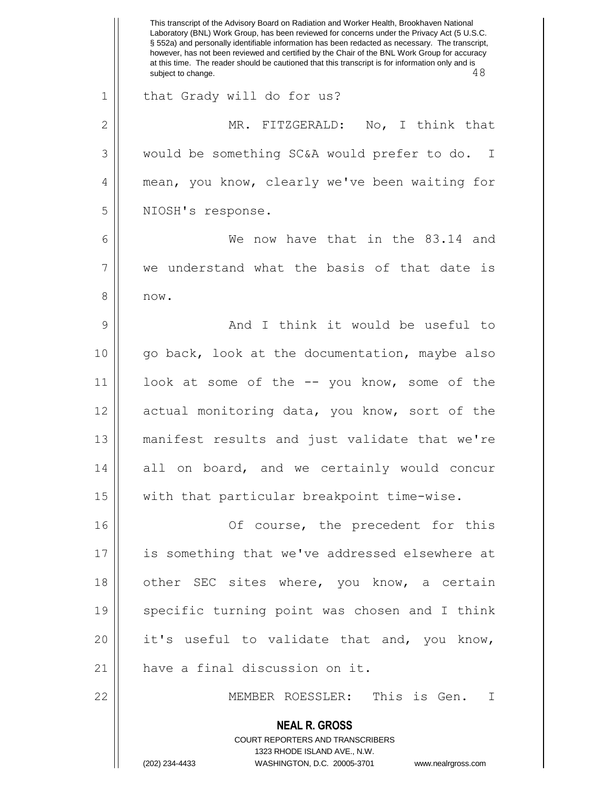|               | This transcript of the Advisory Board on Radiation and Worker Health, Brookhaven National<br>Laboratory (BNL) Work Group, has been reviewed for concerns under the Privacy Act (5 U.S.C.<br>§ 552a) and personally identifiable information has been redacted as necessary. The transcript,<br>however, has not been reviewed and certified by the Chair of the BNL Work Group for accuracy<br>at this time. The reader should be cautioned that this transcript is for information only and is<br>48<br>subject to change. |
|---------------|-----------------------------------------------------------------------------------------------------------------------------------------------------------------------------------------------------------------------------------------------------------------------------------------------------------------------------------------------------------------------------------------------------------------------------------------------------------------------------------------------------------------------------|
| $\mathbf 1$   | that Grady will do for us?                                                                                                                                                                                                                                                                                                                                                                                                                                                                                                  |
| $\mathbf{2}$  | MR. FITZGERALD:<br>No, I think that                                                                                                                                                                                                                                                                                                                                                                                                                                                                                         |
| 3             | would be something SC&A would prefer to do. I                                                                                                                                                                                                                                                                                                                                                                                                                                                                               |
| 4             | mean, you know, clearly we've been waiting for                                                                                                                                                                                                                                                                                                                                                                                                                                                                              |
| 5             | NIOSH's response.                                                                                                                                                                                                                                                                                                                                                                                                                                                                                                           |
| 6             | now have that in the 83.14 and<br>We                                                                                                                                                                                                                                                                                                                                                                                                                                                                                        |
| 7             | we understand what the basis of that date is                                                                                                                                                                                                                                                                                                                                                                                                                                                                                |
| 8             | now.                                                                                                                                                                                                                                                                                                                                                                                                                                                                                                                        |
| $\mathcal{G}$ | And I think it would be useful to                                                                                                                                                                                                                                                                                                                                                                                                                                                                                           |
| 10            | go back, look at the documentation, maybe also                                                                                                                                                                                                                                                                                                                                                                                                                                                                              |
| 11            | look at some of the -- you know, some of the                                                                                                                                                                                                                                                                                                                                                                                                                                                                                |
| 12            | actual monitoring data, you know, sort of the                                                                                                                                                                                                                                                                                                                                                                                                                                                                               |
| 13            | manifest results and just validate that we're                                                                                                                                                                                                                                                                                                                                                                                                                                                                               |
| 14            | all on board, and we certainly would concur                                                                                                                                                                                                                                                                                                                                                                                                                                                                                 |
| 15            | with that particular breakpoint time-wise.                                                                                                                                                                                                                                                                                                                                                                                                                                                                                  |
| 16            | Of course, the precedent for this                                                                                                                                                                                                                                                                                                                                                                                                                                                                                           |
| 17            | is something that we've addressed elsewhere at                                                                                                                                                                                                                                                                                                                                                                                                                                                                              |
| 18            | other SEC sites where, you know, a certain                                                                                                                                                                                                                                                                                                                                                                                                                                                                                  |
| 19            | specific turning point was chosen and I think                                                                                                                                                                                                                                                                                                                                                                                                                                                                               |
| 20            | it's useful to validate that and, you know,                                                                                                                                                                                                                                                                                                                                                                                                                                                                                 |
| 21            | have a final discussion on it.                                                                                                                                                                                                                                                                                                                                                                                                                                                                                              |
| 22            | MEMBER ROESSLER: This is Gen. I                                                                                                                                                                                                                                                                                                                                                                                                                                                                                             |
|               | <b>NEAL R. GROSS</b><br><b>COURT REPORTERS AND TRANSCRIBERS</b><br>1323 RHODE ISLAND AVE., N.W.<br>(202) 234-4433<br>WASHINGTON, D.C. 20005-3701<br>www.nealrgross.com                                                                                                                                                                                                                                                                                                                                                      |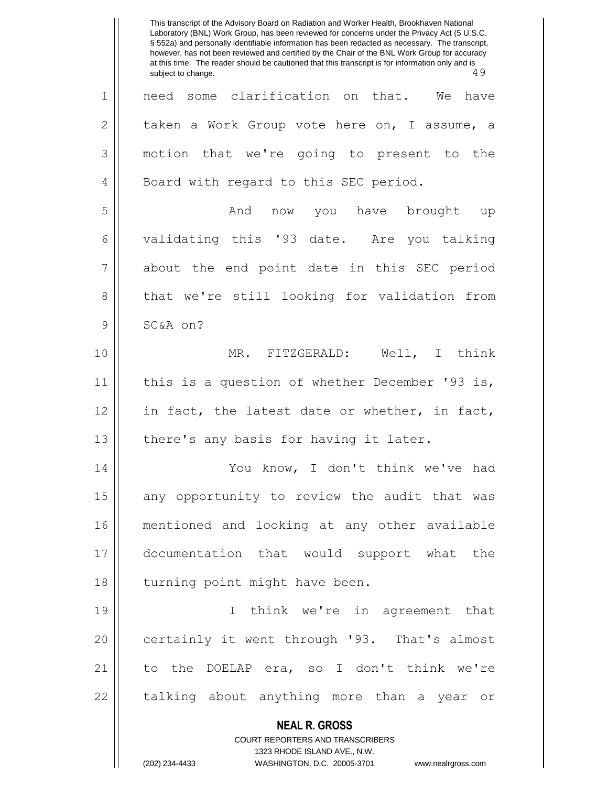**NEAL R. GROSS** COURT REPORTERS AND TRANSCRIBERS 1323 RHODE ISLAND AVE., N.W. (202) 234-4433 WASHINGTON, D.C. 20005-3701 www.nealrgross.com This transcript of the Advisory Board on Radiation and Worker Health, Brookhaven National Laboratory (BNL) Work Group, has been reviewed for concerns under the Privacy Act (5 U.S.C. § 552a) and personally identifiable information has been redacted as necessary. The transcript, however, has not been reviewed and certified by the Chair of the BNL Work Group for accuracy at this time. The reader should be cautioned that this transcript is for information only and is<br>subject to change. 49 subject to change. 1 || need some clarification on that. We have  $2 \parallel$  taken a Work Group vote here on, I assume, a 3 motion that we're going to present to the 4 || Board with regard to this SEC period. 5 And now you have brought up 6 validating this '93 date. Are you talking 7 || about the end point date in this SEC period 8 that we're still looking for validation from 9 SC&A on? 10 MR. FITZGERALD: Well, I think 11 || this is a question of whether December '93 is, 12 || in fact, the latest date or whether, in fact,  $13$  || there's any basis for having it later. 14 You know, I don't think we've had  $15$  any opportunity to review the audit that was 16 mentioned and looking at any other available 17 documentation that would support what the 18 || turning point might have been. 19 I think we're in agreement that 20 || certainly it went through '93. That's almost 21 to the DOELAP era, so I don't think we're 22 || talking about anything more than a year or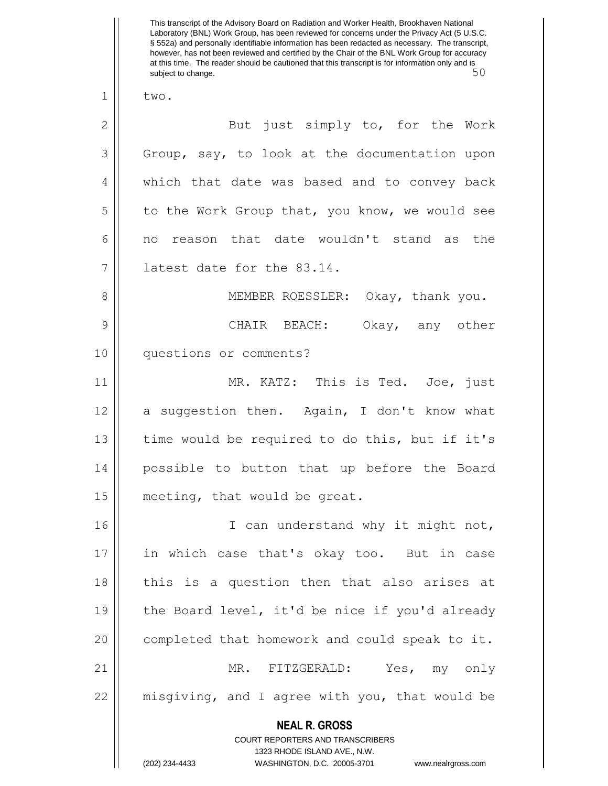**NEAL R. GROSS** COURT REPORTERS AND TRANSCRIBERS This transcript of the Advisory Board on Radiation and Worker Health, Brookhaven National Laboratory (BNL) Work Group, has been reviewed for concerns under the Privacy Act (5 U.S.C. § 552a) and personally identifiable information has been redacted as necessary. The transcript, however, has not been reviewed and certified by the Chair of the BNL Work Group for accuracy at this time. The reader should be cautioned that this transcript is for information only and is subject to change. 50  $1 \parallel$  two. 2 || But just simply to, for the Work  $3 \parallel$  Group, say, to look at the documentation upon 4 || which that date was based and to convey back  $5 \parallel$  to the Work Group that, you know, we would see 6 no reason that date wouldn't stand as the 7 latest date for the 83.14. 8 || MEMBER ROESSLER: Okay, thank you. 9 CHAIR BEACH: Okay, any other 10 questions or comments? 11 MR. KATZ: This is Ted. Joe, just 12 || a suggestion then. Again, I don't know what 13 || time would be required to do this, but if it's 14 possible to button that up before the Board 15 | meeting, that would be great. 16 || I can understand why it might not, 17 in which case that's okay too. But in case 18 || this is a question then that also arises at 19  $\parallel$  the Board level, it'd be nice if you'd already 20 | completed that homework and could speak to it. 21 MR. FITZGERALD: Yes, my only 22 misgiving, and I agree with you, that would be

1323 RHODE ISLAND AVE., N.W.

(202) 234-4433 WASHINGTON, D.C. 20005-3701 www.nealrgross.com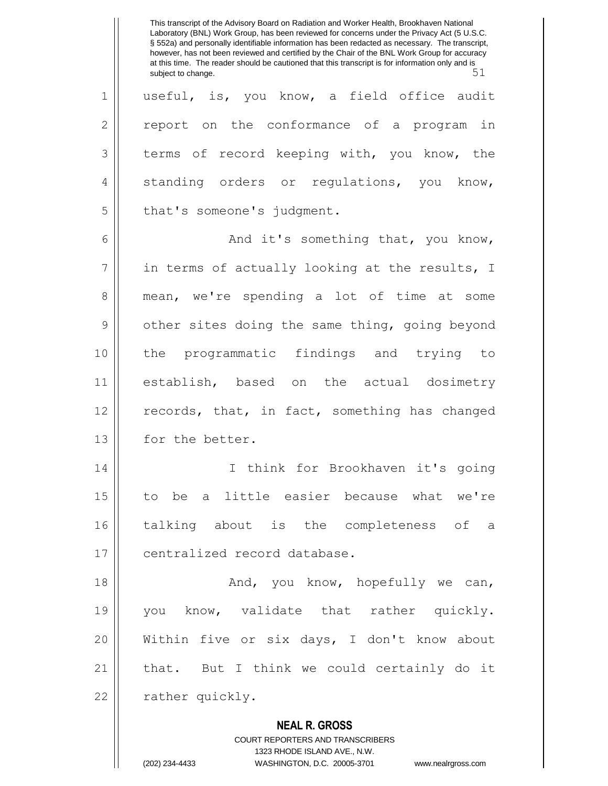**NEAL R. GROSS** COURT REPORTERS AND TRANSCRIBERS This transcript of the Advisory Board on Radiation and Worker Health, Brookhaven National Laboratory (BNL) Work Group, has been reviewed for concerns under the Privacy Act (5 U.S.C. § 552a) and personally identifiable information has been redacted as necessary. The transcript, however, has not been reviewed and certified by the Chair of the BNL Work Group for accuracy at this time. The reader should be cautioned that this transcript is for information only and is<br>51 subject to change. 1 || useful, is, you know, a field office audit  $2 \parallel$  report on the conformance of a program in 3 terms of record keeping with, you know, the 4 || standing orders or regulations, you know,  $5$  || that's someone's judgment. 6  $\parallel$  and it's something that, you know,  $7$  | in terms of actually looking at the results, I 8 mean, we're spending a lot of time at some 9 | other sites doing the same thing, going beyond 10 the programmatic findings and trying to 11 establish, based on the actual dosimetry  $12$  records, that, in fact, something has changed 13 for the better. 14 I think for Brookhaven it's going 15 to be a little easier because what we're 16 talking about is the completeness of a 17 || centralized record database. 18 And, you know, hopefully we can, 19 || you know, validate that rather quickly. 20 Within five or six days, I don't know about 21 || that. But I think we could certainly do it 22 | rather quickly.

1323 RHODE ISLAND AVE., N.W.

(202) 234-4433 WASHINGTON, D.C. 20005-3701 www.nealrgross.com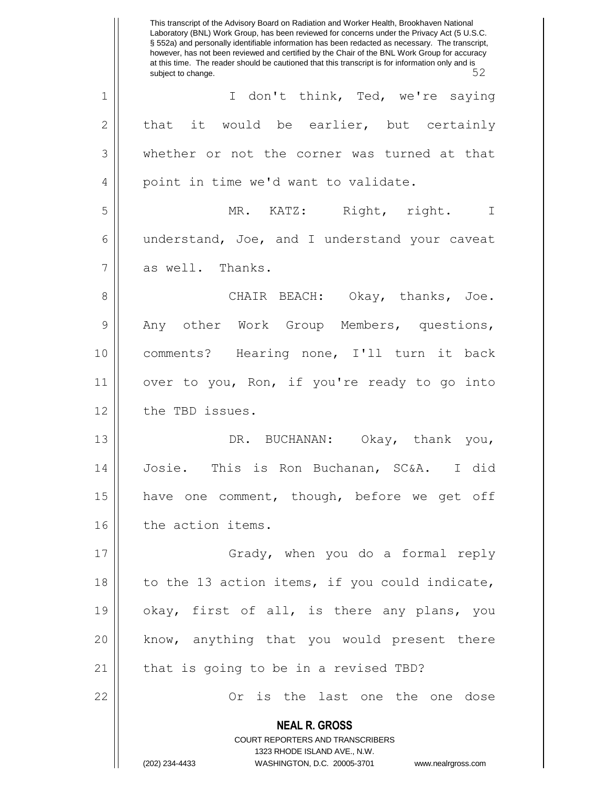**NEAL R. GROSS** COURT REPORTERS AND TRANSCRIBERS 1323 RHODE ISLAND AVE., N.W. (202) 234-4433 WASHINGTON, D.C. 20005-3701 www.nealrgross.com This transcript of the Advisory Board on Radiation and Worker Health, Brookhaven National Laboratory (BNL) Work Group, has been reviewed for concerns under the Privacy Act (5 U.S.C. § 552a) and personally identifiable information has been redacted as necessary. The transcript, however, has not been reviewed and certified by the Chair of the BNL Work Group for accuracy at this time. The reader should be cautioned that this transcript is for information only and is<br>52 subject to change. 1 || I don't think, Ted, we're saying  $2 \parallel$  that it would be earlier, but certainly 3 whether or not the corner was turned at that 4 || point in time we'd want to validate. 5 MR. KATZ: Right, right. I 6 understand, Joe, and I understand your caveat 7 || as well. Thanks. 8 CHAIR BEACH: Okay, thanks, Joe. 9 || Any other Work Group Members, questions, 10 comments? Hearing none, I'll turn it back 11 || over to you, Ron, if you're ready to go into 12 | the TBD issues. 13 || DR. BUCHANAN: Okay, thank you, 14 Josie. This is Ron Buchanan, SC&A. I did 15 || have one comment, though, before we get off 16 | the action items. 17 || Grady, when you do a formal reply 18 || to the 13 action items, if you could indicate, 19 || okay, first of all, is there any plans, you 20 || know, anything that you would present there  $21$  || that is going to be in a revised TBD? 22 || Cr is the last one the one dose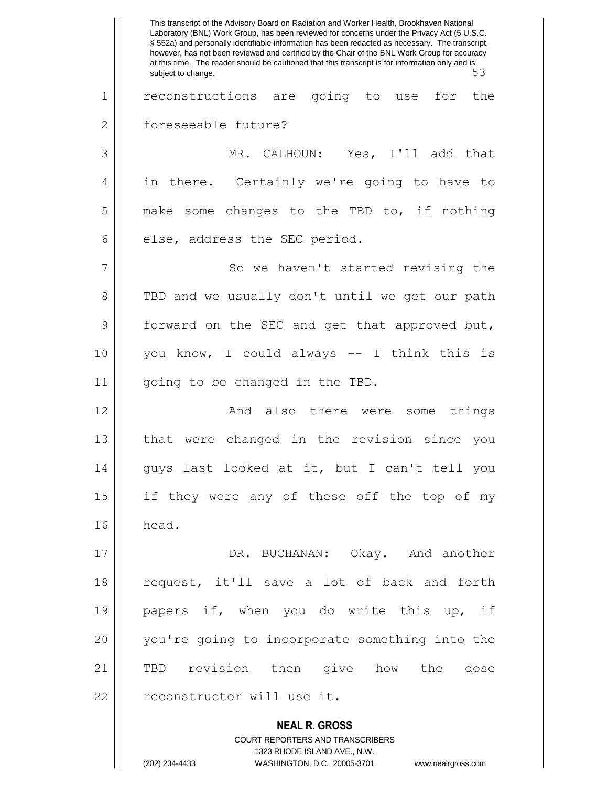**NEAL R. GROSS** COURT REPORTERS AND TRANSCRIBERS 1323 RHODE ISLAND AVE., N.W. This transcript of the Advisory Board on Radiation and Worker Health, Brookhaven National Laboratory (BNL) Work Group, has been reviewed for concerns under the Privacy Act (5 U.S.C. § 552a) and personally identifiable information has been redacted as necessary. The transcript, however, has not been reviewed and certified by the Chair of the BNL Work Group for accuracy at this time. The reader should be cautioned that this transcript is for information only and is<br>5.3 subject to change. 1 || reconstructions are going to use for the 2 | foreseeable future? 3 MR. CALHOUN: Yes, I'll add that 4 || in there. Certainly we're going to have to  $5 \parallel$  make some changes to the TBD to, if nothing  $6$  || else, address the SEC period. 7 || So we haven't started revising the 8 TBD and we usually don't until we get our path 9 || forward on the SEC and get that approved but, 10 you know, I could always -- I think this is 11 || going to be changed in the TBD. 12 || The Rand also there were some things 13 that were changed in the revision since you 14 guys last looked at it, but I can't tell you 15 || if they were any of these off the top of my  $16 \parallel$  head. 17 DR. BUCHANAN: Okay. And another 18 || request, it'll save a lot of back and forth 19 || papers if, when you do write this up, if 20 you're going to incorporate something into the 21 TBD revision then give how the dose 22 || reconstructor will use it.

(202) 234-4433 WASHINGTON, D.C. 20005-3701 www.nealrgross.com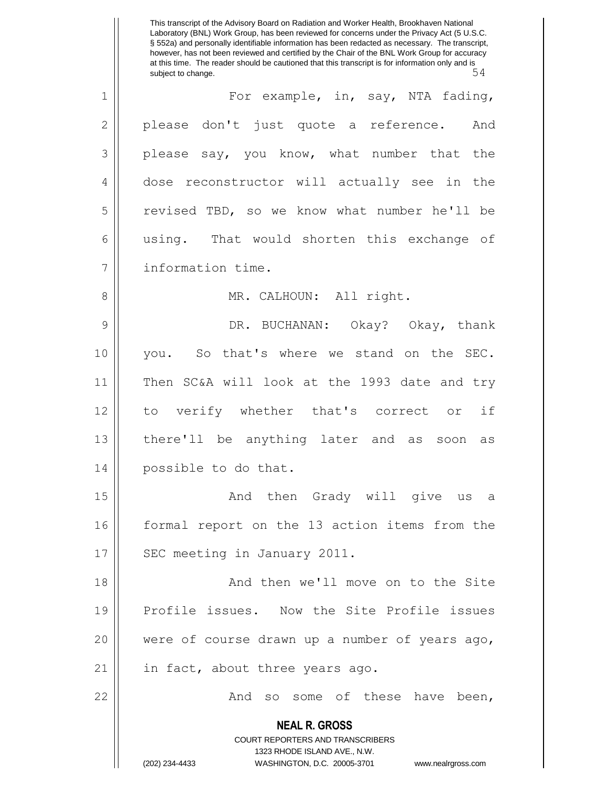**NEAL R. GROSS** COURT REPORTERS AND TRANSCRIBERS 1323 RHODE ISLAND AVE., N.W. (202) 234-4433 WASHINGTON, D.C. 20005-3701 www.nealrgross.com This transcript of the Advisory Board on Radiation and Worker Health, Brookhaven National Laboratory (BNL) Work Group, has been reviewed for concerns under the Privacy Act (5 U.S.C. § 552a) and personally identifiable information has been redacted as necessary. The transcript, however, has not been reviewed and certified by the Chair of the BNL Work Group for accuracy at this time. The reader should be cautioned that this transcript is for information only and is<br>54 subject to change. 1 For example, in, say, NTA fading,  $2 \parallel$  please don't just quote a reference. And  $3 \parallel$  please say, you know, what number that the 4 dose reconstructor will actually see in the 5 revised TBD, so we know what number he'll be 6 using. That would shorten this exchange of 7 information time. 8 MR. CALHOUN: All right. 9 DR. BUCHANAN: Okay? Okay, thank 10 you. So that's where we stand on the SEC. 11 Then SC&A will look at the 1993 date and try 12 to verify whether that's correct or if 13 there'll be anything later and as soon as 14 || possible to do that. 15 || The Charlothen Grady will give us a 16 || formal report on the 13 action items from the 17 | SEC meeting in January 2011. 18 || And then we'll move on to the Site 19 Profile issues. Now the Site Profile issues 20 were of course drawn up a number of years ago, 21 || in fact, about three years ago. 22 | Casa Canada So some of these have been,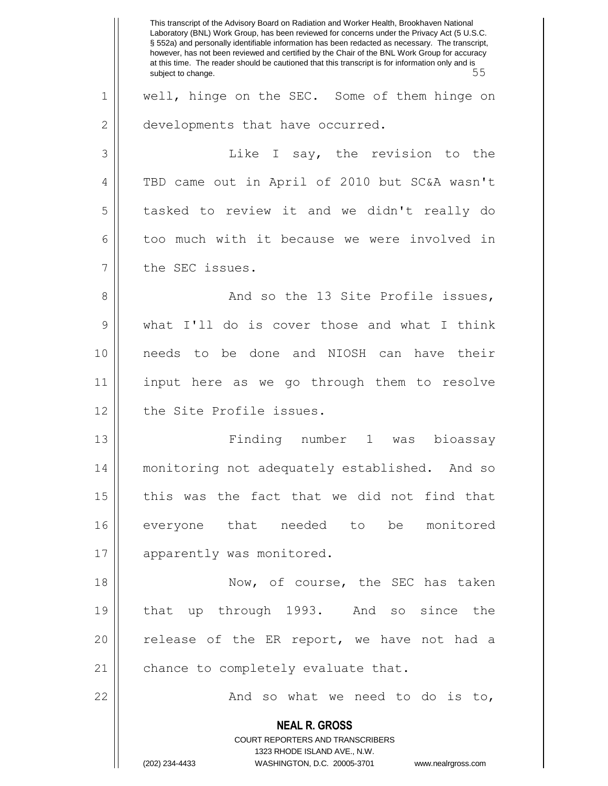**NEAL R. GROSS** COURT REPORTERS AND TRANSCRIBERS 1323 RHODE ISLAND AVE., N.W. (202) 234-4433 WASHINGTON, D.C. 20005-3701 www.nealrgross.com This transcript of the Advisory Board on Radiation and Worker Health, Brookhaven National Laboratory (BNL) Work Group, has been reviewed for concerns under the Privacy Act (5 U.S.C. § 552a) and personally identifiable information has been redacted as necessary. The transcript, however, has not been reviewed and certified by the Chair of the BNL Work Group for accuracy at this time. The reader should be cautioned that this transcript is for information only and is<br>55 subject to change. 1 || well, hinge on the SEC. Some of them hinge on 2 | developments that have occurred. 3 | Containst Like I say, the revision to the 4 TBD came out in April of 2010 but SC&A wasn't 5 tasked to review it and we didn't really do 6 too much with it because we were involved in 7 | the SEC issues. 8 || And so the 13 Site Profile issues, 9 what I'll do is cover those and what I think 10 needs to be done and NIOSH can have their 11 input here as we go through them to resolve 12 || the Site Profile issues. 13 Finding number 1 was bioassay 14 monitoring not adequately established. And so 15 || this was the fact that we did not find that 16 everyone that needed to be monitored 17 || apparently was monitored. 18 || Now, of course, the SEC has taken 19 that up through 1993. And so since the 20 || release of the ER report, we have not had a 21 | chance to completely evaluate that. 22 || **And so what we need to do is to**,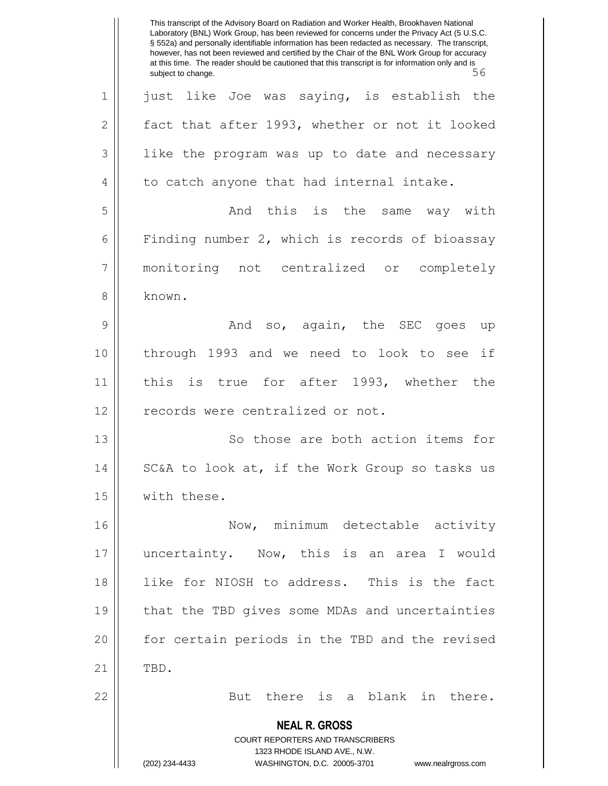**NEAL R. GROSS** COURT REPORTERS AND TRANSCRIBERS 1323 RHODE ISLAND AVE., N.W. (202) 234-4433 WASHINGTON, D.C. 20005-3701 www.nealrgross.com This transcript of the Advisory Board on Radiation and Worker Health, Brookhaven National Laboratory (BNL) Work Group, has been reviewed for concerns under the Privacy Act (5 U.S.C. § 552a) and personally identifiable information has been redacted as necessary. The transcript, however, has not been reviewed and certified by the Chair of the BNL Work Group for accuracy at this time. The reader should be cautioned that this transcript is for information only and is<br>56 subject to change. 1 || just like Joe was saying, is establish the  $2 \parallel$  fact that after 1993, whether or not it looked  $3 \parallel$  like the program was up to date and necessary  $4 \parallel$  to catch anyone that had internal intake. 5 And this is the same way with 6 Finding number 2, which is records of bioassay 7 monitoring not centralized or completely 8 known. 9 And so, again, the SEC goes up 10 through 1993 and we need to look to see if 11 || this is true for after 1993, whether the 12 || records were centralized or not. 13 || So those are both action items for 14 || SC&A to look at, if the Work Group so tasks us 15 | with these. 16 || Now, minimum detectable activity 17 uncertainty. Now, this is an area I would 18 like for NIOSH to address. This is the fact 19 || that the TBD gives some MDAs and uncertainties 20 || for certain periods in the TBD and the revised  $21$  || TBD. 22 || But there is a blank in there.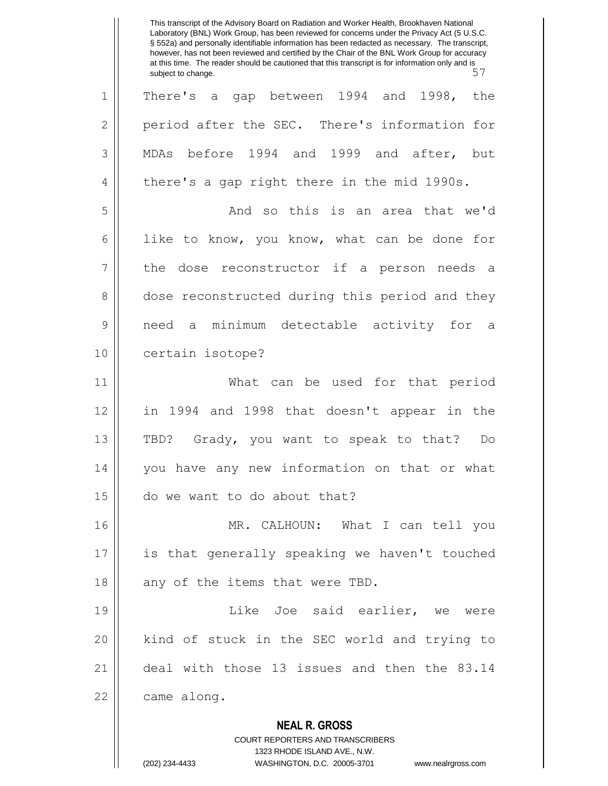**NEAL R. GROSS** COURT REPORTERS AND TRANSCRIBERS 1323 RHODE ISLAND AVE., N.W. This transcript of the Advisory Board on Radiation and Worker Health, Brookhaven National Laboratory (BNL) Work Group, has been reviewed for concerns under the Privacy Act (5 U.S.C. § 552a) and personally identifiable information has been redacted as necessary. The transcript, however, has not been reviewed and certified by the Chair of the BNL Work Group for accuracy at this time. The reader should be cautioned that this transcript is for information only and is<br>57 subject to change. 1 || There's a gap between 1994 and 1998, the 2 | period after the SEC. There's information for 3 MDAs before 1994 and 1999 and after, but 4 || there's a gap right there in the mid 1990s. 5 And so this is an area that we'd 6 | like to know, you know, what can be done for 7 the dose reconstructor if a person needs a 8 dose reconstructed during this period and they 9 need a minimum detectable activity for a 10 || certain isotope? 11 What can be used for that period 12 in 1994 and 1998 that doesn't appear in the 13 TBD? Grady, you want to speak to that? Do 14 you have any new information on that or what 15 do we want to do about that? 16 MR. CALHOUN: What I can tell you 17 is that generally speaking we haven't touched  $18$  || any of the items that were TBD. 19 || Like Joe said earlier, we were 20 || kind of stuck in the SEC world and trying to 21 deal with those 13 issues and then the 83.14 22 | came along.

(202) 234-4433 WASHINGTON, D.C. 20005-3701 www.nealrgross.com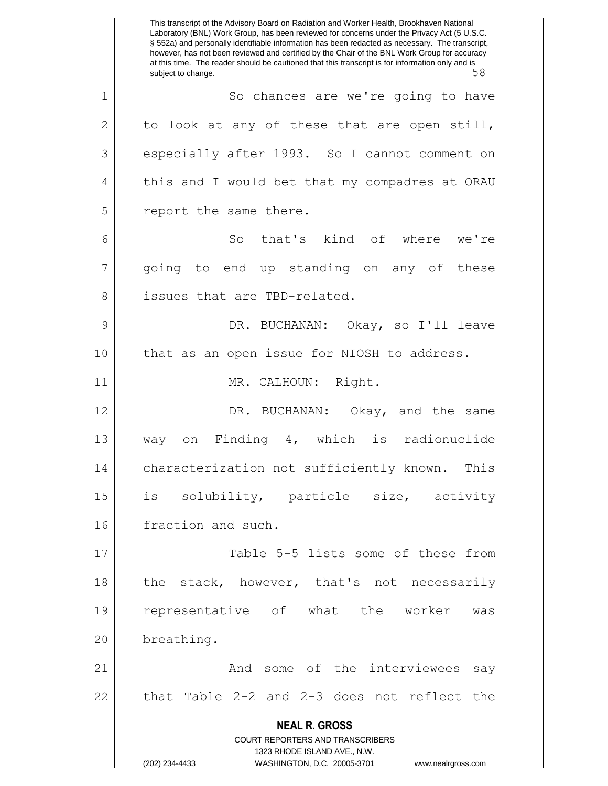**NEAL R. GROSS** COURT REPORTERS AND TRANSCRIBERS 1323 RHODE ISLAND AVE., N.W. (202) 234-4433 WASHINGTON, D.C. 20005-3701 www.nealrgross.com This transcript of the Advisory Board on Radiation and Worker Health, Brookhaven National Laboratory (BNL) Work Group, has been reviewed for concerns under the Privacy Act (5 U.S.C. § 552a) and personally identifiable information has been redacted as necessary. The transcript, however, has not been reviewed and certified by the Chair of the BNL Work Group for accuracy at this time. The reader should be cautioned that this transcript is for information only and is<br>58 subject to change. 1 | So chances are we're going to have  $2 \parallel$  to look at any of these that are open still, 3 | especially after 1993. So I cannot comment on 4 || this and I would bet that my compadres at ORAU 5 | report the same there. 6 || So that's kind of where we're 7 || going to end up standing on any of these 8 || issues that are TBD-related. 9 DR. BUCHANAN: Okay, so I'll leave 10 || that as an open issue for NIOSH to address. 11 || MR. CALHOUN: Right. 12 DR. BUCHANAN: Okay, and the same 13 way on Finding 4, which is radionuclide 14 | characterization not sufficiently known. This 15 is solubility, particle size, activity 16 | fraction and such. 17 || Table 5-5 lists some of these from 18 || the stack, however, that's not necessarily 19 representative of what the worker was 20 | breathing. 21 And some of the interviewees say  $22$  || that Table 2-2 and 2-3 does not reflect the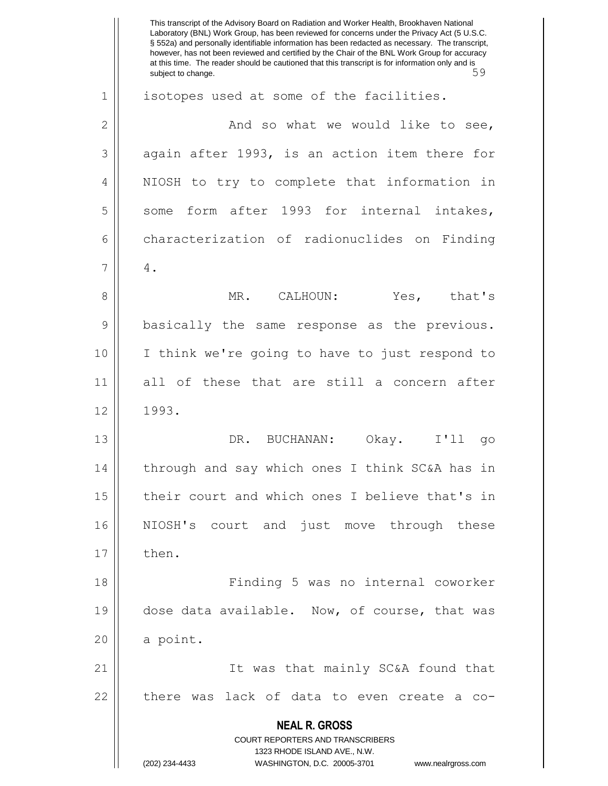**NEAL R. GROSS** COURT REPORTERS AND TRANSCRIBERS 1323 RHODE ISLAND AVE., N.W. (202) 234-4433 WASHINGTON, D.C. 20005-3701 www.nealrgross.com This transcript of the Advisory Board on Radiation and Worker Health, Brookhaven National Laboratory (BNL) Work Group, has been reviewed for concerns under the Privacy Act (5 U.S.C. § 552a) and personally identifiable information has been redacted as necessary. The transcript, however, has not been reviewed and certified by the Chair of the BNL Work Group for accuracy at this time. The reader should be cautioned that this transcript is for information only and is<br>59 subject to change. 1 || isotopes used at some of the facilities.  $2 \parallel$  and so what we would like to see,  $3 \parallel$  again after 1993, is an action item there for 4 || NIOSH to try to complete that information in  $5 \parallel$  some form after 1993 for internal intakes, 6 characterization of radionuclides on Finding  $7 \parallel 4$ . 8 MR. CALHOUN: Yes, that's 9 || basically the same response as the previous. 10 I think we're going to have to just respond to 11 all of these that are still a concern after  $12 \parallel 1993.$ 13 DR. BUCHANAN: Okay. I'll go 14 || through and say which ones I think SC&A has in 15 their court and which ones I believe that's in 16 NIOSH's court and just move through these  $17 \parallel$  then. 18 Finding 5 was no internal coworker 19 || dose data available. Now, of course, that was  $20$  a point. 21 It was that mainly SC&A found that  $22$  || there was lack of data to even create a co-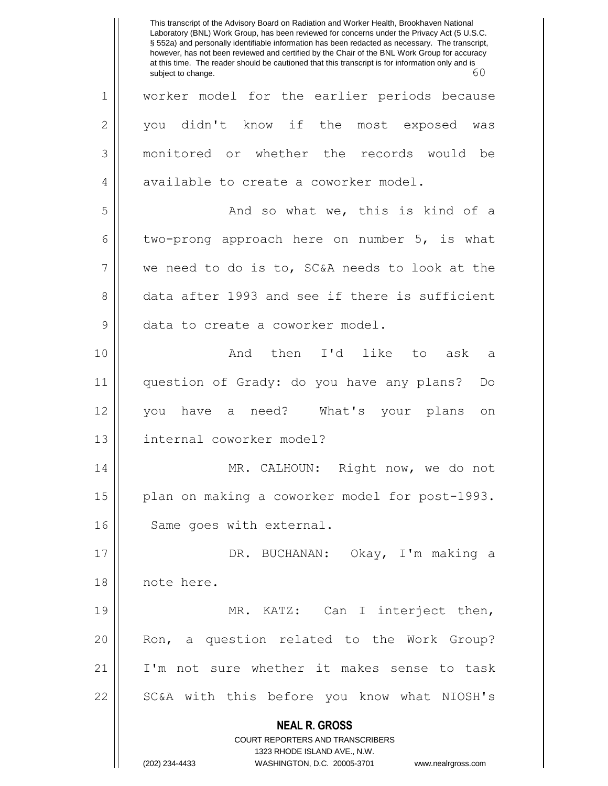**NEAL R. GROSS** COURT REPORTERS AND TRANSCRIBERS 1323 RHODE ISLAND AVE., N.W. (202) 234-4433 WASHINGTON, D.C. 20005-3701 www.nealrgross.com This transcript of the Advisory Board on Radiation and Worker Health, Brookhaven National Laboratory (BNL) Work Group, has been reviewed for concerns under the Privacy Act (5 U.S.C. § 552a) and personally identifiable information has been redacted as necessary. The transcript, however, has not been reviewed and certified by the Chair of the BNL Work Group for accuracy at this time. The reader should be cautioned that this transcript is for information only and is<br>60 subject to change. 1 || worker model for the earlier periods because 2 you didn't know if the most exposed was 3 monitored or whether the records would be 4 available to create a coworker model. 5 And so what we, this is kind of a 6 two-prong approach here on number 5, is what 7 we need to do is to, SC&A needs to look at the 8 data after 1993 and see if there is sufficient 9 || data to create a coworker model. 10 || The Conduction of the I'd like to ask a 11 question of Grady: do you have any plans? Do 12 you have a need? What's your plans on 13 internal coworker model? 14 MR. CALHOUN: Right now, we do not 15 || plan on making a coworker model for post-1993. 16 | Same goes with external. 17 DR. BUCHANAN: Okay, I'm making a 18 note here. 19 || MR. KATZ: Can I interject then, 20 || Ron, a question related to the Work Group? 21 I'm not sure whether it makes sense to task 22 || SC&A with this before you know what NIOSH's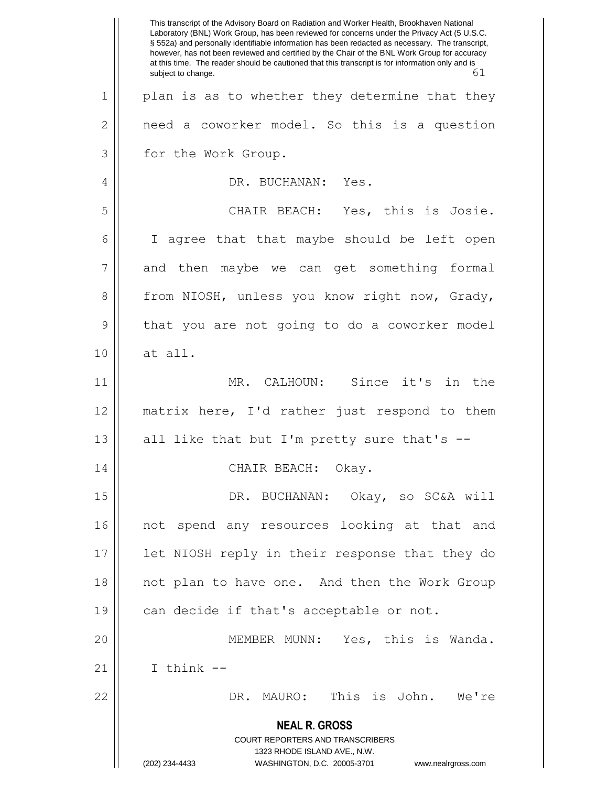**NEAL R. GROSS** COURT REPORTERS AND TRANSCRIBERS 1323 RHODE ISLAND AVE., N.W. (202) 234-4433 WASHINGTON, D.C. 20005-3701 www.nealrgross.com This transcript of the Advisory Board on Radiation and Worker Health, Brookhaven National Laboratory (BNL) Work Group, has been reviewed for concerns under the Privacy Act (5 U.S.C. § 552a) and personally identifiable information has been redacted as necessary. The transcript, however, has not been reviewed and certified by the Chair of the BNL Work Group for accuracy at this time. The reader should be cautioned that this transcript is for information only and is subject to change. 61 1 || plan is as to whether they determine that they  $2 \parallel$  need a coworker model. So this is a question 3 | for the Work Group. 4 DR. BUCHANAN: Yes. 5 CHAIR BEACH: Yes, this is Josie. 6 | I agree that that maybe should be left open  $7 \parallel$  and then maybe we can get something formal 8 from NIOSH, unless you know right now, Grady, 9 || that you are not going to do a coworker model 10 at all. 11 MR. CALHOUN: Since it's in the 12 matrix here, I'd rather just respond to them 13  $\parallel$  all like that but I'm pretty sure that's --14 || CHAIR BEACH: Okay. 15 || DR. BUCHANAN: Okay, so SC&A will 16 not spend any resources looking at that and 17 || let NIOSH reply in their response that they do 18 || not plan to have one. And then the Work Group  $19$  | can decide if that's acceptable or not. 20 MEMBER MUNN: Yes, this is Wanda.  $21$  ||  $\qquad$  I think --22 DR. MAURO: This is John. We're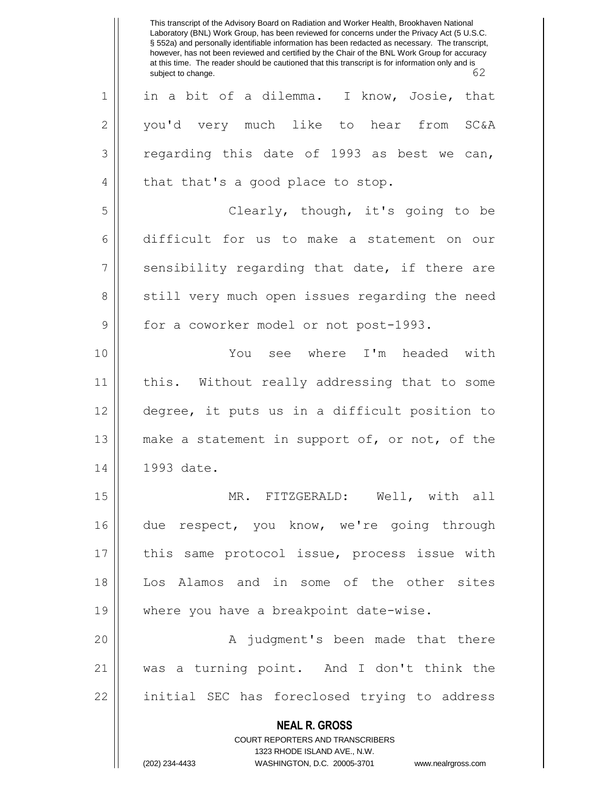**NEAL R. GROSS** COURT REPORTERS AND TRANSCRIBERS 1323 RHODE ISLAND AVE., N.W. This transcript of the Advisory Board on Radiation and Worker Health, Brookhaven National Laboratory (BNL) Work Group, has been reviewed for concerns under the Privacy Act (5 U.S.C. § 552a) and personally identifiable information has been redacted as necessary. The transcript, however, has not been reviewed and certified by the Chair of the BNL Work Group for accuracy at this time. The reader should be cautioned that this transcript is for information only and is<br>
62 subject to change. 1 in a bit of a dilemma. I know, Josie, that 2 you'd very much like to hear from SC&A  $3 \parallel$  regarding this date of 1993 as best we can,  $4 \parallel$  that that's a good place to stop. 5 Clearly, though, it's going to be 6 difficult for us to make a statement on our  $7 \parallel$  sensibility regarding that date, if there are 8 || still very much open issues regarding the need 9 | for a coworker model or not post-1993. 10 You see where I'm headed with 11 this. Without really addressing that to some 12 degree, it puts us in a difficult position to 13 || make a statement in support of, or not, of the 14 || 1993 date. 15 MR. FITZGERALD: Well, with all 16 due respect, you know, we're going through 17 || this same protocol issue, process issue with 18 Los Alamos and in some of the other sites 19 where you have a breakpoint date-wise. 20 || A judgment's been made that there 21 was a turning point. And I don't think the 22 || initial SEC has foreclosed trying to address

(202) 234-4433 WASHINGTON, D.C. 20005-3701 www.nealrgross.com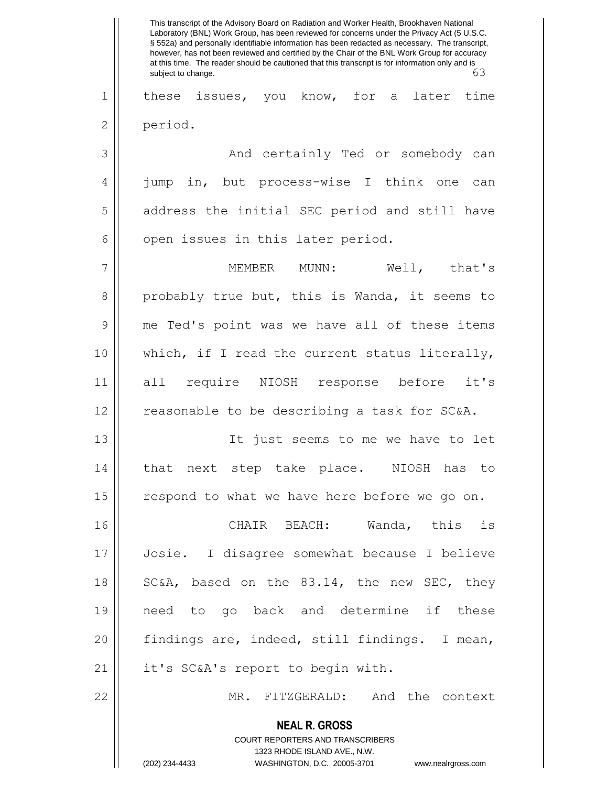|              | This transcript of the Advisory Board on Radiation and Worker Health, Brookhaven National<br>Laboratory (BNL) Work Group, has been reviewed for concerns under the Privacy Act (5 U.S.C.<br>§ 552a) and personally identifiable information has been redacted as necessary. The transcript,<br>however, has not been reviewed and certified by the Chair of the BNL Work Group for accuracy<br>at this time. The reader should be cautioned that this transcript is for information only and is<br>63<br>subject to change. |
|--------------|-----------------------------------------------------------------------------------------------------------------------------------------------------------------------------------------------------------------------------------------------------------------------------------------------------------------------------------------------------------------------------------------------------------------------------------------------------------------------------------------------------------------------------|
| $\mathbf 1$  | these issues, you know, for a later<br>time                                                                                                                                                                                                                                                                                                                                                                                                                                                                                 |
| $\mathbf{2}$ | period.                                                                                                                                                                                                                                                                                                                                                                                                                                                                                                                     |
| 3            | And certainly Ted or somebody can                                                                                                                                                                                                                                                                                                                                                                                                                                                                                           |
| 4            | jump in, but process-wise I think one<br>can                                                                                                                                                                                                                                                                                                                                                                                                                                                                                |
| 5            | address the initial SEC period and still have                                                                                                                                                                                                                                                                                                                                                                                                                                                                               |
| 6            | open issues in this later period.                                                                                                                                                                                                                                                                                                                                                                                                                                                                                           |
| 7            | Well, that's<br>MEMBER MUNN:                                                                                                                                                                                                                                                                                                                                                                                                                                                                                                |
| 8            | probably true but, this is Wanda, it seems to                                                                                                                                                                                                                                                                                                                                                                                                                                                                               |
| 9            | me Ted's point was we have all of these items                                                                                                                                                                                                                                                                                                                                                                                                                                                                               |
| 10           | which, if I read the current status literally,                                                                                                                                                                                                                                                                                                                                                                                                                                                                              |
| 11           | all require NIOSH response before it's                                                                                                                                                                                                                                                                                                                                                                                                                                                                                      |
| 12           | reasonable to be describing a task for SC&A.                                                                                                                                                                                                                                                                                                                                                                                                                                                                                |
| 13           | It just seems to me we have to let                                                                                                                                                                                                                                                                                                                                                                                                                                                                                          |
| 14           | that next step take place. NIOSH has to                                                                                                                                                                                                                                                                                                                                                                                                                                                                                     |
| 15           | respond to what we have here before we go on.                                                                                                                                                                                                                                                                                                                                                                                                                                                                               |
| 16           | CHAIR BEACH: Wanda, this is                                                                                                                                                                                                                                                                                                                                                                                                                                                                                                 |
| 17           | Josie. I disagree somewhat because I believe                                                                                                                                                                                                                                                                                                                                                                                                                                                                                |
| 18           | SC&A, based on the 83.14, the new SEC, they                                                                                                                                                                                                                                                                                                                                                                                                                                                                                 |
| 19           | need to go back and determine if these                                                                                                                                                                                                                                                                                                                                                                                                                                                                                      |
| 20           | findings are, indeed, still findings. I mean,                                                                                                                                                                                                                                                                                                                                                                                                                                                                               |
| 21           | it's SC&A's report to begin with.                                                                                                                                                                                                                                                                                                                                                                                                                                                                                           |
| 22           | MR. FITZGERALD: And the context                                                                                                                                                                                                                                                                                                                                                                                                                                                                                             |
|              | <b>NEAL R. GROSS</b>                                                                                                                                                                                                                                                                                                                                                                                                                                                                                                        |
|              | COURT REPORTERS AND TRANSCRIBERS                                                                                                                                                                                                                                                                                                                                                                                                                                                                                            |
|              | 1323 RHODE ISLAND AVE., N.W.<br>(202) 234-4433<br>WASHINGTON, D.C. 20005-3701 www.nealrgross.com                                                                                                                                                                                                                                                                                                                                                                                                                            |
|              |                                                                                                                                                                                                                                                                                                                                                                                                                                                                                                                             |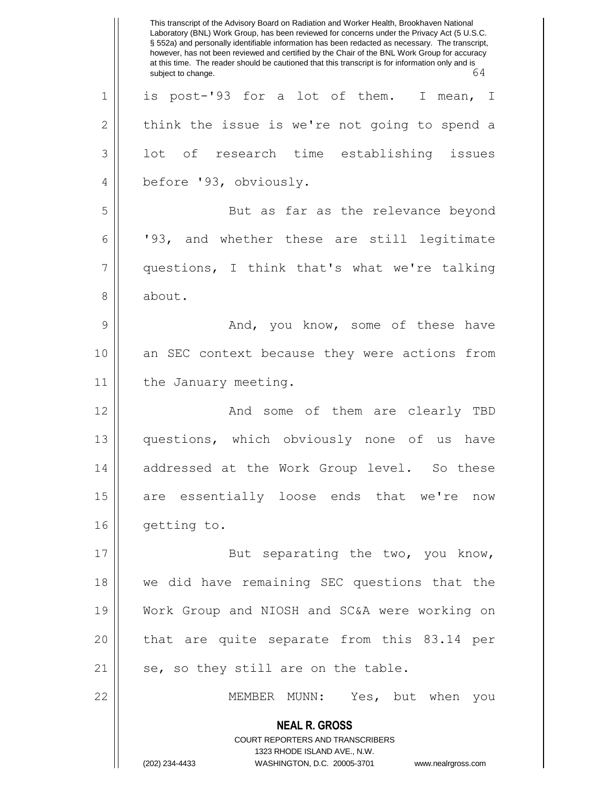**NEAL R. GROSS** COURT REPORTERS AND TRANSCRIBERS 1323 RHODE ISLAND AVE., N.W. (202) 234-4433 WASHINGTON, D.C. 20005-3701 www.nealrgross.com This transcript of the Advisory Board on Radiation and Worker Health, Brookhaven National Laboratory (BNL) Work Group, has been reviewed for concerns under the Privacy Act (5 U.S.C. § 552a) and personally identifiable information has been redacted as necessary. The transcript, however, has not been reviewed and certified by the Chair of the BNL Work Group for accuracy at this time. The reader should be cautioned that this transcript is for information only and is<br>
64 subject to change. 1| is post-'93 for a lot of them. I mean, I  $2 \parallel$  think the issue is we're not going to spend a  $3 \parallel$  lot of research time establishing issues 4 | before '93, obviously. 5 || But as far as the relevance beyond 6 | '93, and whether these are still legitimate 7 questions, I think that's what we're talking 8 | about. 9 And, you know, some of these have 10 an SEC context because they were actions from 11 | the January meeting. 12 And some of them are clearly TBD 13 questions, which obviously none of us have 14 || addressed at the Work Group level. So these 15 || are essentially loose ends that we're now 16 | getting to. 17 || But separating the two, you know, 18 we did have remaining SEC questions that the 19 Work Group and NIOSH and SC&A were working on 20 || that are quite separate from this 83.14 per  $21$  | se, so they still are on the table. 22 MEMBER MUNN: Yes, but when you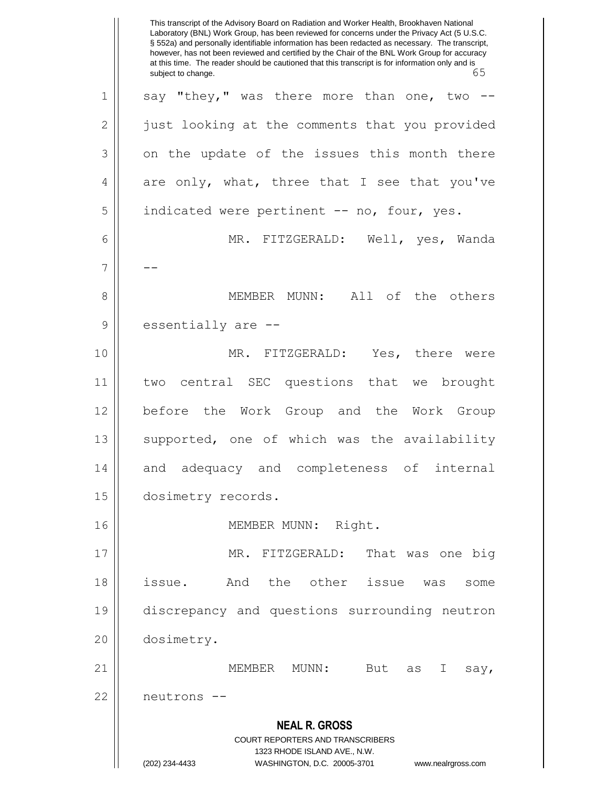**NEAL R. GROSS** COURT REPORTERS AND TRANSCRIBERS 1323 RHODE ISLAND AVE., N.W. (202) 234-4433 WASHINGTON, D.C. 20005-3701 www.nealrgross.com This transcript of the Advisory Board on Radiation and Worker Health, Brookhaven National Laboratory (BNL) Work Group, has been reviewed for concerns under the Privacy Act (5 U.S.C. § 552a) and personally identifiable information has been redacted as necessary. The transcript, however, has not been reviewed and certified by the Chair of the BNL Work Group for accuracy at this time. The reader should be cautioned that this transcript is for information only and is<br>65 subject to change.  $1 \parallel$  say "they," was there more than one, two --2 | just looking at the comments that you provided  $3 \parallel$  on the update of the issues this month there  $4 \parallel$  are only, what, three that I see that you've 5 | indicated were pertinent -- no, four, yes. 6 MR. FITZGERALD: Well, yes, Wanda  $7 \parallel - -$ 8 || MEMBER MUNN: All of the others 9 essentially are --10 MR. FITZGERALD: Yes, there were 11 two central SEC questions that we brought 12 | before the Work Group and the Work Group 13 || supported, one of which was the availability 14 and adequacy and completeness of internal 15 dosimetry records. 16 || **MEMBER MUNN: Right.** 17 || MR. FITZGERALD: That was one big 18 || issue. And the other issue was some 19 discrepancy and questions surrounding neutron 20 dosimetry. 21  $\parallel$  MEMBER MUNN: But as I say, 22 neutrons --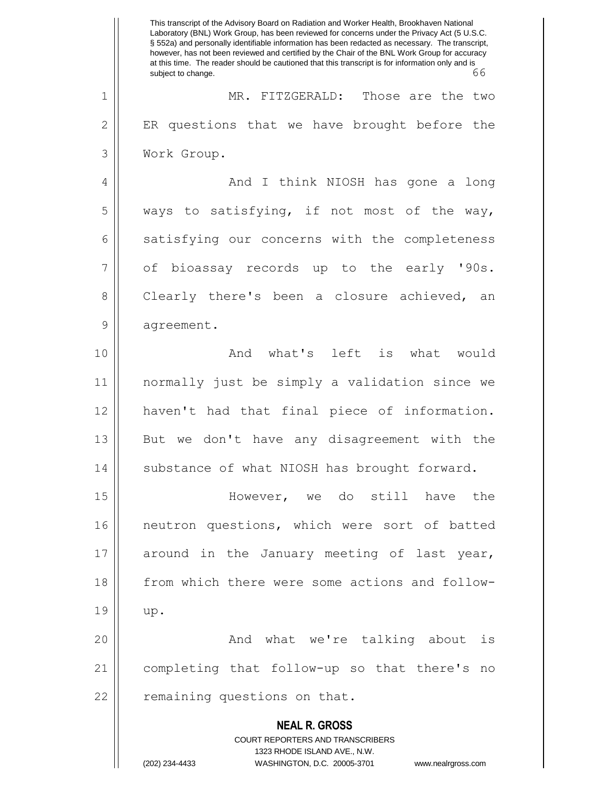**NEAL R. GROSS** COURT REPORTERS AND TRANSCRIBERS 1323 RHODE ISLAND AVE., N.W. (202) 234-4433 WASHINGTON, D.C. 20005-3701 www.nealrgross.com This transcript of the Advisory Board on Radiation and Worker Health, Brookhaven National Laboratory (BNL) Work Group, has been reviewed for concerns under the Privacy Act (5 U.S.C. § 552a) and personally identifiable information has been redacted as necessary. The transcript, however, has not been reviewed and certified by the Chair of the BNL Work Group for accuracy at this time. The reader should be cautioned that this transcript is for information only and is subject to change. 66 1 MR. FITZGERALD: Those are the two  $2 \parallel$  ER questions that we have brought before the 3 Work Group. 4 And I think NIOSH has gone a long  $5 \parallel$  ways to satisfying, if not most of the way, 6 satisfying our concerns with the completeness  $7 \parallel$  of bioassay records up to the early '90s. 8 Clearly there's been a closure achieved, an 9 | agreement. 10 And what's left is what would 11 normally just be simply a validation since we 12 haven't had that final piece of information. 13 || But we don't have any disagreement with the 14 || substance of what NIOSH has brought forward. 15 However, we do still have the 16 || neutron questions, which were sort of batted 17 around in the January meeting of last year, 18 from which there were some actions and follow- $19 \parallel \text{up.}$ 20 And what we're talking about is 21 completing that follow-up so that there's no 22 | remaining questions on that.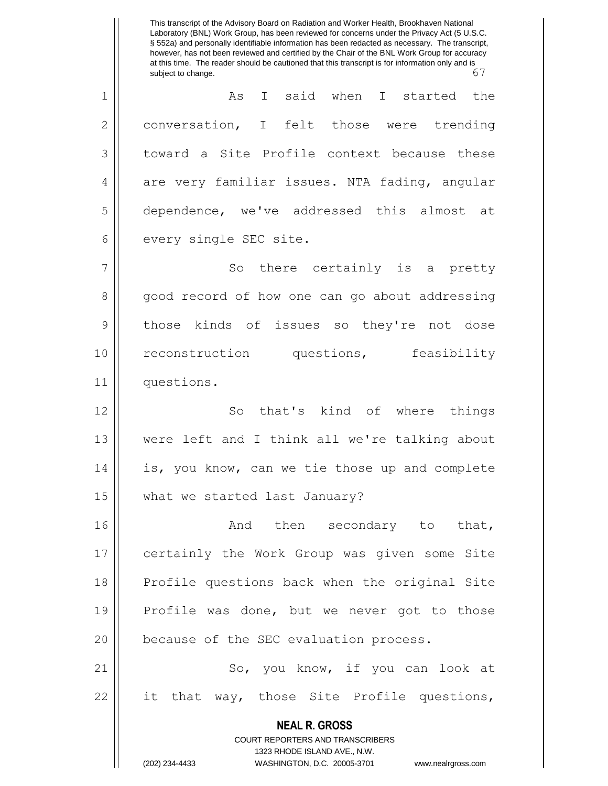**NEAL R. GROSS** COURT REPORTERS AND TRANSCRIBERS 1323 RHODE ISLAND AVE., N.W. (202) 234-4433 WASHINGTON, D.C. 20005-3701 www.nealrgross.com This transcript of the Advisory Board on Radiation and Worker Health, Brookhaven National Laboratory (BNL) Work Group, has been reviewed for concerns under the Privacy Act (5 U.S.C. § 552a) and personally identifiable information has been redacted as necessary. The transcript, however, has not been reviewed and certified by the Chair of the BNL Work Group for accuracy at this time. The reader should be cautioned that this transcript is for information only and is<br>67 subject to change. 1 As I said when I started the 2 conversation, I felt those were trending 3 toward a Site Profile context because these 4 are very familiar issues. NTA fading, angular 5 dependence, we've addressed this almost at 6 every single SEC site. 7 || So there certainly is a pretty 8 good record of how one can go about addressing 9 || those kinds of issues so they're not dose 10 || reconstruction questions, feasibility 11 | questions. 12 || So that's kind of where things 13 were left and I think all we're talking about 14 || is, you know, can we tie those up and complete 15 | what we started last January? 16 || The Condary to that, 17 certainly the Work Group was given some Site 18 Profile questions back when the original Site 19 || Profile was done, but we never got to those 20 || because of the SEC evaluation process. 21 || So, you know, if you can look at 22 || it that way, those Site Profile questions,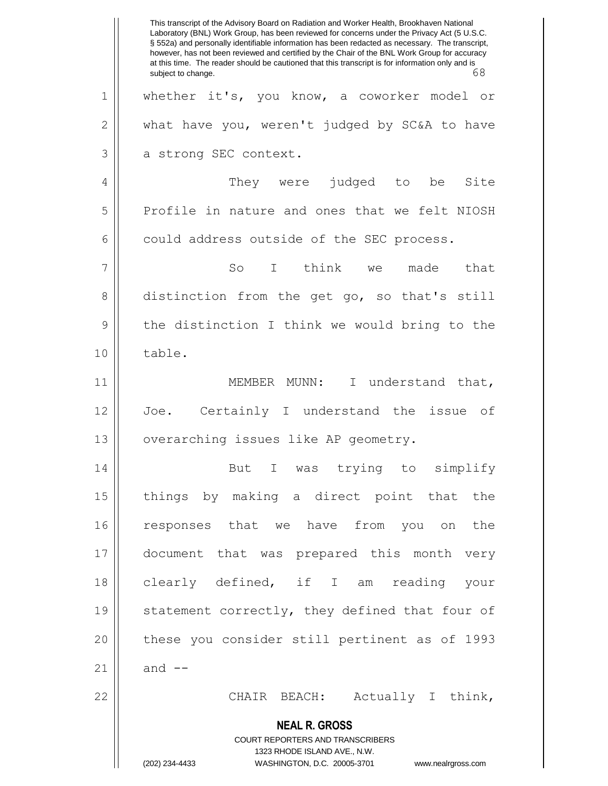**NEAL R. GROSS** COURT REPORTERS AND TRANSCRIBERS 1323 RHODE ISLAND AVE., N.W. (202) 234-4433 WASHINGTON, D.C. 20005-3701 www.nealrgross.com This transcript of the Advisory Board on Radiation and Worker Health, Brookhaven National Laboratory (BNL) Work Group, has been reviewed for concerns under the Privacy Act (5 U.S.C. § 552a) and personally identifiable information has been redacted as necessary. The transcript, however, has not been reviewed and certified by the Chair of the BNL Work Group for accuracy at this time. The reader should be cautioned that this transcript is for information only and is subject to change. 68 subject to change. 1 whether it's, you know, a coworker model or  $2 \parallel$  what have you, weren't judged by SC&A to have 3 a strong SEC context. 4 They were judged to be Site 5 Profile in nature and ones that we felt NIOSH  $6 \parallel$  could address outside of the SEC process. 7 || So I think we made that 8 distinction from the get go, so that's still 9 || the distinction I think we would bring to the 10 || table. 11 || MEMBER MUNN: I understand that, 12 Joe. Certainly I understand the issue of 13 | overarching issues like AP geometry. 14 || But I was trying to simplify 15 things by making a direct point that the 16 responses that we have from you on the 17 document that was prepared this month very 18 clearly defined, if I am reading your 19 || statement correctly, they defined that four of 20 || these you consider still pertinent as of 1993  $21$  | and  $-$ 22 | CHAIR BEACH: Actually I think,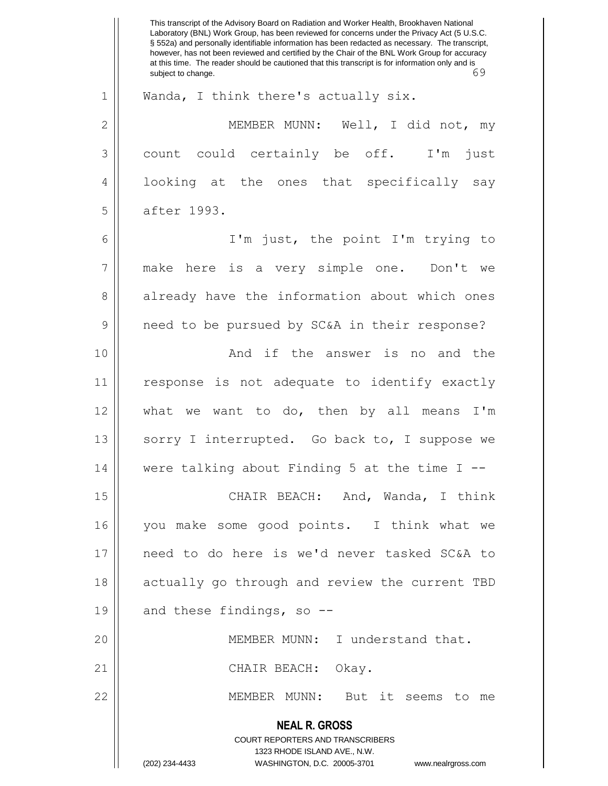**NEAL R. GROSS** COURT REPORTERS AND TRANSCRIBERS 1323 RHODE ISLAND AVE., N.W. (202) 234-4433 WASHINGTON, D.C. 20005-3701 www.nealrgross.com This transcript of the Advisory Board on Radiation and Worker Health, Brookhaven National Laboratory (BNL) Work Group, has been reviewed for concerns under the Privacy Act (5 U.S.C. § 552a) and personally identifiable information has been redacted as necessary. The transcript, however, has not been reviewed and certified by the Chair of the BNL Work Group for accuracy at this time. The reader should be cautioned that this transcript is for information only and is subject to change. 69 1 || Wanda, I think there's actually six. 2 MEMBER MUNN: Well, I did not, my 3 count could certainly be off. I'm just 4 || looking at the ones that specifically say 5 | after 1993. 6 I'm just, the point I'm trying to 7 make here is a very simple one. Don't we 8 already have the information about which ones 9 | need to be pursued by SC&A in their response? 10 || And if the answer is no and the 11 response is not adequate to identify exactly 12 what we want to do, then by all means I'm 13 || sorry I interrupted. Go back to, I suppose we 14 were talking about Finding 5 at the time I -- 15 || CHAIR BEACH: And, Wanda, I think 16 you make some good points. I think what we 17 need to do here is we'd never tasked SC&A to 18 || actually go through and review the current TBD 19  $\parallel$  and these findings, so --20 || MEMBER MUNN: I understand that. 21 || CHAIR BEACH: Okay. 22 MEMBER MUNN: But it seems to me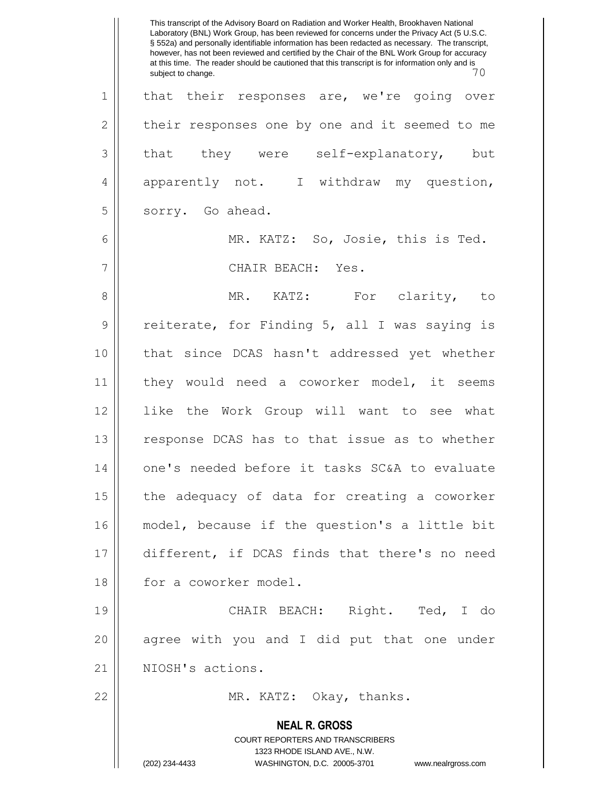**NEAL R. GROSS** COURT REPORTERS AND TRANSCRIBERS 1323 RHODE ISLAND AVE., N.W. (202) 234-4433 WASHINGTON, D.C. 20005-3701 www.nealrgross.com This transcript of the Advisory Board on Radiation and Worker Health, Brookhaven National Laboratory (BNL) Work Group, has been reviewed for concerns under the Privacy Act (5 U.S.C. § 552a) and personally identifiable information has been redacted as necessary. The transcript, however, has not been reviewed and certified by the Chair of the BNL Work Group for accuracy at this time. The reader should be cautioned that this transcript is for information only and is<br> $\overline{70}$ subject to change. 1 || that their responses are, we're going over  $2 \parallel$  their responses one by one and it seemed to me  $3 \parallel$  that they were self-explanatory, but 4 apparently not. I withdraw my question, 5 | sorry. Go ahead. 6 MR. KATZ: So, Josie, this is Ted. 7 CHAIR BEACH: Yes. 8 MR. KATZ: For clarity, to 9 || reiterate, for Finding 5, all I was saying is 10 that since DCAS hasn't addressed yet whether 11 they would need a coworker model, it seems 12 like the Work Group will want to see what 13 || response DCAS has to that issue as to whether 14 || one's needed before it tasks SC&A to evaluate  $15$  | the adequacy of data for creating a coworker 16 model, because if the question's a little bit 17 different, if DCAS finds that there's no need 18 || for a coworker model. 19 CHAIR BEACH: Right. Ted, I do 20 || agree with you and I did put that one under 21 || NIOSH's actions. 22 || MR. KATZ: Okay, thanks.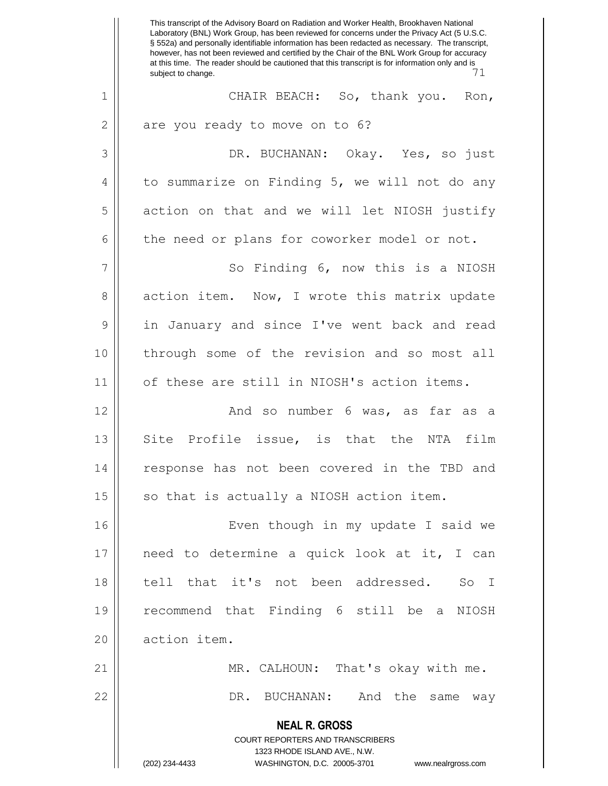**NEAL R. GROSS** COURT REPORTERS AND TRANSCRIBERS 1323 RHODE ISLAND AVE., N.W. (202) 234-4433 WASHINGTON, D.C. 20005-3701 www.nealrgross.com This transcript of the Advisory Board on Radiation and Worker Health, Brookhaven National Laboratory (BNL) Work Group, has been reviewed for concerns under the Privacy Act (5 U.S.C. § 552a) and personally identifiable information has been redacted as necessary. The transcript, however, has not been reviewed and certified by the Chair of the BNL Work Group for accuracy at this time. The reader should be cautioned that this transcript is for information only and is subject to change. 1 CHAIR BEACH: So, thank you. Ron,  $2 \parallel$  are you ready to move on to 6? 3 DR. BUCHANAN: Okay. Yes, so just  $4 \parallel$  to summarize on Finding 5, we will not do any 5 action on that and we will let NIOSH justify  $6 \parallel$  the need or plans for coworker model or not. 7 || So Finding 6, now this is a NIOSH 8 action item. Now, I wrote this matrix update 9 || in January and since I've went back and read 10 through some of the revision and so most all 11 | of these are still in NIOSH's action items. 12 And so number 6 was, as far as a 13 || Site Profile issue, is that the NTA film 14 || response has not been covered in the TBD and  $15$  so that is actually a NIOSH action item. 16 || Even though in my update I said we 17 need to determine a quick look at it, I can 18 tell that it's not been addressed. So I 19 recommend that Finding 6 still be a NIOSH 20 action item. 21 MR. CALHOUN: That's okay with me. 22 DR. BUCHANAN: And the same way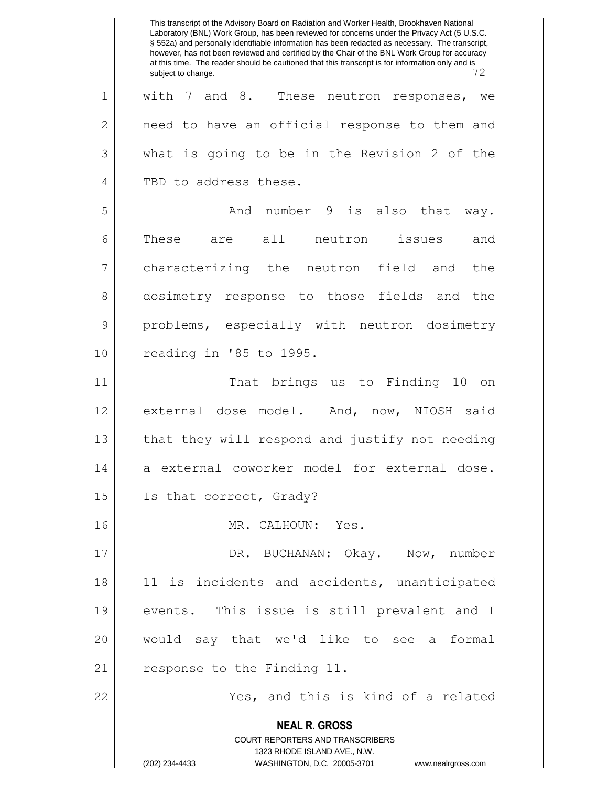**NEAL R. GROSS** COURT REPORTERS AND TRANSCRIBERS 1323 RHODE ISLAND AVE., N.W. (202) 234-4433 WASHINGTON, D.C. 20005-3701 www.nealrgross.com This transcript of the Advisory Board on Radiation and Worker Health, Brookhaven National Laboratory (BNL) Work Group, has been reviewed for concerns under the Privacy Act (5 U.S.C. § 552a) and personally identifiable information has been redacted as necessary. The transcript, however, has not been reviewed and certified by the Chair of the BNL Work Group for accuracy at this time. The reader should be cautioned that this transcript is for information only and is subject to change. 1 || with 7 and 8. These neutron responses, we 2 | need to have an official response to them and  $3 \parallel$  what is going to be in the Revision 2 of the 4 || TBD to address these. 5 And number 9 is also that way. 6 || These are all neutron issues and 7 characterizing the neutron field and the 8 dosimetry response to those fields and the 9 || problems, especially with neutron dosimetry 10 || reading in '85 to 1995. 11 || That brings us to Finding 10 on 12 external dose model. And, now, NIOSH said 13 || that they will respond and justify not needing 14 a external coworker model for external dose. 15 || Is that correct, Grady? 16 || MR. CALHOUN: Yes. 17 DR. BUCHANAN: Okay. Now, number 18 || 11 is incidents and accidents, unanticipated 19 events. This issue is still prevalent and I 20 would say that we'd like to see a formal 21 | response to the Finding 11. 22 Yes, and this is kind of a related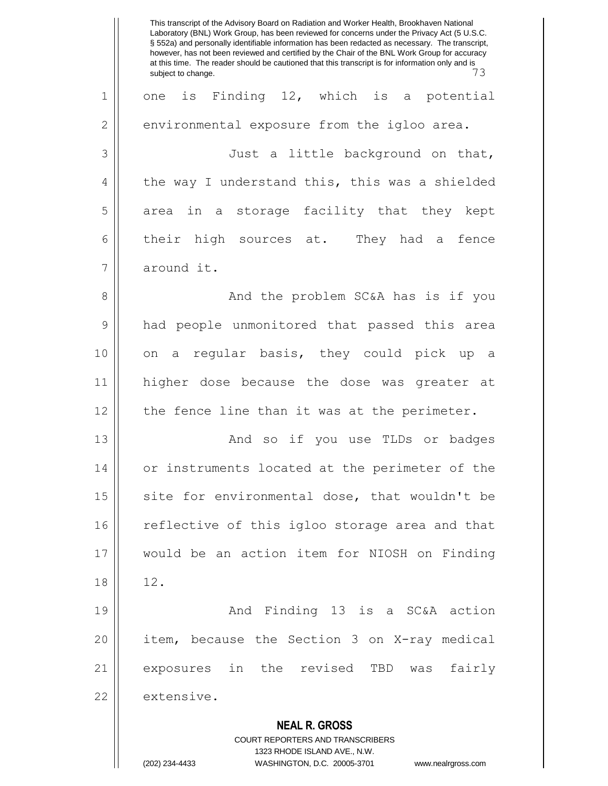**NEAL R. GROSS** COURT REPORTERS AND TRANSCRIBERS 1323 RHODE ISLAND AVE., N.W. This transcript of the Advisory Board on Radiation and Worker Health, Brookhaven National Laboratory (BNL) Work Group, has been reviewed for concerns under the Privacy Act (5 U.S.C. § 552a) and personally identifiable information has been redacted as necessary. The transcript, however, has not been reviewed and certified by the Chair of the BNL Work Group for accuracy at this time. The reader should be cautioned that this transcript is for information only and is subject to change. 73 1 || one is Finding 12, which is a potential 2 | environmental exposure from the igloo area. 3 Just a little background on that,  $4 \parallel$  the way I understand this, this was a shielded 5 area in a storage facility that they kept  $6 \parallel$  their high sources at. They had a fence 7 around it. 8 || And the problem SC&A has is if you 9 had people unmonitored that passed this area 10 || on a regular basis, they could pick up a 11 higher dose because the dose was greater at 12 || the fence line than it was at the perimeter. 13 And so if you use TLDs or badges 14 or instruments located at the perimeter of the  $15$  site for environmental dose, that wouldn't be 16 || reflective of this igloo storage area and that 17 would be an action item for NIOSH on Finding 18 | 12. 19 And Finding 13 is a SC&A action 20 item, because the Section 3 on X-ray medical 21 exposures in the revised TBD was fairly 22 extensive.

(202) 234-4433 WASHINGTON, D.C. 20005-3701 www.nealrgross.com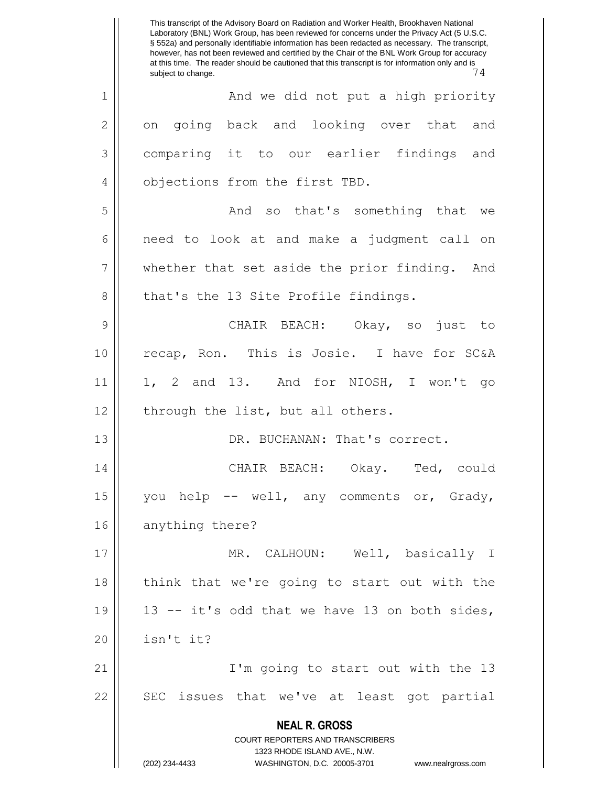**NEAL R. GROSS** COURT REPORTERS AND TRANSCRIBERS 1323 RHODE ISLAND AVE., N.W. (202) 234-4433 WASHINGTON, D.C. 20005-3701 www.nealrgross.com This transcript of the Advisory Board on Radiation and Worker Health, Brookhaven National Laboratory (BNL) Work Group, has been reviewed for concerns under the Privacy Act (5 U.S.C. § 552a) and personally identifiable information has been redacted as necessary. The transcript, however, has not been reviewed and certified by the Chair of the BNL Work Group for accuracy at this time. The reader should be cautioned that this transcript is for information only and is<br> $\frac{7}{4}$ subject to change. 1 || And we did not put a high priority 2 || on going back and looking over that and 3 comparing it to our earlier findings and 4 || objections from the first TBD. 5 And so that's something that we 6 || need to look at and make a judgment call on 7 || whether that set aside the prior finding. And  $8 \parallel$  that's the 13 Site Profile findings. 9 CHAIR BEACH: Okay, so just to 10 || recap, Ron. This is Josie. I have for SC&A 11 1, 2 and 13. And for NIOSH, I won't go  $12$  | through the list, but all others. 13 || DR. BUCHANAN: That's correct. 14 CHAIR BEACH: Okay. Ted, could 15 || you help  $--$  well, any comments or, Grady, 16 anything there? 17 MR. CALHOUN: Well, basically I 18 || think that we're going to start out with the 19  $\parallel$  13 -- it's odd that we have 13 on both sides,  $20$  | isn't it? 21 I'm going to start out with the 13 22 || SEC issues that we've at least got partial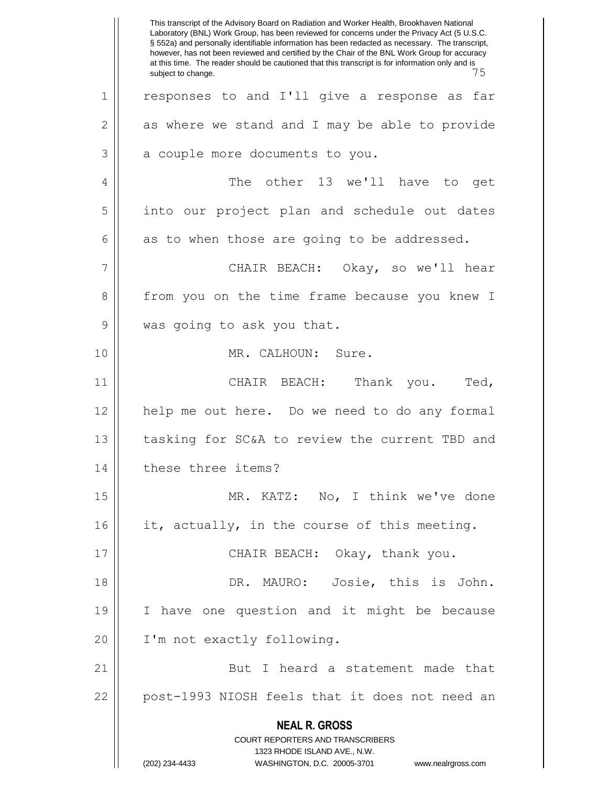**NEAL R. GROSS** COURT REPORTERS AND TRANSCRIBERS 1323 RHODE ISLAND AVE., N.W. (202) 234-4433 WASHINGTON, D.C. 20005-3701 www.nealrgross.com This transcript of the Advisory Board on Radiation and Worker Health, Brookhaven National Laboratory (BNL) Work Group, has been reviewed for concerns under the Privacy Act (5 U.S.C. § 552a) and personally identifiable information has been redacted as necessary. The transcript, however, has not been reviewed and certified by the Chair of the BNL Work Group for accuracy at this time. The reader should be cautioned that this transcript is for information only and is subject to change. 1 || responses to and I'll give a response as far  $2 \parallel$  as where we stand and I may be able to provide  $3 \parallel$  a couple more documents to you. 4 || The other 13 we'll have to get 5 || into our project plan and schedule out dates  $6 \parallel$  as to when those are going to be addressed. 7 CHAIR BEACH: Okay, so we'll hear 8 from you on the time frame because you knew I 9 || was going to ask you that. 10 MR. CALHOUN: Sure. 11 || CHAIR BEACH: Thank you. Ted, 12 help me out here. Do we need to do any formal 13 || tasking for SC&A to review the current TBD and 14 | these three items? 15 || MR. KATZ: No, I think we've done 16 || it, actually, in the course of this meeting. 17 || CHAIR BEACH: Okay, thank you. 18 DR. MAURO: Josie, this is John. 19 I have one question and it might be because 20 || I'm not exactly following. 21 || But I heard a statement made that 22 || post-1993 NIOSH feels that it does not need an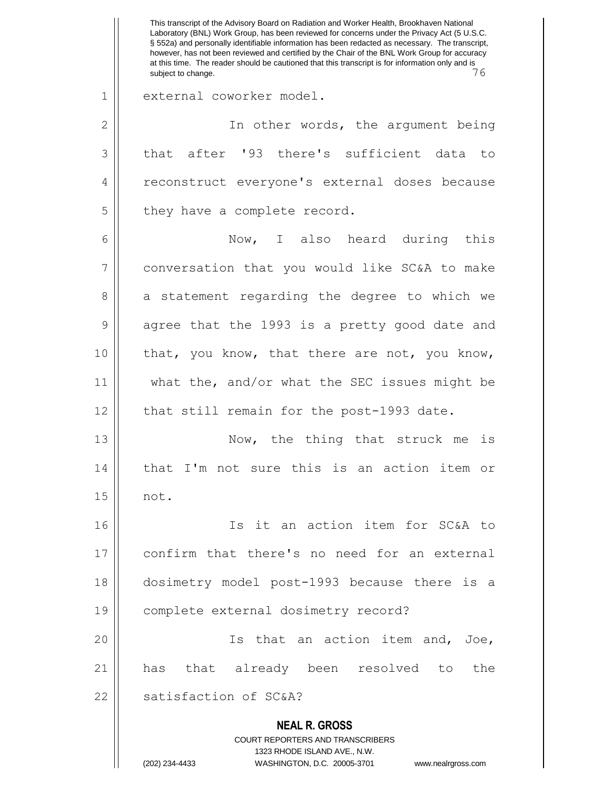**NEAL R. GROSS** COURT REPORTERS AND TRANSCRIBERS 1323 RHODE ISLAND AVE., N.W. (202) 234-4433 WASHINGTON, D.C. 20005-3701 www.nealrgross.com This transcript of the Advisory Board on Radiation and Worker Health, Brookhaven National Laboratory (BNL) Work Group, has been reviewed for concerns under the Privacy Act (5 U.S.C. § 552a) and personally identifiable information has been redacted as necessary. The transcript, however, has not been reviewed and certified by the Chair of the BNL Work Group for accuracy at this time. The reader should be cautioned that this transcript is for information only and is subject to change. 1 || external coworker model. 2 || In other words, the argument being 3 that after '93 there's sufficient data to 4 || reconstruct everyone's external doses because  $5$  || they have a complete record. 6 Now, I also heard during this 7 || conversation that you would like SC&A to make 8 a statement regarding the degree to which we 9 || agree that the 1993 is a pretty good date and  $10$  | that, you know, that there are not, you know, 11 what the, and/or what the SEC issues might be 12 || that still remain for the post-1993 date. 13 || Now, the thing that struck me is 14 || that I'm not sure this is an action item or 15 not. 16 Is it an action item for SC&A to 17 confirm that there's no need for an external 18 dosimetry model post-1993 because there is a 19 complete external dosimetry record? 20 Is that an action item and, Joe, 21 has that already been resolved to the 22 Satisfaction of SC&A?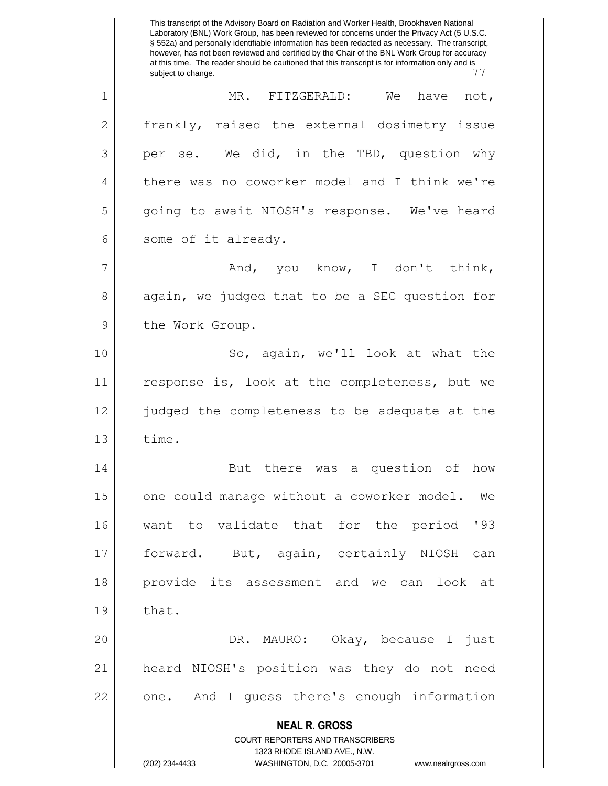**NEAL R. GROSS** COURT REPORTERS AND TRANSCRIBERS 1323 RHODE ISLAND AVE., N.W. (202) 234-4433 WASHINGTON, D.C. 20005-3701 www.nealrgross.com This transcript of the Advisory Board on Radiation and Worker Health, Brookhaven National Laboratory (BNL) Work Group, has been reviewed for concerns under the Privacy Act (5 U.S.C. § 552a) and personally identifiable information has been redacted as necessary. The transcript, however, has not been reviewed and certified by the Chair of the BNL Work Group for accuracy at this time. The reader should be cautioned that this transcript is for information only and is subject to change. 1 MR. FITZGERALD: We have not, 2 | frankly, raised the external dosimetry issue  $3 \parallel$  per se. We did, in the TBD, question why 4 | there was no coworker model and I think we're 5 | qoing to await NIOSH's response. We've heard 6 || some of it already.  $7 \parallel$  and, you know, I don't think, 8 again, we judged that to be a SEC question for 9 | the Work Group. 10 || So, again, we'll look at what the 11 || response is, look at the completeness, but we 12 judged the completeness to be adequate at the  $13 \parallel$  time. 14 || But there was a question of how 15 | one could manage without a coworker model. We 16 want to validate that for the period '93 17 forward. But, again, certainly NIOSH can 18 provide its assessment and we can look at  $19 \parallel$  that. 20 DR. MAURO: Okay, because I just 21 heard NIOSH's position was they do not need 22 || one. And I guess there's enough information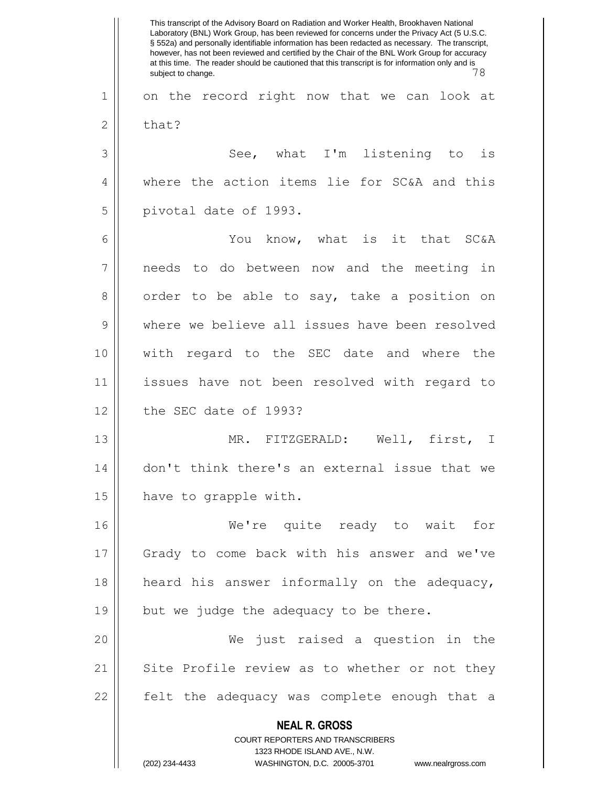**NEAL R. GROSS** COURT REPORTERS AND TRANSCRIBERS 1323 RHODE ISLAND AVE., N.W. (202) 234-4433 WASHINGTON, D.C. 20005-3701 www.nealrgross.com This transcript of the Advisory Board on Radiation and Worker Health, Brookhaven National Laboratory (BNL) Work Group, has been reviewed for concerns under the Privacy Act (5 U.S.C. § 552a) and personally identifiable information has been redacted as necessary. The transcript, however, has not been reviewed and certified by the Chair of the BNL Work Group for accuracy at this time. The reader should be cautioned that this transcript is for information only and is subject to change. 78 1 || on the record right now that we can look at  $2 \parallel$  that? 3 || See, what I'm listening to is 4 || where the action items lie for SC&A and this 5 || pivotal date of 1993. 6 You know, what is it that SC&A 7 needs to do between now and the meeting in 8 | order to be able to say, take a position on 9 Were we believe all issues have been resolved 10 with regard to the SEC date and where the 11 issues have not been resolved with regard to 12 l the SEC date of 1993? 13 MR. FITZGERALD: Well, first, I 14 don't think there's an external issue that we 15 have to grapple with. 16 We're quite ready to wait for 17 Grady to come back with his answer and we've 18 heard his answer informally on the adequacy, 19  $\parallel$  but we judge the adequacy to be there. 20 We just raised a question in the 21 || Site Profile review as to whether or not they 22 || felt the adequacy was complete enough that a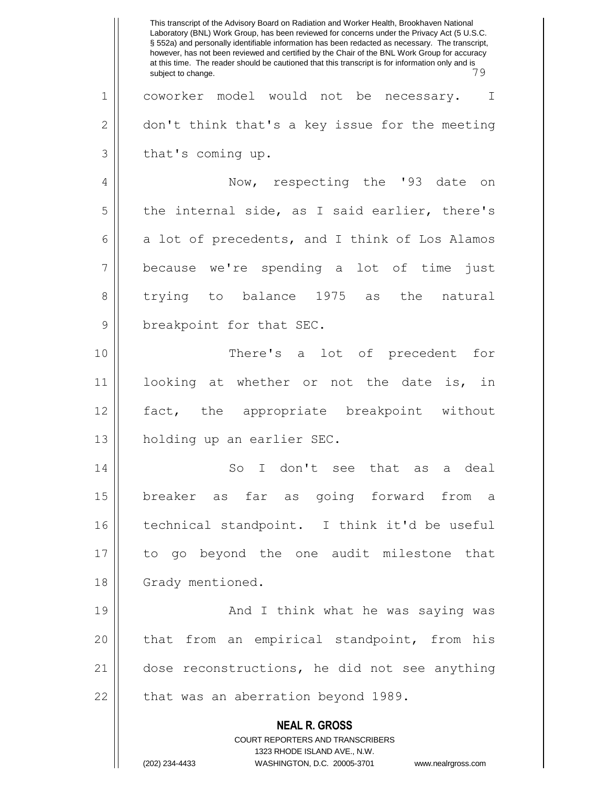**NEAL R. GROSS** COURT REPORTERS AND TRANSCRIBERS 1323 RHODE ISLAND AVE., N.W. (202) 234-4433 WASHINGTON, D.C. 20005-3701 www.nealrgross.com This transcript of the Advisory Board on Radiation and Worker Health, Brookhaven National Laboratory (BNL) Work Group, has been reviewed for concerns under the Privacy Act (5 U.S.C. § 552a) and personally identifiable information has been redacted as necessary. The transcript, however, has not been reviewed and certified by the Chair of the BNL Work Group for accuracy at this time. The reader should be cautioned that this transcript is for information only and is subject to change. 1 coworker model would not be necessary. I  $2 \parallel$  don't think that's a key issue for the meeting  $3 \parallel$  that's coming up. 4 || Now, respecting the '93 date on  $5 \parallel$  the internal side, as I said earlier, there's  $6 \parallel$  a lot of precedents, and I think of Los Alamos 7 because we're spending a lot of time just 8 trying to balance 1975 as the natural 9 || breakpoint for that SEC. 10 There's a lot of precedent for 11 looking at whether or not the date is, in 12 fact, the appropriate breakpoint without 13 holding up an earlier SEC. 14 || So I don't see that as a deal 15 breaker as far as going forward from a 16 technical standpoint. I think it'd be useful 17 to go beyond the one audit milestone that 18 | Grady mentioned. 19 || And I think what he was saying was 20 || that from an empirical standpoint, from his 21 dose reconstructions, he did not see anything  $22$  | that was an aberration beyond 1989.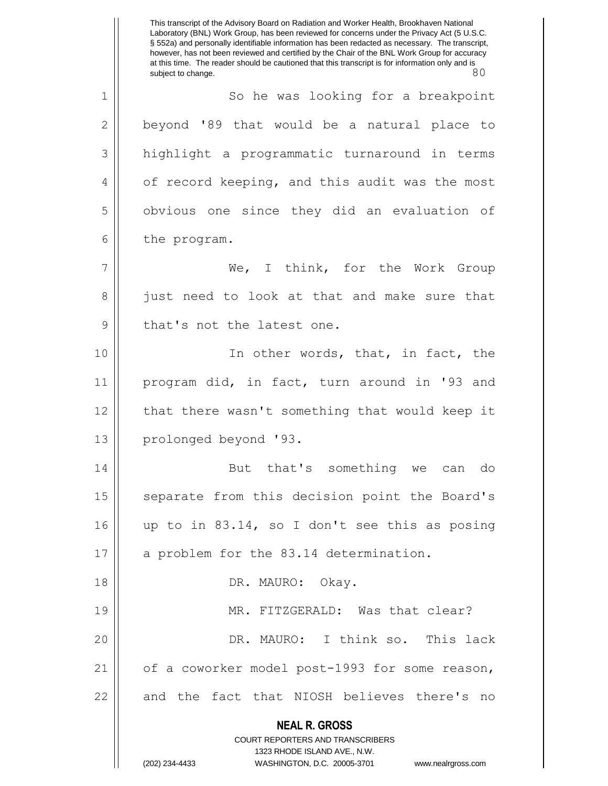**NEAL R. GROSS** COURT REPORTERS AND TRANSCRIBERS 1323 RHODE ISLAND AVE., N.W. (202) 234-4433 WASHINGTON, D.C. 20005-3701 www.nealrgross.com This transcript of the Advisory Board on Radiation and Worker Health, Brookhaven National Laboratory (BNL) Work Group, has been reviewed for concerns under the Privacy Act (5 U.S.C. § 552a) and personally identifiable information has been redacted as necessary. The transcript, however, has not been reviewed and certified by the Chair of the BNL Work Group for accuracy at this time. The reader should be cautioned that this transcript is for information only and is subject to change. 80 1 | So he was looking for a breakpoint  $2 \parallel$  beyond '89 that would be a natural place to 3 | highlight a programmatic turnaround in terms 4 | of record keeping, and this audit was the most 5 | obvious one since they did an evaluation of  $6 \parallel$  the program. 7 We, I think, for the Work Group 8 just need to look at that and make sure that 9 || that's not the latest one. 10 || The other words, that, in fact, the 11 program did, in fact, turn around in '93 and 12 || that there wasn't something that would keep it 13 || prolonged beyond '93. 14 || But that's something we can do 15 || separate from this decision point the Board's 16 || up to in 83.14, so I don't see this as posing 17 || a problem for the 83.14 determination. 18 DR. MAURO: Okay. 19 MR. FITZGERALD: Was that clear? 20 DR. MAURO: I think so. This lack 21 || of a coworker model post-1993 for some reason, 22 || and the fact that NIOSH believes there's no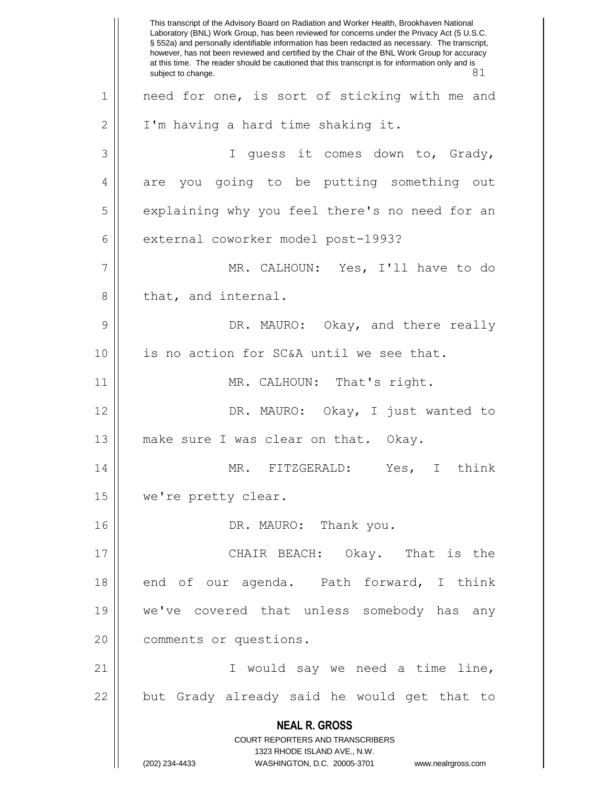**NEAL R. GROSS** COURT REPORTERS AND TRANSCRIBERS 1323 RHODE ISLAND AVE., N.W. (202) 234-4433 WASHINGTON, D.C. 20005-3701 www.nealrgross.com This transcript of the Advisory Board on Radiation and Worker Health, Brookhaven National Laboratory (BNL) Work Group, has been reviewed for concerns under the Privacy Act (5 U.S.C. § 552a) and personally identifiable information has been redacted as necessary. The transcript, however, has not been reviewed and certified by the Chair of the BNL Work Group for accuracy at this time. The reader should be cautioned that this transcript is for information only and is subject to change. 81 1 || need for one, is sort of sticking with me and  $2 \parallel$  I'm having a hard time shaking it. 3 || I guess it comes down to, Grady, 4 || are you going to be putting something out 5 | explaining why you feel there's no need for an 6 external coworker model post-1993? 7 MR. CALHOUN: Yes, I'll have to do 8 || that, and internal. 9 DR. MAURO: Okay, and there really 10 || is no action for SC&A until we see that. 11 || MR. CALHOUN: That's right. 12 DR. MAURO: Okay, I just wanted to 13 || make sure I was clear on that. Okay. 14 MR. FITZGERALD: Yes, I think 15 | we're pretty clear. 16 DR. MAURO: Thank you. 17 CHAIR BEACH: Okay. That is the 18 end of our agenda. Path forward, I think 19 we've covered that unless somebody has any 20 | comments or questions. 21 I would say we need a time line,  $22$  || but Grady already said he would get that to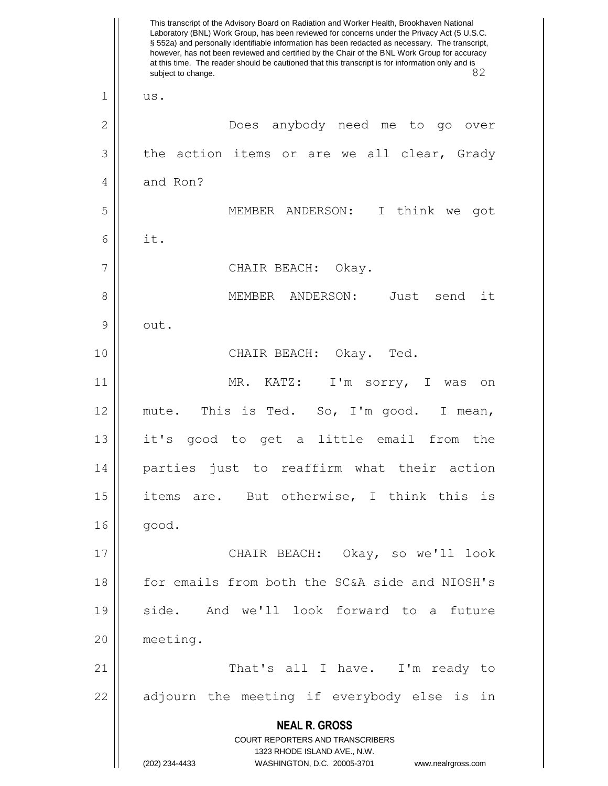**NEAL R. GROSS** COURT REPORTERS AND TRANSCRIBERS 1323 RHODE ISLAND AVE., N.W. (202) 234-4433 WASHINGTON, D.C. 20005-3701 www.nealrgross.com This transcript of the Advisory Board on Radiation and Worker Health, Brookhaven National Laboratory (BNL) Work Group, has been reviewed for concerns under the Privacy Act (5 U.S.C. § 552a) and personally identifiable information has been redacted as necessary. The transcript, however, has not been reviewed and certified by the Chair of the BNL Work Group for accuracy at this time. The reader should be cautioned that this transcript is for information only and is<br>82 subject to change.  $1 \parallel$  us. 2 Does anybody need me to go over  $3 \parallel$  the action items or are we all clear, Grady 4 and Ron? 5 MEMBER ANDERSON: I think we got 6 it. 7 || CHAIR BEACH: Okay. 8 MEMBER ANDERSON: Just send it  $9 \parallel$  out. 10 CHAIR BEACH: Okay. Ted. 11 MR. KATZ: I'm sorry, I was on 12 mute. This is Ted. So, I'm good. I mean, 13 it's good to get a little email from the 14 parties just to reaffirm what their action 15 || items are. But otherwise, I think this is  $16$  |  $qood.$ 17 CHAIR BEACH: Okay, so we'll look 18 for emails from both the SC&A side and NIOSH's 19 side. And we'll look forward to a future 20 meeting. 21 That's all I have. I'm ready to  $22$  || adjourn the meeting if everybody else is in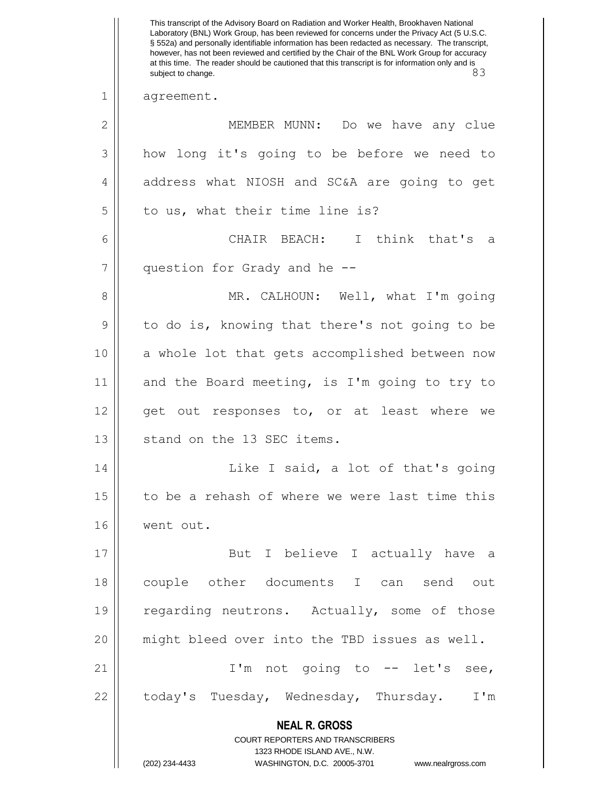**NEAL R. GROSS** COURT REPORTERS AND TRANSCRIBERS 1323 RHODE ISLAND AVE., N.W. (202) 234-4433 WASHINGTON, D.C. 20005-3701 www.nealrgross.com This transcript of the Advisory Board on Radiation and Worker Health, Brookhaven National Laboratory (BNL) Work Group, has been reviewed for concerns under the Privacy Act (5 U.S.C. § 552a) and personally identifiable information has been redacted as necessary. The transcript, however, has not been reviewed and certified by the Chair of the BNL Work Group for accuracy at this time. The reader should be cautioned that this transcript is for information only and is subject to change. 83 1 agreement. 2 MEMBER MUNN: Do we have any clue 3 how long it's going to be before we need to 4 | address what NIOSH and SC&A are going to get  $5$  | to us, what their time line is? 6 CHAIR BEACH: I think that's a 7 || question for Grady and he --8 MR. CALHOUN: Well, what I'm going 9 || to do is, knowing that there's not going to be 10 || a whole lot that gets accomplished between now 11  $\parallel$  and the Board meeting, is I'm going to try to 12 || get out responses to, or at least where we 13 || stand on the 13 SEC items. 14 || Like I said, a lot of that's going 15 || to be a rehash of where we were last time this 16 went out. 17 || But I believe I actually have a 18 couple other documents I can send out 19 || regarding neutrons. Actually, some of those 20 might bleed over into the TBD issues as well. 21 || I'm not going to -- let's see, 22 | today's Tuesday, Wednesday, Thursday. I'm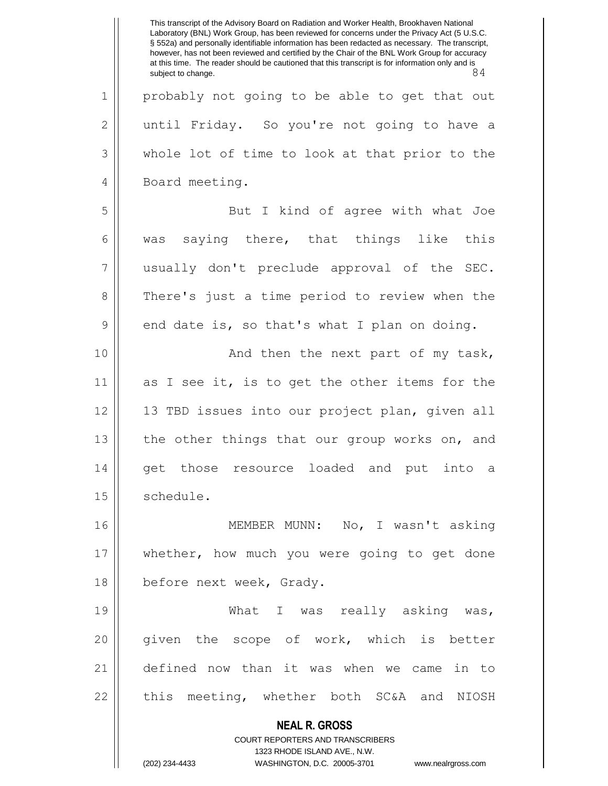**NEAL R. GROSS** COURT REPORTERS AND TRANSCRIBERS 1323 RHODE ISLAND AVE., N.W. (202) 234-4433 WASHINGTON, D.C. 20005-3701 www.nealrgross.com This transcript of the Advisory Board on Radiation and Worker Health, Brookhaven National Laboratory (BNL) Work Group, has been reviewed for concerns under the Privacy Act (5 U.S.C. § 552a) and personally identifiable information has been redacted as necessary. The transcript, however, has not been reviewed and certified by the Chair of the BNL Work Group for accuracy at this time. The reader should be cautioned that this transcript is for information only and is<br>84 subject to change. 1 || probably not going to be able to get that out 2 | until Friday. So you're not going to have a 3 whole lot of time to look at that prior to the 4 | Board meeting. 5 || But I kind of agree with what Joe 6 | was saying there, that things like this 7 usually don't preclude approval of the SEC. 8 There's just a time period to review when the  $9 \parallel$  end date is, so that's what I plan on doing. 10 || And then the next part of my task, 11 as I see it, is to get the other items for the 12 13 TBD issues into our project plan, given all 13 || the other things that our group works on, and 14 || get those resource loaded and put into a 15 | schedule. 16 MEMBER MUNN: No, I wasn't asking 17 whether, how much you were going to get done 18 | before next week, Grady. 19 || What I was really asking was, 20 || given the scope of work, which is better 21 defined now than it was when we came in to  $22$  || this meeting, whether both SC&A and NIOSH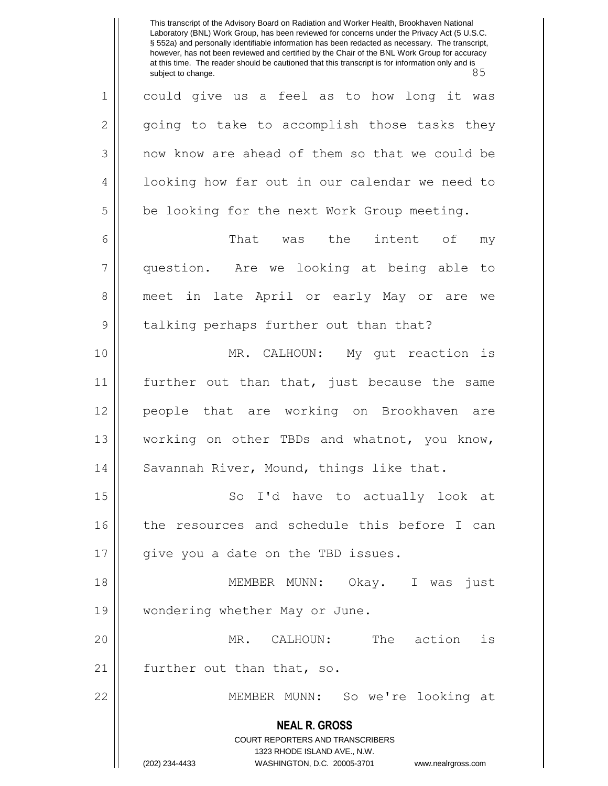**NEAL R. GROSS** COURT REPORTERS AND TRANSCRIBERS 1323 RHODE ISLAND AVE., N.W. (202) 234-4433 WASHINGTON, D.C. 20005-3701 www.nealrgross.com This transcript of the Advisory Board on Radiation and Worker Health, Brookhaven National Laboratory (BNL) Work Group, has been reviewed for concerns under the Privacy Act (5 U.S.C. § 552a) and personally identifiable information has been redacted as necessary. The transcript, however, has not been reviewed and certified by the Chair of the BNL Work Group for accuracy at this time. The reader should be cautioned that this transcript is for information only and is<br>85 subject to change. 1 could give us a feel as to how long it was  $2 \parallel$  going to take to accomplish those tasks they 3 || now know are ahead of them so that we could be 4 || looking how far out in our calendar we need to 5 | be looking for the next Work Group meeting. 6 That was the intent of my 7 question. Are we looking at being able to 8 || meet in late April or early May or are we 9 || talking perhaps further out than that? 10 MR. CALHOUN: My gut reaction is 11 further out than that, just because the same 12 people that are working on Brookhaven are 13 working on other TBDs and whatnot, you know, 14 | Savannah River, Mound, things like that. 15 || So I'd have to actually look at 16 || the resources and schedule this before I can 17 || give you a date on the TBD issues. 18 || MEMBER MUNN: Okay. I was just 19 | wondering whether May or June. 20 MR. CALHOUN: The action is 21 || further out than that, so. 22 MEMBER MUNN: So we're looking at